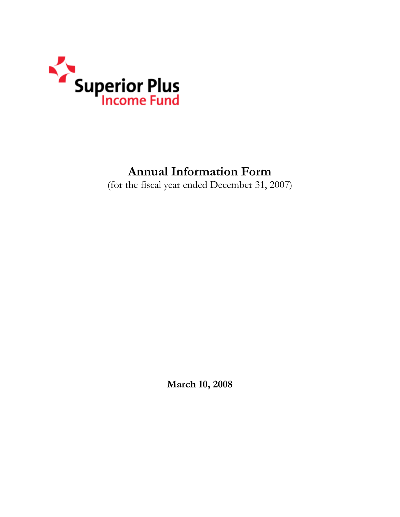

# **Annual Information Form**

(for the fiscal year ended December 31, 2007)

**March 10, 2008**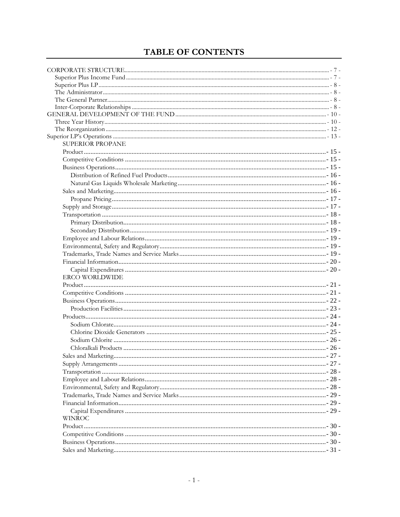## TABLE OF CONTENTS

| <b>SUPERIOR PROPANE</b> |  |
|-------------------------|--|
|                         |  |
|                         |  |
|                         |  |
|                         |  |
|                         |  |
|                         |  |
|                         |  |
|                         |  |
|                         |  |
|                         |  |
|                         |  |
|                         |  |
|                         |  |
|                         |  |
|                         |  |
|                         |  |
| <b>ERCO WORLDWIDE</b>   |  |
|                         |  |
|                         |  |
|                         |  |
|                         |  |
|                         |  |
|                         |  |
|                         |  |
|                         |  |
|                         |  |
|                         |  |
|                         |  |
|                         |  |
|                         |  |
|                         |  |
|                         |  |
|                         |  |
|                         |  |
|                         |  |
| <b>WINROC</b>           |  |
|                         |  |
|                         |  |
|                         |  |
|                         |  |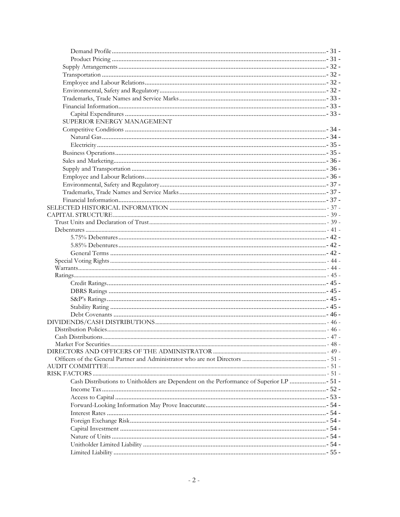| SUPERIOR ENERGY MANAGEMENT                                                              |  |
|-----------------------------------------------------------------------------------------|--|
|                                                                                         |  |
|                                                                                         |  |
|                                                                                         |  |
|                                                                                         |  |
|                                                                                         |  |
|                                                                                         |  |
|                                                                                         |  |
|                                                                                         |  |
|                                                                                         |  |
|                                                                                         |  |
|                                                                                         |  |
|                                                                                         |  |
|                                                                                         |  |
|                                                                                         |  |
|                                                                                         |  |
|                                                                                         |  |
|                                                                                         |  |
|                                                                                         |  |
|                                                                                         |  |
|                                                                                         |  |
|                                                                                         |  |
|                                                                                         |  |
|                                                                                         |  |
|                                                                                         |  |
|                                                                                         |  |
|                                                                                         |  |
|                                                                                         |  |
|                                                                                         |  |
|                                                                                         |  |
|                                                                                         |  |
|                                                                                         |  |
|                                                                                         |  |
|                                                                                         |  |
|                                                                                         |  |
| Cash Distributions to Unitholders are Dependent on the Performance of Superior LP  51 - |  |
|                                                                                         |  |
|                                                                                         |  |
|                                                                                         |  |
|                                                                                         |  |
|                                                                                         |  |
|                                                                                         |  |
|                                                                                         |  |
|                                                                                         |  |
|                                                                                         |  |
|                                                                                         |  |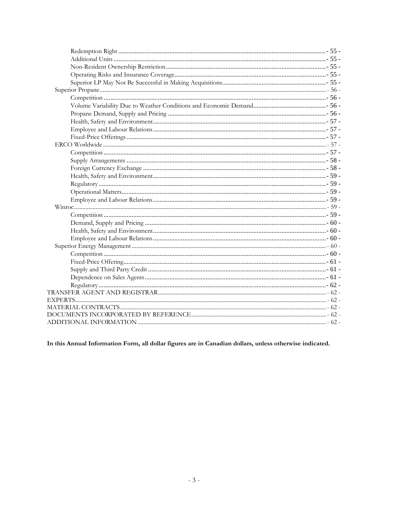In this Annual Information Form, all dollar figures are in Canadian dollars, unless otherwise indicated.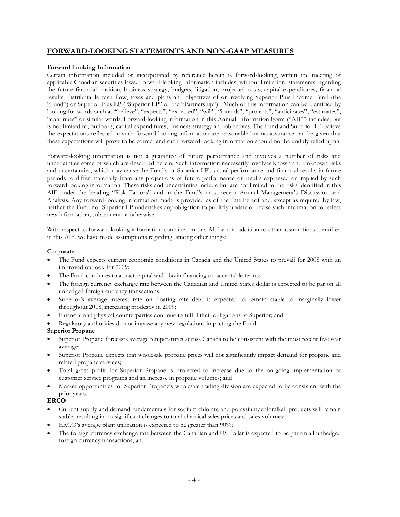## **FORWARD-LOOKING STATEMENTS AND NON-GAAP MEASURES**

#### **Forward Looking Information**

Certain information included or incorporated by reference herein is forward-looking, within the meeting of applicable Canadian securities laws. Forward-looking information includes, without limitation, statements regarding the future financial position, business strategy, budgets, litigation, projected costs, capital expenditures, financial results, distributable cash flow, taxes and plans and objectives of or involving Superior Plus Income Fund (the "Fund") or Superior Plus LP ("Superior LP" or the "Partnership"). Much of this information can be identified by looking for words such as "believe", "expects", "expected", "will", "intends", "projects", "anticipates", "estimates", "continues" or similar words. Forward-looking information in this Annual Information Form ("AIF") includes, but is not limited to, outlooks, capital expenditures, business strategy and objectives. The Fund and Superior LP believe the expectations reflected in such forward-looking information are reasonable but no assurance can be given that these expectations will prove to be correct and such forward-looking information should not be unduly relied upon.

Forward-looking information is not a guarantee of future performance and involves a number of risks and uncertainties some of which are described herein. Such information necessarily involves known and unknown risks and uncertainties, which may cause the Fund's or Superior LP's actual performance and financial results in future periods to differ materially from any projections of future performance or results expressed or implied by such forward-looking information. These risks and uncertainties include but are not limited to the risks identified in this AIF under the heading "Risk Factors" and in the Fund's most recent Annual Management's Discussion and Analysis. Any forward-looking information made is provided as of the date hereof and, except as required by law, neither the Fund nor Superior LP undertakes any obligation to publicly update or revise such information to reflect new information, subsequent or otherwise.

With respect to forward-looking information contained in this AIF and in addition to other assumptions identified in this AIF, we have made assumptions regarding, among other things:

#### **Corporate**

- The Fund expects current economic conditions in Canada and the United States to prevail for 2008 with an improved outlook for 2009;
- The Fund continues to attract capital and obtain financing on acceptable terms;
- The foreign currency exchange rate between the Canadian and United States dollar is expected to be par on all unhedged foreign currency transactions;
- Superior's average interest rate on floating rate debt is expected to remain stable to marginally lower throughout 2008, increasing modestly in 2009;
- Financial and physical counterparties continue to fulfill their obligations to Superior; and
- Regulatory authorities do not impose any new regulations impacting the Fund.

#### **Superior Propane**

- Superior Propane forecasts average temperatures across Canada to be consistent with the most recent five year average;
- Superior Propane expects that wholesale propane prices will not significantly impact demand for propane and related propane services;
- Total gross profit for Superior Propane is projected to increase due to the on-going implementation of customer service programs and an increase in propane volumes; and
- Market opportunities for Superior Propane's wholesale trading division are expected to be consistent with the prior years.

#### **ERCO**

- Current supply and demand fundamentals for sodium chlorate and potassium/chloralkali products will remain stable, resulting in no significant changes to total chemical sales prices and sales volumes;
- ERCO's average plant utilization is expected to be greater than 90%;
- The foreign currency exchange rate between the Canadian and US dollar is expected to be par on all unhedged foreign currency transactions; and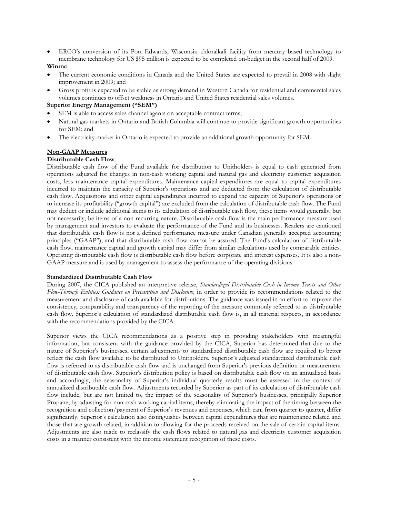• ERCO's conversion of its Port Edwards, Wisconsin chloralkali facility from mercury based technology to membrane technology for US \$95 million is expected to be completed on-budget in the second half of 2009.

#### **Winroc**

- The current economic conditions in Canada and the United States are expected to prevail in 2008 with slight improvement in 2009; and
- Gross profit is expected to be stable as strong demand in Western Canada for residential and commercial sales volumes continues to offset weakness in Ontario and United States residential sales volumes.

#### **Superior Energy Management ("SEM")**

- SEM is able to access sales channel agents on acceptable contract terms;
- Natural gas markets in Ontario and British Columbia will continue to provide significant growth opportunities for SEM; and
- The electricity market in Ontario is expected to provide an additional growth opportunity for SEM.

#### **Non-GAAP Measures**

#### **Distributable Cash Flow**

Distributable cash flow of the Fund available for distribution to Unitholders is equal to cash generated from operations adjusted for changes in non-cash working capital and natural gas and electricity customer acquisition costs, less maintenance capital expenditures. Maintenance capital expenditures are equal to capital expenditures incurred to maintain the capacity of Superior's operations and are deducted from the calculation of distributable cash flow. Acquisitions and other capital expenditures incurred to expand the capacity of Superior's operations or to increase its profitability ("growth capital") are excluded from the calculation of distributable cash flow. The Fund may deduct or include additional items to its calculation of distributable cash flow, these items would generally, but not necessarily, be items of a non-recurring nature. Distributable cash flow is the main performance measure used by management and investors to evaluate the performance of the Fund and its businesses. Readers are cautioned that distributable cash flow is not a defined performance measure under Canadian generally accepted accounting principles ("GAAP"), and that distributable cash flow cannot be assured. The Fund's calculation of distributable cash flow, maintenance capital and growth capital may differ from similar calculations used by comparable entities. Operating distributable cash flow is distributable cash flow before corporate and interest expenses. It is also a non-GAAP measure and is used by management to assess the performance of the operating divisions.

#### **Standardized Distributable Cash Flow**

During 2007, the CICA published an interpretive release, *Standardized Distributable Cash in Income Trusts and Other*  Flow-Through Entities: Guidance on Preparation and Disclosure, in order to provide its recommendations related to the measurement and disclosure of cash available for distributions. The guidance was issued in an effort to improve the consistency, comparability and transparency of the reporting of the measure commonly referred to as distributable cash flow. Superior's calculation of standardized distributable cash flow is, in all material respects, in accordance with the recommendations provided by the CICA.

Superior views the CICA recommendations as a positive step in providing stakeholders with meaningful information, but consistent with the guidance provided by the CICA, Superior has determined that due to the nature of Superior's businesses, certain adjustments to standardized distributable cash flow are required to better reflect the cash flow available to be distributed to Unitholders. Superior's adjusted standardized distributable cash flow is referred to as distributable cash flow and is unchanged from Superior's previous definition or measurement of distributable cash flow. Superior's distribution policy is based on distributable cash flow on an annualized basis and accordingly, the seasonality of Superior's individual quarterly results must be assessed in the context of annualized distributable cash flow. Adjustments recorded by Superior as part of its calculation of distributable cash flow include, but are not limited to, the impact of the seasonality of Superior's businesses, principally Superior Propane, by adjusting for non-cash working capital items, thereby eliminating the impact of the timing between the recognition and collection/payment of Superior's revenues and expenses, which can, from quarter to quarter, differ significantly. Superior's calculation also distinguishes between capital expenditures that are maintenance related and those that are growth related, in addition to allowing for the proceeds received on the sale of certain capital items. Adjustments are also made to reclassify the cash flows related to natural gas and electricity customer acquisition costs in a manner consistent with the income statement recognition of these costs.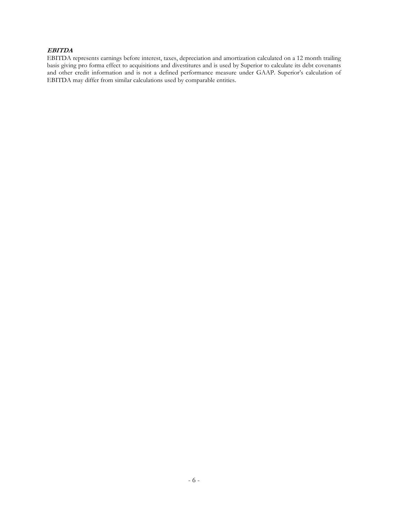## **EBITDA**

EBITDA represents earnings before interest, taxes, depreciation and amortization calculated on a 12 month trailing basis giving pro forma effect to acquisitions and divestitures and is used by Superior to calculate its debt covenants and other credit information and is not a defined performance measure under GAAP. Superior's calculation of EBITDA may differ from similar calculations used by comparable entities.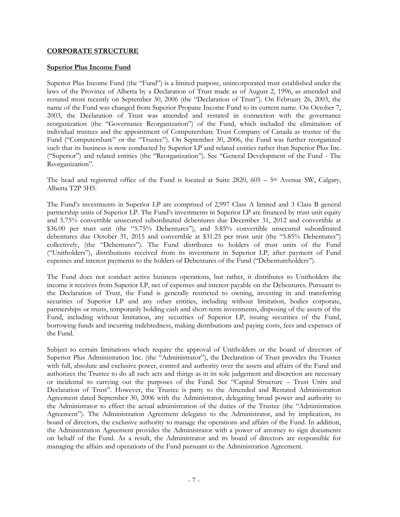## **CORPORATE STRUCTURE**

#### **Superior Plus Income Fund**

Superior Plus Income Fund (the "Fund") is a limited purpose, unincorporated trust established under the laws of the Province of Alberta by a Declaration of Trust made as of August 2, 1996, as amended and restated most recently on September 30, 2006 (the "Declaration of Trust"). On February 26, 2003, the name of the Fund was changed from Superior Propane Income Fund to its current name. On October 7, 2003, the Declaration of Trust was amended and restated in connection with the governance reorganization (the "Governance Reorganization") of the Fund, which included the elimination of individual trustees and the appointment of Computershare Trust Company of Canada as trustee of the Fund ("Computershare" or the "Trustee"). On September 30, 2006, the Fund was further reorganized such that its business is now conducted by Superior LP and related entities rather than Superior Plus Inc. ("Superior") and related entities (the "Reorganization"). See "General Development of the Fund - The Reorganization".

The head and registered office of the Fund is located at Suite 2820,  $605 - 5<sup>th</sup>$  Avenue SW, Calgary, Alberta T2P 3H5.

The Fund's investments in Superior LP are comprised of 2,997 Class A limited and 3 Class B general partnership units of Superior LP. The Fund's investments in Superior LP are financed by trust unit equity and 5.75% convertible unsecured subordinated debentures due December 31, 2012 and convertible at \$36.00 per trust unit (the "5.75% Debentures"), and 5.85% convertible unsecured subordinated debentures due October 31, 2015 and convertible at \$31.25 per trust unit (the "5.85% Debentures") collectively, (the "Debentures"). The Fund distributes to holders of trust units of the Fund ("Unitholders"), distributions received from its investment in Superior LP, after payment of Fund expenses and interest payments to the holders of Debentures of the Fund ("Debentureholders").

The Fund does not conduct active business operations, but rather, it distributes to Unitholders the income it receives from Superior LP, net of expenses and interest payable on the Debentures. Pursuant to the Declaration of Trust, the Fund is generally restricted to owning, investing in and transferring securities of Superior LP and any other entities, including without limitation, bodies corporate, partnerships or trusts, temporarily holding cash and short-term investments, disposing of the assets of the Fund, including without limitation, any securities of Superior LP, issuing securities of the Fund, borrowing funds and incurring indebtedness, making distributions and paying costs, fees and expenses of the Fund.

Subject to certain limitations which require the approval of Unitholders or the board of directors of Superior Plus Administration Inc. (the "Administrator"), the Declaration of Trust provides the Trustee with full, absolute and exclusive power, control and authority over the assets and affairs of the Fund and authorizes the Trustee to do all such acts and things as in its sole judgement and discretion are necessary or incidental to carrying out the purposes of the Fund. See "Capital Structure – Trust Units and Declaration of Trust". However, the Trustee is party to the Amended and Restated Administration Agreement dated September 30, 2006 with the Administrator, delegating broad power and authority to the Administrator to effect the actual administration of the duties of the Trustee (the "Administration Agreement"). The Administration Agreement delegates to the Administrator, and by implication, its board of directors, the exclusive authority to manage the operations and affairs of the Fund. In addition, the Administration Agreement provides the Administrator with a power of attorney to sign documents on behalf of the Fund. As a result, the Administrator and its board of directors are responsible for managing the affairs and operations of the Fund pursuant to the Administration Agreement.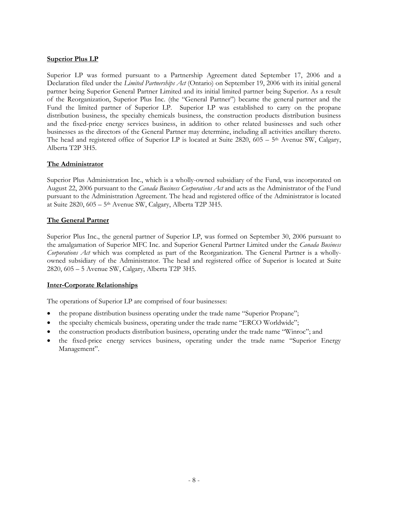## **Superior Plus LP**

Superior LP was formed pursuant to a Partnership Agreement dated September 17, 2006 and a Declaration filed under the *Limited Partnerships Act* (Ontario) on September 19, 2006 with its initial general partner being Superior General Partner Limited and its initial limited partner being Superior. As a result of the Reorganization, Superior Plus Inc. (the "General Partner") became the general partner and the Fund the limited partner of Superior LP. Superior LP was established to carry on the propane distribution business, the specialty chemicals business, the construction products distribution business and the fixed-price energy services business, in addition to other related businesses and such other businesses as the directors of the General Partner may determine, including all activities ancillary thereto. The head and registered office of Superior LP is located at Suite  $2820$ ,  $605 - 5$ <sup>th</sup> Avenue SW, Calgary, Alberta T2P 3H5.

## **The Administrator**

Superior Plus Administration Inc., which is a wholly-owned subsidiary of the Fund, was incorporated on August 22, 2006 pursuant to the *Canada Business Corporations Act* and acts as the Administrator of the Fund pursuant to the Administration Agreement. The head and registered office of the Administrator is located at Suite 2820, 605 – 5th Avenue SW, Calgary, Alberta T2P 3H5.

## **The General Partner**

Superior Plus Inc., the general partner of Superior LP, was formed on September 30, 2006 pursuant to the amalgamation of Superior MFC Inc. and Superior General Partner Limited under the *Canada Business Corporations Act* which was completed as part of the Reorganization. The General Partner is a whollyowned subsidiary of the Administrator. The head and registered office of Superior is located at Suite 2820, 605 – 5 Avenue SW, Calgary, Alberta T2P 3H5.

#### **Inter-Corporate Relationships**

The operations of Superior LP are comprised of four businesses:

- the propane distribution business operating under the trade name "Superior Propane";
- the specialty chemicals business, operating under the trade name "ERCO Worldwide";
- the construction products distribution business, operating under the trade name "Winroc"; and
- the fixed-price energy services business, operating under the trade name "Superior Energy Management".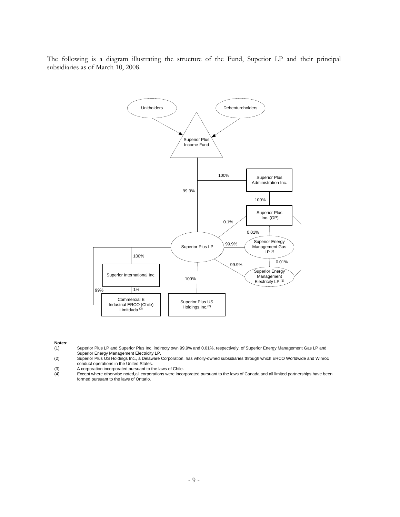The following is a diagram illustrating the structure of the Fund, Superior LP and their principal subsidiaries as of March 10, 2008.



- **Notes:** Superior Plus LP and Superior Plus Inc. indirecty own 99.9% and 0.01%, respectively, of Superior Energy Management Gas LP and Superior Energy Management Electricity LP.
- (2) Superior Plus US Holdings Inc., a Delaware Corporation, has wholly-owned subsidiaries through which ERCO Worldwide and Winroc conduct operations in the United States.
- 
- (3) A corporation incorporated pursuant to the laws of Chile.<br>
(4) Except where otherwise noted, all corporations were inco Except where otherwise noted,all corporations were incorporated pursuant to the laws of Canada and all limited partnerships have been formed pursuant to the laws of Ontario.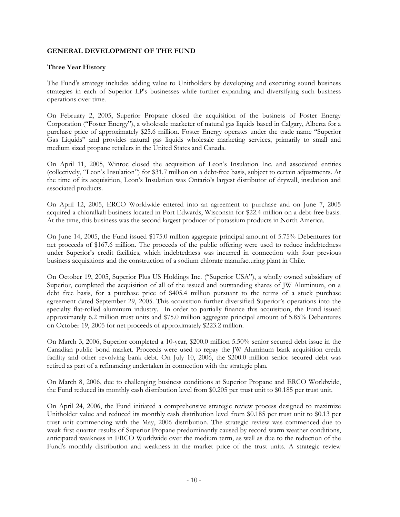## **GENERAL DEVELOPMENT OF THE FUND**

## **Three Year History**

The Fund's strategy includes adding value to Unitholders by developing and executing sound business strategies in each of Superior LP's businesses while further expanding and diversifying such business operations over time.

On February 2, 2005, Superior Propane closed the acquisition of the business of Foster Energy Corporation ("Foster Energy"), a wholesale marketer of natural gas liquids based in Calgary, Alberta for a purchase price of approximately \$25.6 million. Foster Energy operates under the trade name "Superior Gas Liquids" and provides natural gas liquids wholesale marketing services, primarily to small and medium sized propane retailers in the United States and Canada.

On April 11, 2005, Winroc closed the acquisition of Leon's Insulation Inc. and associated entities (collectively, "Leon's Insulation") for \$31.7 million on a debt-free basis, subject to certain adjustments. At the time of its acquisition, Leon's Insulation was Ontario's largest distributor of drywall, insulation and associated products.

On April 12, 2005, ERCO Worldwide entered into an agreement to purchase and on June 7, 2005 acquired a chloralkali business located in Port Edwards, Wisconsin for \$22.4 million on a debt-free basis. At the time, this business was the second largest producer of potassium products in North America.

On June 14, 2005, the Fund issued \$175.0 million aggregate principal amount of 5.75% Debentures for net proceeds of \$167.6 million. The proceeds of the public offering were used to reduce indebtedness under Superior's credit facilities, which indebtedness was incurred in connection with four previous business acquisitions and the construction of a sodium chlorate manufacturing plant in Chile.

On October 19, 2005, Superior Plus US Holdings Inc. ("Superior USA"), a wholly owned subsidiary of Superior, completed the acquisition of all of the issued and outstanding shares of JW Aluminum, on a debt free basis, for a purchase price of \$405.4 million pursuant to the terms of a stock purchase agreement dated September 29, 2005. This acquisition further diversified Superior's operations into the specialty flat-rolled aluminum industry. In order to partially finance this acquisition, the Fund issued approximately 6.2 million trust units and \$75.0 million aggregate principal amount of 5.85% Debentures on October 19, 2005 for net proceeds of approximately \$223.2 million.

On March 3, 2006, Superior completed a 10-year, \$200.0 million 5.50% senior secured debt issue in the Canadian public bond market. Proceeds were used to repay the JW Aluminum bank acquisition credit facility and other revolving bank debt. On July 10, 2006, the \$200.0 million senior secured debt was retired as part of a refinancing undertaken in connection with the strategic plan.

On March 8, 2006, due to challenging business conditions at Superior Propane and ERCO Worldwide, the Fund reduced its monthly cash distribution level from \$0.205 per trust unit to \$0.185 per trust unit.

On April 24, 2006, the Fund initiated a comprehensive strategic review process designed to maximize Unitholder value and reduced its monthly cash distribution level from \$0.185 per trust unit to \$0.13 per trust unit commencing with the May, 2006 distribution. The strategic review was commenced due to weak first quarter results of Superior Propane predominantly caused by record warm weather conditions, anticipated weakness in ERCO Worldwide over the medium term, as well as due to the reduction of the Fund's monthly distribution and weakness in the market price of the trust units. A strategic review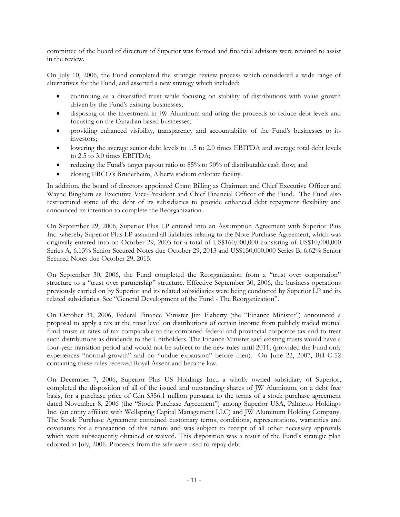committee of the board of directors of Superior was formed and financial advisors were retained to assist in the review.

On July 10, 2006, the Fund completed the strategic review process which considered a wide range of alternatives for the Fund, and asserted a new strategy which included:

- continuing as a diversified trust while focusing on stability of distributions with value growth driven by the Fund's existing businesses;
- disposing of the investment in JW Aluminum and using the proceeds to reduce debt levels and focusing on the Canadian based businesses;
- providing enhanced visibility, transparency and accountability of the Fund's businesses to its investors;
- lowering the average senior debt levels to 1.5 to 2.0 times EBITDA and average total debt levels to 2.5 to 3.0 times EBITDA;
- reducing the Fund's target payout ratio to 85% to 90% of distributable cash flow; and
- closing ERCO's Bruderheim, Alberta sodium chlorate facility.

In addition, the board of directors appointed Grant Billing as Chairman and Chief Executive Officer and Wayne Bingham as Executive Vice-President and Chief Financial Officer of the Fund. The Fund also restructured some of the debt of its subsidiaries to provide enhanced debt repayment flexibility and announced its intention to complete the Reorganization.

On September 29, 2006, Superior Plus LP entered into an Assumption Agreement with Superior Plus Inc. whereby Superior Plus LP assumed all liabilities relating to the Note Purchase Agreement, which was originally entered into on October 29, 2003 for a total of US\$160,000,000 consisting of US\$10,000,000 Series A, 6.13% Senior Secured Notes due October 29, 2013 and US\$150,000,000 Series B, 6.62% Senior Secured Notes due October 29, 2015.

On September 30, 2006, the Fund completed the Reorganization from a "trust over corporation" structure to a "trust over partnership" structure. Effective September 30, 2006, the business operations previously carried on by Superior and its related subsidiaries were being conducted by Superior LP and its related subsidiaries. See "General Development of the Fund - The Reorganization".

On October 31, 2006, Federal Finance Minister Jim Flaherty (the "Finance Minister") announced a proposal to apply a tax at the trust level on distributions of certain income from publicly traded mutual fund trusts at rates of tax comparable to the combined federal and provincial corporate tax and to treat such distributions as dividends to the Unitholders. The Finance Minister said existing trusts would have a four-year transition period and would not be subject to the new rules until 2011, (provided the Fund only experiences "normal growth" and no "undue expansion" before then). On June 22, 2007, Bill C-52 containing these rules received Royal Assent and became law.

On December 7, 2006, Superior Plus US Holdings Inc., a wholly owned subsidiary of Superior, completed the disposition of all of the issued and outstanding shares of JW Aluminum, on a debt free basis, for a purchase price of Cdn \$356.1 million pursuant to the terms of a stock purchase agreement dated November 8, 2006 (the "Stock Purchase Agreement") among Superior USA, Palmetto Holdings Inc. (an entity affiliate with Wellspring Capital Management LLC) and JW Aluminum Holding Company. The Stock Purchase Agreement contained customary terms, conditions, representations, warranties and covenants for a transaction of this nature and was subject to receipt of all other necessary approvals which were subsequently obtained or waived. This disposition was a result of the Fund's strategic plan adopted in July, 2006. Proceeds from the sale were used to repay debt.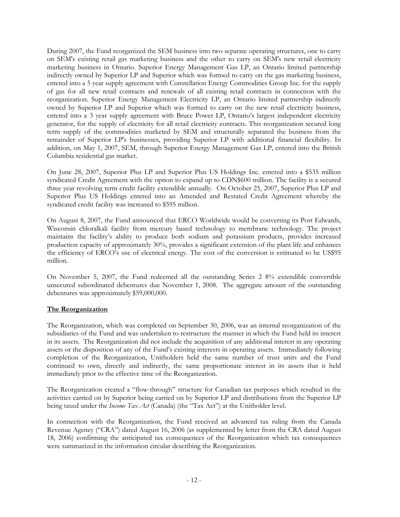During 2007, the Fund reorganized the SEM business into two separate operating structures, one to carry on SEM's existing retail gas marketing business and the other to carry on SEM's new retail electricity marketing business in Ontario. Superior Energy Management Gas LP, an Ontario limited partnership indirectly owned by Superior LP and Superior which was formed to carry on the gas marketing business, entered into a 5 year supply agreement with Constellation Energy Commodities Group Inc. for the supply of gas for all new retail contracts and renewals of all existing retail contracts in connection with the reorganization. Superior Energy Management Electricity LP, an Ontario limited partnership indirectly owned by Superior LP and Superior which was formed to carry on the new retail electricity business, entered into a 3 year supply agreement with Bruce Power LP, Ontario's largest independent electricity generator, for the supply of electricity for all retail electricity contracts. This reorganization secured long term supply of the commodities marketed by SEM and structurally separated the business from the remainder of Superior LP's businesses, providing Superior LP with additional financial flexibility. In addition, on May 1, 2007, SEM, through Superior Energy Management Gas LP, entered into the British Columbia residential gas market.

On June 28, 2007, Superior Plus LP and Superior Plus US Holdings Inc. entered into a \$535 million syndicated Credit Agreement with the option to expand up to CDN\$600 million. The facility is a secured three year revolving term credit facility extendible annually. On October 25, 2007, Superior Plus LP and Superior Plus US Holdings entered into an Amended and Restated Credit Agreement whereby the syndicated credit facility was increased to \$595 million.

On August 8, 2007, the Fund announced that ERCO Worldwide would be converting its Port Edwards, Wisconsin chloralkali facility from mercury based technology to membrane technology. The project maintains the facility's ability to produce both sodium and potassium products, provides increased production capacity of approximately 30%, provides a significant extension of the plant life and enhances the efficiency of ERCO's use of electrical energy. The cost of the conversion is estimated to be US\$95 million.

On November 5, 2007, the Fund redeemed all the outstanding Series 2 8% extendible convertible unsecured subordinated debentures due November 1, 2008. The aggregate amount of the outstanding debentures was approximately \$59,000,000.

## **The Reorganization**

The Reorganization, which was completed on September 30, 2006, was an internal reorganization of the subsidiaries of the Fund and was undertaken to restructure the manner in which the Fund held its interest in its assets. The Reorganization did not include the acquisition of any additional interest in any operating assets or the disposition of any of the Fund's existing interests in operating assets. Immediately following completion of the Reorganization, Unitholders held the same number of trust units and the Fund continued to own, directly and indirectly, the same proportionate interest in its assets that it held immediately prior to the effective time of the Reorganization.

The Reorganization created a "flow-through" structure for Canadian tax purposes which resulted in the activities carried on by Superior being carried on by Superior LP and distributions from the Superior LP being taxed under the *Income Tax Act* (Canada) (the "Tax Act") at the Unitholder level.

In connection with the Reorganization, the Fund received an advanced tax ruling from the Canada Revenue Agency ("CRA") dated August 16, 2006 (as supplemented by letter from the CRA dated August 18, 2006) confirming the anticipated tax consequences of the Reorganization which tax consequences were summarized in the information circular describing the Reorganization.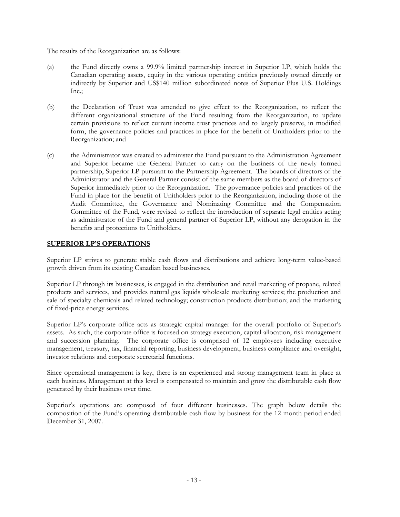The results of the Reorganization are as follows:

- (a) the Fund directly owns a 99.9% limited partnership interest in Superior LP, which holds the Canadian operating assets, equity in the various operating entities previously owned directly or indirectly by Superior and US\$140 million subordinated notes of Superior Plus U.S. Holdings Inc.;
- (b) the Declaration of Trust was amended to give effect to the Reorganization, to reflect the different organizational structure of the Fund resulting from the Reorganization, to update certain provisions to reflect current income trust practices and to largely preserve, in modified form, the governance policies and practices in place for the benefit of Unitholders prior to the Reorganization; and
- (c) the Administrator was created to administer the Fund pursuant to the Administration Agreement and Superior became the General Partner to carry on the business of the newly formed partnership, Superior LP pursuant to the Partnership Agreement. The boards of directors of the Administrator and the General Partner consist of the same members as the board of directors of Superior immediately prior to the Reorganization. The governance policies and practices of the Fund in place for the benefit of Unitholders prior to the Reorganization, including those of the Audit Committee, the Governance and Nominating Committee and the Compensation Committee of the Fund, were revised to reflect the introduction of separate legal entities acting as administrator of the Fund and general partner of Superior LP, without any derogation in the benefits and protections to Unitholders.

## **SUPERIOR LP'S OPERATIONS**

Superior LP strives to generate stable cash flows and distributions and achieve long-term value-based growth driven from its existing Canadian based businesses.

Superior LP through its businesses, is engaged in the distribution and retail marketing of propane, related products and services, and provides natural gas liquids wholesale marketing services; the production and sale of specialty chemicals and related technology; construction products distribution; and the marketing of fixed-price energy services.

Superior LP's corporate office acts as strategic capital manager for the overall portfolio of Superior's assets. As such, the corporate office is focused on strategy execution, capital allocation, risk management and succession planning. The corporate office is comprised of 12 employees including executive management, treasury, tax, financial reporting, business development, business compliance and oversight, investor relations and corporate secretarial functions.

Since operational management is key, there is an experienced and strong management team in place at each business. Management at this level is compensated to maintain and grow the distributable cash flow generated by their business over time.

Superior's operations are composed of four different businesses. The graph below details the composition of the Fund's operating distributable cash flow by business for the 12 month period ended December 31, 2007.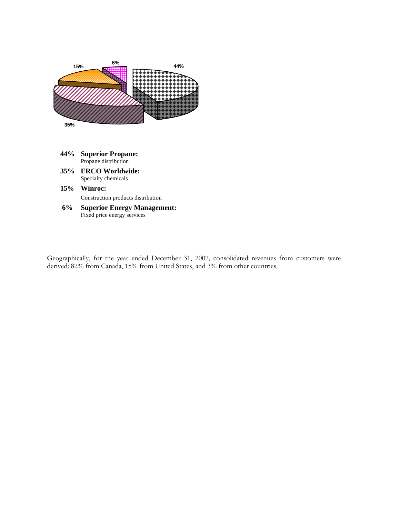

- **44% Superior Propane:**  Propane distribution
- **35% ERCO Worldwide:** Specialty chemicals
- **15% Winroc:**  Construction products distribution
- **6% Superior Energy Management:**  Fixed price energy services

Geographically, for the year ended December 31, 2007, consolidated revenues from customers were derived: 82% from Canada, 15% from United States, and 3% from other countries.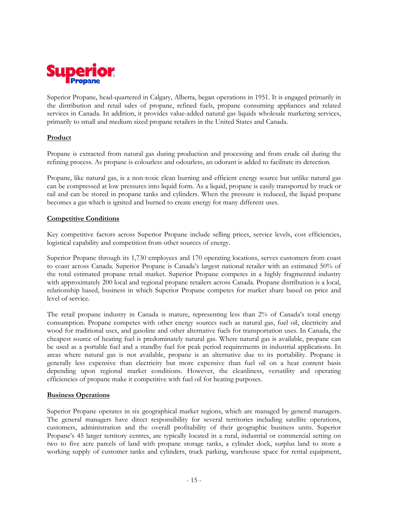

Superior Propane, head-quartered in Calgary, Alberta, began operations in 1951. It is engaged primarily in the distribution and retail sales of propane, refined fuels, propane consuming appliances and related services in Canada. In addition, it provides value-added natural gas liquids wholesale marketing services, primarily to small and medium sized propane retailers in the United States and Canada.

## **Product**

Propane is extracted from natural gas during production and processing and from crude oil during the refining process. As propane is colourless and odourless, an odorant is added to facilitate its detection.

Propane, like natural gas, is a non-toxic clean burning and efficient energy source but unlike natural gas can be compressed at low pressures into liquid form. As a liquid, propane is easily transported by truck or rail and can be stored in propane tanks and cylinders. When the pressure is reduced, the liquid propane becomes a gas which is ignited and burned to create energy for many different uses.

## **Competitive Conditions**

Key competitive factors across Superior Propane include selling prices, service levels, cost efficiencies, logistical capability and competition from other sources of energy.

Superior Propane through its 1,730 employees and 170 operating locations, serves customers from coast to coast across Canada. Superior Propane is Canada's largest national retailer with an estimated 50% of the total estimated propane retail market. Superior Propane competes in a highly fragmented industry with approximately 200 local and regional propane retailers across Canada. Propane distribution is a local, relationship based, business in which Superior Propane competes for market share based on price and level of service.

The retail propane industry in Canada is mature, representing less than 2% of Canada's total energy consumption. Propane competes with other energy sources such as natural gas, fuel oil, electricity and wood for traditional uses, and gasoline and other alternative fuels for transportation uses. In Canada, the cheapest source of heating fuel is predominately natural gas. Where natural gas is available, propane can be used as a portable fuel and a standby fuel for peak period requirements in industrial applications. In areas where natural gas is not available, propane is an alternative due to its portability. Propane is generally less expensive than electricity but more expensive than fuel oil on a heat content basis depending upon regional market conditions. However, the cleanliness, versatility and operating efficiencies of propane make it competitive with fuel oil for heating purposes.

## **Business Operations**

Superior Propane operates in six geographical market regions, which are managed by general managers. The general managers have direct responsibility for several territories including satellite operations, customers, administration and the overall profitability of their geographic business units. Superior Propane's 45 larger territory centres, are typically located in a rural, industrial or commercial setting on two to five acre parcels of land with propane storage tanks, a cylinder dock, surplus land to store a working supply of customer tanks and cylinders, truck parking, warehouse space for rental equipment,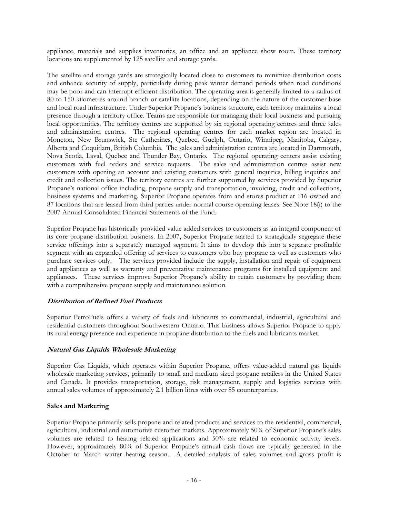appliance, materials and supplies inventories, an office and an appliance show room. These territory locations are supplemented by 125 satellite and storage yards.

The satellite and storage yards are strategically located close to customers to minimize distribution costs and enhance security of supply, particularly during peak winter demand periods when road conditions may be poor and can interrupt efficient distribution. The operating area is generally limited to a radius of 80 to 150 kilometres around branch or satellite locations, depending on the nature of the customer base and local road infrastructure. Under Superior Propane's business structure, each territory maintains a local presence through a territory office. Teams are responsible for managing their local business and pursuing local opportunities. The territory centres are supported by six regional operating centres and three sales and administration centres. The regional operating centres for each market region are located in Moncton, New Brunswick, Ste Catherines, Quebec, Guelph, Ontario, Winnipeg, Manitoba, Calgary, Alberta and Coquitlam, British Columbia. The sales and administration centres are located in Dartmouth, Nova Scotia, Laval, Quebec and Thunder Bay, Ontario. The regional operating centers assist existing customers with fuel orders and service requests. The sales and administration centres assist new customers with opening an account and existing customers with general inquiries, billing inquiries and credit and collection issues. The territory centres are further supported by services provided by Superior Propane's national office including, propane supply and transportation, invoicing, credit and collections, business systems and marketing. Superior Propane operates from and stores product at 116 owned and 87 locations that are leased from third parties under normal course operating leases. See Note 18(i) to the 2007 Annual Consolidated Financial Statements of the Fund.

Superior Propane has historically provided value added services to customers as an integral component of its core propane distribution business. In 2007, Superior Propane started to strategically segregate these service offerings into a separately managed segment. It aims to develop this into a separate profitable segment with an expanded offering of services to customers who buy propane as well as customers who purchase services only. The services provided include the supply, installation and repair of equipment and appliances as well as warranty and preventative maintenance programs for installed equipment and appliances. These services improve Superior Propane's ability to retain customers by providing them with a comprehensive propane supply and maintenance solution.

## **Distribution of Refined Fuel Products**

Superior PetroFuels offers a variety of fuels and lubricants to commercial, industrial, agricultural and residential customers throughout Southwestern Ontario. This business allows Superior Propane to apply its rural energy presence and experience in propane distribution to the fuels and lubricants market.

## **Natural Gas Liquids Wholesale Marketing**

Superior Gas Liquids, which operates within Superior Propane, offers value-added natural gas liquids wholesale marketing services, primarily to small and medium sized propane retailers in the United States and Canada. It provides transportation, storage, risk management, supply and logistics services with annual sales volumes of approximately 2.1 billion litres with over 85 counterparties.

## **Sales and Marketing**

Superior Propane primarily sells propane and related products and services to the residential, commercial, agricultural, industrial and automotive customer markets. Approximately 50% of Superior Propane's sales volumes are related to heating related applications and 50% are related to economic activity levels. However, approximately 80% of Superior Propane's annual cash flows are typically generated in the October to March winter heating season. A detailed analysis of sales volumes and gross profit is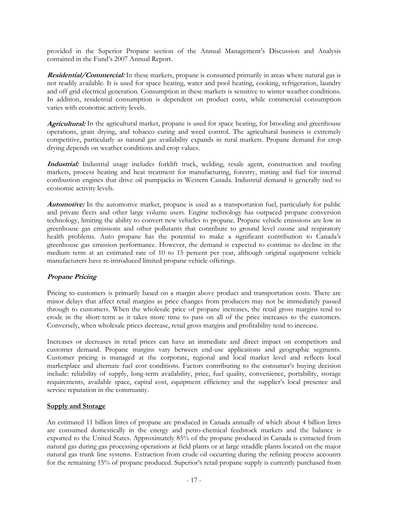provided in the Superior Propane section of the Annual Management's Discussion and Analysis contained in the Fund's 2007 Annual Report.

**Residential/Commercial:** In these markets, propane is consumed primarily in areas where natural gas is not readily available. It is used for space heating, water and pool heating, cooking, refrigeration, laundry and off grid electrical generation. Consumption in these markets is sensitive to winter weather conditions. In addition, residential consumption is dependent on product costs, while commercial consumption varies with economic activity levels.

**Agricultural:** In the agricultural market, propane is used for space heating, for brooding and greenhouse operations, grain drying, and tobacco curing and weed control. The agricultural business is extremely competitive, particularly as natural gas availability expands in rural markets. Propane demand for crop drying depends on weather conditions and crop values.

**Industrial:** Industrial usage includes forklift truck, welding, resale agent, construction and roofing markets, process heating and heat treatment for manufacturing, forestry, mining and fuel for internal combustion engines that drive oil pumpjacks in Western Canada. Industrial demand is generally tied to economic activity levels.

**Automotive:** In the automotive market, propane is used as a transportation fuel, particularly for public and private fleets and other large volume users. Engine technology has outpaced propane conversion technology, limiting the ability to convert new vehicles to propane. Propane vehicle emissions are low in greenhouse gas emissions and other pollutants that contribute to ground level ozone and respiratory health problems. Auto propane has the potential to make a significant contribution to Canada's greenhouse gas emission performance. However, the demand is expected to continue to decline in the medium term at an estimated rate of 10 to 15 percent per year, although original equipment vehicle manufacturers have re-introduced limited propane vehicle offerings.

## **Propane Pricing**

Pricing to customers is primarily based on a margin above product and transportation costs. There are minor delays that affect retail margins as price changes from producers may not be immediately passed through to customers. When the wholesale price of propane increases, the retail gross margins tend to erode in the short-term as it takes more time to pass on all of the price increases to the customers. Conversely, when wholesale prices decrease, retail gross margins and profitability tend to increase.

Increases or decreases in retail prices can have an immediate and direct impact on competitors and customer demand. Propane margins vary between end-use applications and geographic segments. Customer pricing is managed at the corporate, regional and local market level and reflects local marketplace and alternate fuel cost conditions. Factors contributing to the consumer's buying decision include: reliability of supply, long-term availability, price, fuel quality, convenience, portability, storage requirements, available space, capital cost, equipment efficiency and the supplier's local presence and service reputation in the community.

## **Supply and Storage**

An estimated 11 billion litres of propane are produced in Canada annually of which about 4 billion litres are consumed domestically in the energy and petro-chemical feedstock markets and the balance is exported to the United States. Approximately 85% of the propane produced in Canada is extracted from natural gas during gas processing operations at field plants or at large straddle plants located on the major natural gas trunk line systems. Extraction from crude oil occurring during the refining process accounts for the remaining 15% of propane produced. Superior's retail propane supply is currently purchased from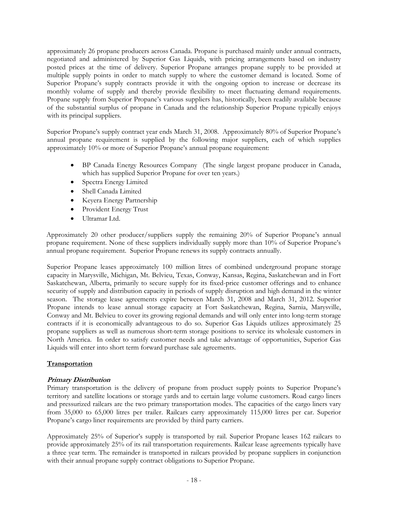approximately 26 propane producers across Canada. Propane is purchased mainly under annual contracts, negotiated and administered by Superior Gas Liquids, with pricing arrangements based on industry posted prices at the time of delivery. Superior Propane arranges propane supply to be provided at multiple supply points in order to match supply to where the customer demand is located. Some of Superior Propane's supply contracts provide it with the ongoing option to increase or decrease its monthly volume of supply and thereby provide flexibility to meet fluctuating demand requirements. Propane supply from Superior Propane's various suppliers has, historically, been readily available because of the substantial surplus of propane in Canada and the relationship Superior Propane typically enjoys with its principal suppliers.

Superior Propane's supply contract year ends March 31, 2008. Approximately 80% of Superior Propane's annual propane requirement is supplied by the following major suppliers, each of which supplies approximately 10% or more of Superior Propane's annual propane requirement:

- BP Canada Energy Resources Company (The single largest propane producer in Canada, which has supplied Superior Propane for over ten years.)
- Spectra Energy Limited
- Shell Canada Limited
- Keyera Energy Partnership
- Provident Energy Trust
- Ultramar Ltd.

Approximately 20 other producer/suppliers supply the remaining 20% of Superior Propane's annual propane requirement. None of these suppliers individually supply more than 10% of Superior Propane's annual propane requirement. Superior Propane renews its supply contracts annually.

Superior Propane leases approximately 100 million litres of combined underground propane storage capacity in Marysville, Michigan, Mt. Belvieu, Texas, Conway, Kansas, Regina, Saskatchewan and in Fort Saskatchewan, Alberta, primarily to secure supply for its fixed-price customer offerings and to enhance security of supply and distribution capacity in periods of supply disruption and high demand in the winter season. The storage lease agreements expire between March 31, 2008 and March 31, 2012. Superior Propane intends to lease annual storage capacity at Fort Saskatchewan, Regina, Sarnia, Marysville, Conway and Mt. Belvieu to cover its growing regional demands and will only enter into long-term storage contracts if it is economically advantageous to do so. Superior Gas Liquids utilizes approximately 25 propane suppliers as well as numerous short-term storage positions to service its wholesale customers in North America. In order to satisfy customer needs and take advantage of opportunities, Superior Gas Liquids will enter into short term forward purchase sale agreements.

## **Transportation**

## **Primary Distribution**

Primary transportation is the delivery of propane from product supply points to Superior Propane's territory and satellite locations or storage yards and to certain large volume customers. Road cargo liners and pressurized railcars are the two primary transportation modes. The capacities of the cargo liners vary from 35,000 to 65,000 litres per trailer. Railcars carry approximately 115,000 litres per car. Superior Propane's cargo liner requirements are provided by third party carriers.

Approximately 25% of Superior's supply is transported by rail. Superior Propane leases 162 railcars to provide approximately 25% of its rail transportation requirements. Railcar lease agreements typically have a three year term. The remainder is transported in railcars provided by propane suppliers in conjunction with their annual propane supply contract obligations to Superior Propane.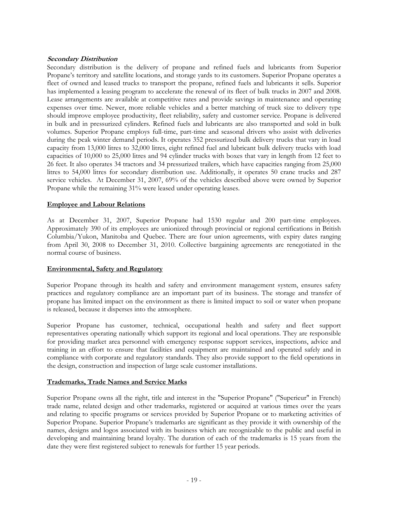## **Secondary Distribution**

Secondary distribution is the delivery of propane and refined fuels and lubricants from Superior Propane's territory and satellite locations, and storage yards to its customers. Superior Propane operates a fleet of owned and leased trucks to transport the propane, refined fuels and lubricants it sells. Superior has implemented a leasing program to accelerate the renewal of its fleet of bulk trucks in 2007 and 2008. Lease arrangements are available at competitive rates and provide savings in maintenance and operating expenses over time. Newer, more reliable vehicles and a better matching of truck size to delivery type should improve employee productivity, fleet reliability, safety and customer service. Propane is delivered in bulk and in pressurized cylinders. Refined fuels and lubricants are also transported and sold in bulk volumes. Superior Propane employs full-time, part-time and seasonal drivers who assist with deliveries during the peak winter demand periods. It operates 352 pressurized bulk delivery trucks that vary in load capacity from 13,000 litres to 32,000 litres, eight refined fuel and lubricant bulk delivery trucks with load capacities of 10,000 to 25,000 litres and 94 cylinder trucks with boxes that vary in length from 12 feet to 26 feet. It also operates 34 tractors and 34 pressurized trailers, which have capacities ranging from 25,000 litres to 54,000 litres for secondary distribution use. Additionally, it operates 50 crane trucks and 287 service vehicles. At December 31, 2007, 69% of the vehicles described above were owned by Superior Propane while the remaining 31% were leased under operating leases.

## **Employee and Labour Relations**

As at December 31, 2007, Superior Propane had 1530 regular and 200 part-time employees. Approximately 390 of its employees are unionized through provincial or regional certifications in British Columbia/Yukon, Manitoba and Quebec. There are four union agreements, with expiry dates ranging from April 30, 2008 to December 31, 2010. Collective bargaining agreements are renegotiated in the normal course of business.

## **Environmental, Safety and Regulatory**

Superior Propane through its health and safety and environment management system, ensures safety practices and regulatory compliance are an important part of its business. The storage and transfer of propane has limited impact on the environment as there is limited impact to soil or water when propane is released, because it disperses into the atmosphere.

Superior Propane has customer, technical, occupational health and safety and fleet support representatives operating nationally which support its regional and local operations. They are responsible for providing market area personnel with emergency response support services, inspections, advice and training in an effort to ensure that facilities and equipment are maintained and operated safely and in compliance with corporate and regulatory standards. They also provide support to the field operations in the design, construction and inspection of large scale customer installations.

## **Trademarks, Trade Names and Service Marks**

Superior Propane owns all the right, title and interest in the "Superior Propane" ("Superieur" in French) trade name, related design and other trademarks, registered or acquired at various times over the years and relating to specific programs or services provided by Superior Propane or to marketing activities of Superior Propane. Superior Propane's trademarks are significant as they provide it with ownership of the names, designs and logos associated with its business which are recognizable to the public and useful in developing and maintaining brand loyalty. The duration of each of the trademarks is 15 years from the date they were first registered subject to renewals for further 15 year periods.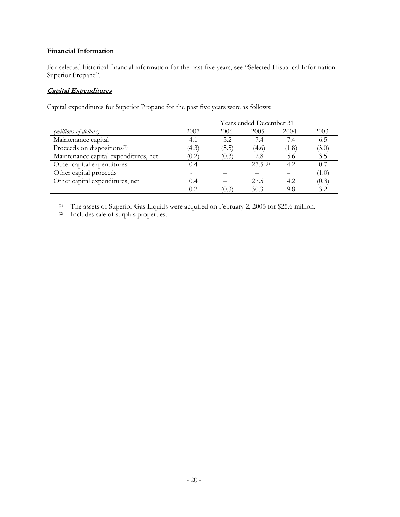## **Financial Information**

For selected historical financial information for the past five years, see "Selected Historical Information – Superior Propane".

## **Capital Expenditures**

Capital expenditures for Superior Propane for the past five years were as follows:

|                                         | Years ended December 31 |       |         |       |                          |  |
|-----------------------------------------|-------------------------|-------|---------|-------|--------------------------|--|
| (millions of dollars)                   | 2007                    | 2006  | 2005    | 2004  | 2003                     |  |
| Maintenance capital                     | 4.1                     | 5.2   | 7.4     | 7.4   | 6.5                      |  |
| Proceeds on dispositions <sup>(2)</sup> | (4.3)                   | (5.5) | (4.6)   | (1.8) | (3.0)                    |  |
| Maintenance capital expenditures, net   | (0.2)                   | (0.3) | 2.8     | 5.6   | 3.5                      |  |
| Other capital expenditures              |                         |       | 27.5(1) | 4.2.  | 0.7                      |  |
| Other capital proceeds                  |                         |       |         |       | $^{\prime} 1.0^{\prime}$ |  |
| Other capital expenditures, net         | (0.4)                   |       | 27.5    | 4.2   | (0.3)                    |  |
|                                         | 02                      | (0.3) | 30.3    | 9.8   | 32                       |  |

(1) The assets of Superior Gas Liquids were acquired on February 2, 2005 for \$25.6 million.

(2) Includes sale of surplus properties.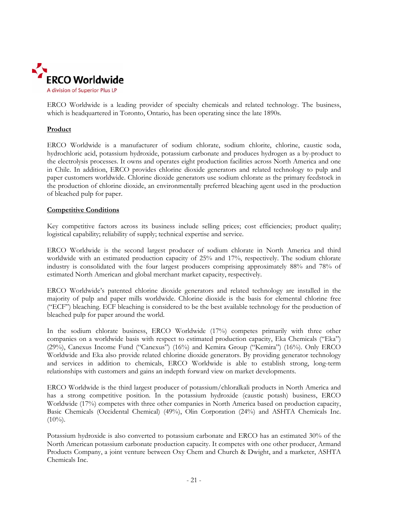

ERCO Worldwide is a leading provider of specialty chemicals and related technology. The business, which is headquartered in Toronto, Ontario, has been operating since the late 1890s.

## **Product**

ERCO Worldwide is a manufacturer of sodium chlorate, sodium chlorite, chlorine, caustic soda, hydrochloric acid, potassium hydroxide, potassium carbonate and produces hydrogen as a by-product to the electrolysis processes. It owns and operates eight production facilities across North America and one in Chile. In addition, ERCO provides chlorine dioxide generators and related technology to pulp and paper customers worldwide. Chlorine dioxide generators use sodium chlorate as the primary feedstock in the production of chlorine dioxide, an environmentally preferred bleaching agent used in the production of bleached pulp for paper.

## **Competitive Conditions**

Key competitive factors across its business include selling prices; cost efficiencies; product quality; logistical capability; reliability of supply; technical expertise and service.

ERCO Worldwide is the second largest producer of sodium chlorate in North America and third worldwide with an estimated production capacity of 25% and 17%, respectively. The sodium chlorate industry is consolidated with the four largest producers comprising approximately 88% and 78% of estimated North American and global merchant market capacity, respectively.

ERCO Worldwide's patented chlorine dioxide generators and related technology are installed in the majority of pulp and paper mills worldwide. Chlorine dioxide is the basis for elemental chlorine free ("ECF") bleaching. ECF bleaching is considered to be the best available technology for the production of bleached pulp for paper around the world.

In the sodium chlorate business, ERCO Worldwide (17%) competes primarily with three other companies on a worldwide basis with respect to estimated production capacity, Eka Chemicals ("Eka") (29%), Canexus Income Fund ("Canexus") (16%) and Kemira Group ("Kemira") (16%). Only ERCO Worldwide and Eka also provide related chlorine dioxide generators. By providing generator technology and services in addition to chemicals, ERCO Worldwide is able to establish strong, long-term relationships with customers and gains an indepth forward view on market developments.

ERCO Worldwide is the third largest producer of potassium/chloralkali products in North America and has a strong competitive position. In the potassium hydroxide (caustic potash) business, ERCO Worldwide (17%) competes with three other companies in North America based on production capacity, Basic Chemicals (Occidental Chemical) (49%), Olin Corporation (24%) and ASHTA Chemicals Inc.  $(10\%)$ .

Potassium hydroxide is also converted to potassium carbonate and ERCO has an estimated 30% of the North American potassium carbonate production capacity. It competes with one other producer, Armand Products Company, a joint venture between Oxy Chem and Church & Dwight, and a marketer, ASHTA Chemicals Inc.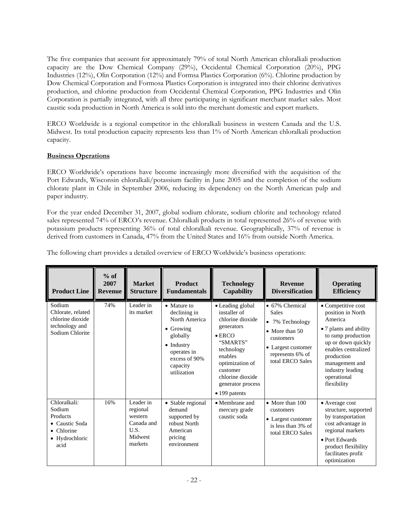The five companies that account for approximately 79% of total North American chloralkali production capacity are the Dow Chemical Company (29%), Occidental Chemical Corporation (20%), PPG Industries (12%), Olin Corporation (12%) and Formsa Plastics Corporation (6%). Chlorine production by Dow Chemical Corporation and Formosa Plastics Corporation is integrated into their chlorine derivatives production, and chlorine production from Occidental Chemical Corporation, PPG Industries and Olin Corporation is partially integrated, with all three participating in significant merchant market sales. Most caustic soda production in North America is sold into the merchant domestic and export markets.

ERCO Worldwide is a regional competitor in the chloralkali business in western Canada and the U.S. Midwest. Its total production capacity represents less than 1% of North American chloralkali production capacity.

## **Business Operations**

ERCO Worldwide's operations have become increasingly more diversified with the acquisition of the Port Edwards, Wisconsin chloralkali/potassium facility in June 2005 and the completion of the sodium chlorate plant in Chile in September 2006, reducing its dependency on the North American pulp and paper industry.

For the year ended December 31, 2007, global sodium chlorate, sodium chlorite and technology related sales represented 74% of ERCO's revenue. Chloralkali products in total represented 26% of revenue with potassium products representing 36% of total chloralkali revenue. Geographically, 37% of revenue is derived from customers in Canada, 47% from the United States and 16% from outside North America.

| <b>Product Line</b>                                                                                  | $%$ of<br>2007<br><b>Revenue</b> | <b>Market</b><br><b>Structure</b>                                            | <b>Product</b><br><b>Fundamentals</b>                                                                                                                          | <b>Technology</b><br><b>Capability</b>                                                                                                                                                                             | <b>Revenue</b><br><b>Diversification</b>                                                                                                               | <b>Operating</b><br><b>Efficiency</b>                                                                                                                                                                                             |
|------------------------------------------------------------------------------------------------------|----------------------------------|------------------------------------------------------------------------------|----------------------------------------------------------------------------------------------------------------------------------------------------------------|--------------------------------------------------------------------------------------------------------------------------------------------------------------------------------------------------------------------|--------------------------------------------------------------------------------------------------------------------------------------------------------|-----------------------------------------------------------------------------------------------------------------------------------------------------------------------------------------------------------------------------------|
| Sodium<br>Chlorate, related<br>chlorine dioxide<br>technology and<br>Sodium Chlorite                 | 74%                              | Leader in<br>its market                                                      | • Mature to<br>declining in<br>North America<br>$\bullet$ Growing<br>globally<br>$\bullet$ Industry<br>operates in<br>excess of 90%<br>capacity<br>utilization | • Leading global<br>installer of<br>chlorine dioxide<br>generators<br>$\bullet$ ERCO<br>"SMARTS"<br>technology<br>enables<br>optimization of<br>customer<br>chlorine dioxide<br>generator process<br>• 199 patents | • 67% Chemical<br><b>Sales</b><br>• 7% Technology<br>$\bullet$ More than 50<br>customers<br>• Largest customer<br>represents 6% of<br>total ERCO Sales | • Competitive cost<br>position in North<br>America<br>• 7 plants and ability<br>to ramp production<br>up or down quickly<br>enables centralized<br>production<br>management and<br>industry leading<br>operational<br>flexibility |
| Chloralkali:<br>Sodium<br>Products<br>• Caustic Soda<br>$\bullet$ Chlorine<br>• Hydrochloric<br>acid | 16%                              | Leader in<br>regional<br>western<br>Canada and<br>U.S.<br>Midwest<br>markets | • Stable regional<br>demand<br>supported by<br>robust North<br>American<br>pricing<br>environment                                                              | • Membrane and<br>mercury grade<br>caustic soda                                                                                                                                                                    | $\bullet$ More than 100<br>customers<br>• Largest customer<br>is less than 3% of<br>total ERCO Sales                                                   | • Average cost<br>structure, supported<br>by transportation<br>cost advantage in<br>regional markets<br>• Port Edwards<br>product flexibility<br>facilitates profit<br>optimization                                               |

The following chart provides a detailed overview of ERCO Worldwide's business operations: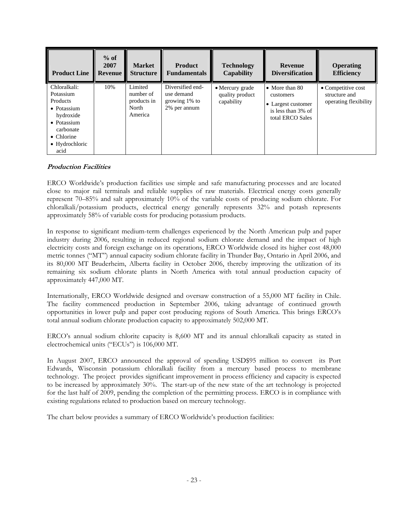| <b>Product Line</b>                                                                                                                                  | $%$ of<br>2007<br><b>Revenue</b> | <b>Market</b><br><b>Structure</b>                       | <b>Product</b><br><b>Fundamentals</b>                           | <b>Technology</b><br><b>Capability</b>           | <b>Revenue</b><br><b>Diversification</b>                                                            | <b>Operating</b><br><b>Efficiency</b>                                |
|------------------------------------------------------------------------------------------------------------------------------------------------------|----------------------------------|---------------------------------------------------------|-----------------------------------------------------------------|--------------------------------------------------|-----------------------------------------------------------------------------------------------------|----------------------------------------------------------------------|
| Chloralkali:<br>Potassium<br><b>Products</b><br>• Potassium<br>hydroxide<br>• Potassium<br>carbonate<br>$\bullet$ Chlorine<br>• Hydrochloric<br>acid | 10%                              | Limited<br>number of<br>products in<br>North<br>America | Diversified end-<br>use demand<br>growing 1% to<br>2% per annum | • Mercury grade<br>quality product<br>capability | $\bullet$ More than 80<br>customers<br>• Largest customer<br>is less than 3% of<br>total ERCO Sales | $\bullet$ Competitive cost<br>structure and<br>operating flexibility |

## **Production Facilities**

ERCO Worldwide's production facilities use simple and safe manufacturing processes and are located close to major rail terminals and reliable supplies of raw materials. Electrical energy costs generally represent 70–85% and salt approximately 10% of the variable costs of producing sodium chlorate. For chloralkali/potassium products, electrical energy generally represents 32% and potash represents approximately 58% of variable costs for producing potassium products.

In response to significant medium-term challenges experienced by the North American pulp and paper industry during 2006, resulting in reduced regional sodium chlorate demand and the impact of high electricity costs and foreign exchange on its operations, ERCO Worldwide closed its higher cost 48,000 metric tonnes ("MT") annual capacity sodium chlorate facility in Thunder Bay, Ontario in April 2006, and its 80,000 MT Bruderheim, Alberta facility in October 2006, thereby improving the utilization of its remaining six sodium chlorate plants in North America with total annual production capacity of approximately 447,000 MT.

Internationally, ERCO Worldwide designed and oversaw construction of a 55,000 MT facility in Chile. The facility commenced production in September 2006, taking advantage of continued growth opportunities in lower pulp and paper cost producing regions of South America. This brings ERCO's total annual sodium chlorate production capacity to approximately 502,000 MT.

ERCO's annual sodium chlorite capacity is 8,600 MT and its annual chloralkali capacity as stated in electrochemical units ("ECUs") is 106,000 MT.

In August 2007, ERCO announced the approval of spending USD\$95 million to convert its Port Edwards, Wisconsin potassium chloralkali facility from a mercury based process to membrane technology. The project provides significant improvement in process efficiency and capacity is expected to be increased by approximately 30%. The start-up of the new state of the art technology is projected for the last half of 2009, pending the completion of the permitting process. ERCO is in compliance with existing regulations related to production based on mercury technology.

The chart below provides a summary of ERCO Worldwide's production facilities: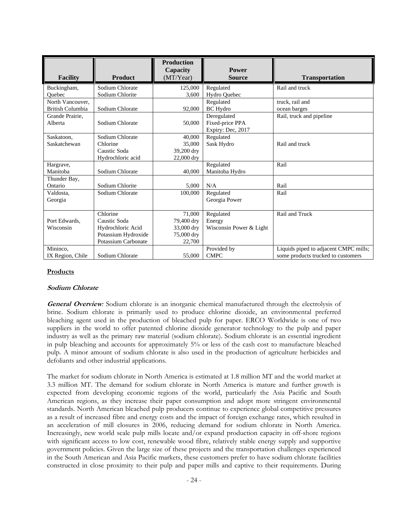| <b>Facility</b>         | <b>Product</b>      | <b>Production</b><br>Capacity<br>(MT/Year) | <b>Power</b><br><b>Source</b> | <b>Transportation</b>                 |
|-------------------------|---------------------|--------------------------------------------|-------------------------------|---------------------------------------|
| Buckingham,             | Sodium Chlorate     | 125,000                                    | Regulated                     | Rail and truck                        |
| Ouebec                  | Sodium Chlorite     | 3,600                                      | Hydro Quebec                  |                                       |
| North Vancouver.        |                     |                                            | Regulated                     | truck, rail and                       |
| <b>British Columbia</b> | Sodium Chlorate     | 92,000                                     | <b>BC</b> Hydro               | ocean barges                          |
| Grande Prairie,         |                     |                                            | Deregulated                   | Rail, truck and pipeline              |
| Alberta                 | Sodium Chlorate     | 50,000                                     | Fixed-price PPA               |                                       |
|                         |                     |                                            | Expiry: Dec, 2017             |                                       |
| Saskatoon,              | Sodium Chlorate     | 40,000                                     | Regulated                     |                                       |
| Saskatchewan            | Chlorine            | 35,000                                     | Sask Hydro                    | Rail and truck                        |
|                         | Caustic Soda        | 39,200 dry                                 |                               |                                       |
|                         | Hydrochloric acid   | 22,000 dry                                 |                               |                                       |
| Hargrave,               |                     |                                            | Regulated                     | Rail                                  |
| Manitoba                | Sodium Chlorate     | 40,000                                     | Manitoba Hydro                |                                       |
| Thunder Bay,            |                     |                                            |                               |                                       |
| Ontario                 | Sodium Chlorite     | 5,000                                      | N/A                           | Rail                                  |
| Valdosta,               | Sodium Chlorate     | 100,000                                    | Regulated                     | Rail                                  |
| Georgia                 |                     |                                            | Georgia Power                 |                                       |
|                         |                     |                                            |                               |                                       |
|                         | Chlorine            | 71,000                                     | Regulated                     | Rail and Truck                        |
| Port Edwards,           | Caustic Soda        | 79,400 dry                                 | Energy                        |                                       |
| Wisconsin               | Hydrochloric Acid   | 33,000 dry                                 | Wisconsin Power & Light       |                                       |
|                         | Potassium Hydroxide | 75,000 dry                                 |                               |                                       |
|                         | Potassium Carbonate | 22,700                                     |                               |                                       |
| Mininco,                |                     |                                            | Provided by                   | Liquids piped to adjacent CMPC mills; |
| IX Region, Chile        | Sodium Chlorate     | 55,000                                     | <b>CMPC</b>                   | some products trucked to customers    |

## **Products**

## **Sodium Chlorate**

**General Overview***:* Sodium chlorate is an inorganic chemical manufactured through the electrolysis of brine. Sodium chlorate is primarily used to produce chlorine dioxide, an environmental preferred bleaching agent used in the production of bleached pulp for paper. ERCO Worldwide is one of two suppliers in the world to offer patented chlorine dioxide generator technology to the pulp and paper industry as well as the primary raw material (sodium chlorate). Sodium chlorate is an essential ingredient in pulp bleaching and accounts for approximately 5% or less of the cash cost to manufacture bleached pulp. A minor amount of sodium chlorate is also used in the production of agriculture herbicides and defoliants and other industrial applications.

The market for sodium chlorate in North America is estimated at 1.8 million MT and the world market at 3.3 million MT. The demand for sodium chlorate in North America is mature and further growth is expected from developing economic regions of the world, particularly the Asia Pacific and South American regions, as they increase their paper consumption and adopt more stringent environmental standards. North American bleached pulp producers continue to experience global competitive pressures as a result of increased fibre and energy costs and the impact of foreign exchange rates, which resulted in an acceleration of mill closures in 2006, reducing demand for sodium chlorate in North America. Increasingly, new world scale pulp mills locate and/or expand production capacity in off-shore regions with significant access to low cost, renewable wood fibre, relatively stable energy supply and supportive government policies. Given the large size of these projects and the transportation challenges experienced in the South American and Asia Pacific markets, these customers prefer to have sodium chlorate facilities constructed in close proximity to their pulp and paper mills and captive to their requirements. During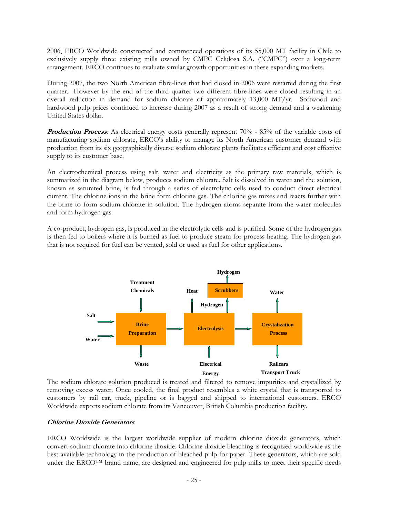2006, ERCO Worldwide constructed and commenced operations of its 55,000 MT facility in Chile to exclusively supply three existing mills owned by CMPC Celulosa S.A. ("CMPC") over a long-term arrangement. ERCO continues to evaluate similar growth opportunities in these expanding markets.

During 2007, the two North American fibre-lines that had closed in 2006 were restarted during the first quarter. However by the end of the third quarter two different fibre-lines were closed resulting in an overall reduction in demand for sodium chlorate of approximately 13,000 MT/yr. Softwood and hardwood pulp prices continued to increase during 2007 as a result of strong demand and a weakening United States dollar.

**Production Process**: As electrical energy costs generally represent 70% - 85% of the variable costs of manufacturing sodium chlorate, ERCO's ability to manage its North American customer demand with production from its six geographically diverse sodium chlorate plants facilitates efficient and cost effective supply to its customer base.

An electrochemical process using salt, water and electricity as the primary raw materials, which is summarized in the diagram below, produces sodium chlorate. Salt is dissolved in water and the solution, known as saturated brine, is fed through a series of electrolytic cells used to conduct direct electrical current. The chlorine ions in the brine form chlorine gas. The chlorine gas mixes and reacts further with the brine to form sodium chlorate in solution. The hydrogen atoms separate from the water molecules and form hydrogen gas.

A co-product, hydrogen gas, is produced in the electrolytic cells and is purified. Some of the hydrogen gas is then fed to boilers where it is burned as fuel to produce steam for process heating. The hydrogen gas that is not required for fuel can be vented, sold or used as fuel for other applications.



The sodium chlorate solution produced is treated and filtered to remove impurities and crystallized by removing excess water. Once cooled, the final product resembles a white crystal that is transported to customers by rail car, truck, pipeline or is bagged and shipped to international customers. ERCO Worldwide exports sodium chlorate from its Vancouver, British Columbia production facility.

#### **Chlorine Dioxide Generators**

ERCO Worldwide is the largest worldwide supplier of modern chlorine dioxide generators, which convert sodium chlorate into chlorine dioxide. Chlorine dioxide bleaching is recognized worldwide as the best available technology in the production of bleached pulp for paper. These generators, which are sold under the ERCO<sup>™</sup> brand name, are designed and engineered for pulp mills to meet their specific needs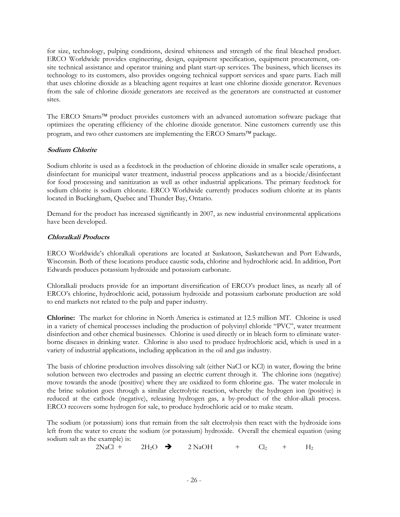for size, technology, pulping conditions, desired whiteness and strength of the final bleached product. ERCO Worldwide provides engineering, design, equipment specification, equipment procurement, onsite technical assistance and operator training and plant start-up services. The business, which licenses its technology to its customers, also provides ongoing technical support services and spare parts. Each mill that uses chlorine dioxide as a bleaching agent requires at least one chlorine dioxide generator. Revenues from the sale of chlorine dioxide generators are received as the generators are constructed at customer sites.

The ERCO Smarts™ product provides customers with an advanced automation software package that optimizes the operating efficiency of the chlorine dioxide generator. Nine customers currently use this program, and two other customers are implementing the ERCO Smarts™ package.

## **Sodium Chlorite**

Sodium chlorite is used as a feedstock in the production of chlorine dioxide in smaller scale operations, a disinfectant for municipal water treatment, industrial process applications and as a biocide/disinfectant for food processing and sanitization as well as other industrial applications. The primary feedstock for sodium chlorite is sodium chlorate. ERCO Worldwide currently produces sodium chlorite at its plants located in Buckingham, Quebec and Thunder Bay, Ontario.

Demand for the product has increased significantly in 2007, as new industrial environmental applications have been developed.

## **Chloralkali Products**

ERCO Worldwide's chloralkali operations are located at Saskatoon, Saskatchewan and Port Edwards, Wisconsin. Both of these locations produce caustic soda, chlorine and hydrochloric acid. In addition, Port Edwards produces potassium hydroxide and potassium carbonate.

Chloralkali products provide for an important diversification of ERCO's product lines, as nearly all of ERCO's chlorine, hydrochloric acid, potassium hydroxide and potassium carbonate production are sold to end markets not related to the pulp and paper industry.

**Chlorine:** The market for chlorine in North America is estimated at 12.5 million MT. Chlorine is used in a variety of chemical processes including the production of polyvinyl chloride "PVC", water treatment disinfection and other chemical businesses. Chlorine is used directly or in bleach form to eliminate waterborne diseases in drinking water. Chlorine is also used to produce hydrochloric acid, which is used in a variety of industrial applications, including application in the oil and gas industry.

The basis of chlorine production involves dissolving salt (either NaCl or KCl) in water, flowing the brine solution between two electrodes and passing an electric current through it. The chlorine ions (negative) move towards the anode (positive) where they are oxidized to form chlorine gas. The water molecule in the brine solution goes through a similar electrolytic reaction, whereby the hydrogen ion (positive) is reduced at the cathode (negative), releasing hydrogen gas, a by-product of the chlor-alkali process. ERCO recovers some hydrogen for sale, to produce hydrochloric acid or to make steam.

The sodium (or potassium) ions that remain from the salt electrolysis then react with the hydroxide ions left from the water to create the sodium (or potassium) hydroxide. Overall the chemical equation (using sodium salt as the example) is:

 $2NaCl + 2H_2O \rightarrow 2NaOH + Cl_2 + H_2$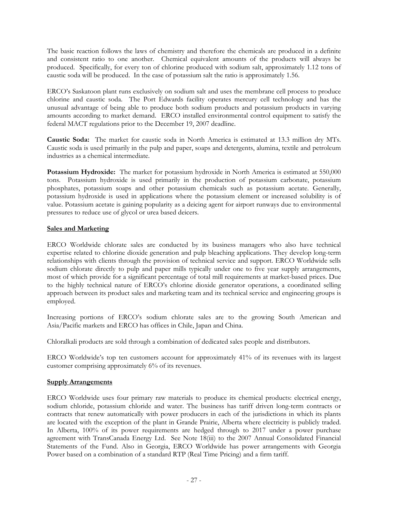The basic reaction follows the laws of chemistry and therefore the chemicals are produced in a definite and consistent ratio to one another. Chemical equivalent amounts of the products will always be produced. Specifically, for every ton of chlorine produced with sodium salt, approximately 1.12 tons of caustic soda will be produced. In the case of potassium salt the ratio is approximately 1.56.

ERCO's Saskatoon plant runs exclusively on sodium salt and uses the membrane cell process to produce chlorine and caustic soda. The Port Edwards facility operates mercury cell technology and has the unusual advantage of being able to produce both sodium products and potassium products in varying amounts according to market demand. ERCO installed environmental control equipment to satisfy the federal MACT regulations prior to the December 19, 2007 deadline.

 **Caustic Soda:** The market for caustic soda in North America is estimated at 13.3 million dry MTs. Caustic soda is used primarily in the pulp and paper, soaps and detergents, alumina, textile and petroleum industries as a chemical intermediate.

**Potassium Hydroxide:** The market for potassium hydroxide in North America is estimated at 550,000 tons. Potassium hydroxide is used primarily in the production of potassium carbonate, potassium phosphates, potassium soaps and other potassium chemicals such as potassium acetate. Generally, potassium hydroxide is used in applications where the potassium element or increased solubility is of value. Potassium acetate is gaining popularity as a deicing agent for airport runways due to environmental pressures to reduce use of glycol or urea based deicers.

## **Sales and Marketing**

ERCO Worldwide chlorate sales are conducted by its business managers who also have technical expertise related to chlorine dioxide generation and pulp bleaching applications. They develop long-term relationships with clients through the provision of technical service and support. ERCO Worldwide sells sodium chlorate directly to pulp and paper mills typically under one to five year supply arrangements, most of which provide for a significant percentage of total mill requirements at market-based prices. Due to the highly technical nature of ERCO's chlorine dioxide generator operations, a coordinated selling approach between its product sales and marketing team and its technical service and engineering groups is employed.

Increasing portions of ERCO's sodium chlorate sales are to the growing South American and Asia/Pacific markets and ERCO has offices in Chile, Japan and China.

Chloralkali products are sold through a combination of dedicated sales people and distributors.

ERCO Worldwide's top ten customers account for approximately 41% of its revenues with its largest customer comprising approximately 6% of its revenues.

## **Supply Arrangements**

ERCO Worldwide uses four primary raw materials to produce its chemical products: electrical energy, sodium chloride, potassium chloride and water. The business has tariff driven long-term contracts or contracts that renew automatically with power producers in each of the jurisdictions in which its plants are located with the exception of the plant in Grande Prairie, Alberta where electricity is publicly traded. In Alberta, 100% of its power requirements are hedged through to 2017 under a power purchase agreement with TransCanada Energy Ltd. See Note 18(iii) to the 2007 Annual Consolidated Financial Statements of the Fund. Also in Georgia, ERCO Worldwide has power arrangements with Georgia Power based on a combination of a standard RTP (Real Time Pricing) and a firm tariff.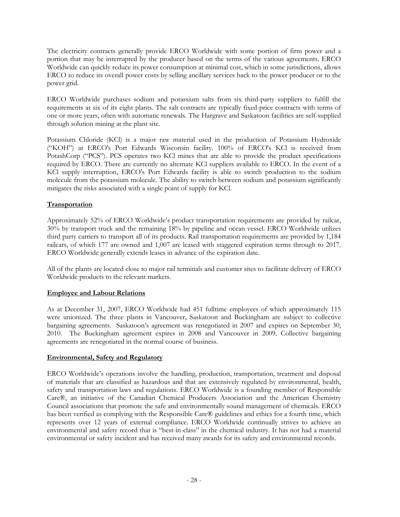The electricity contracts generally provide ERCO Worldwide with some portion of firm power and a portion that may be interrupted by the producer based on the terms of the various agreements. ERCO Worldwide can quickly reduce its power consumption at minimal cost, which in some jurisdictions, allows ERCO to reduce its overall power costs by selling ancillary services back to the power producer or to the power grid.

ERCO Worldwide purchases sodium and potassium salts from six third-party suppliers to fulfill the requirements at six of its eight plants. The salt contracts are typically fixed-price contracts with terms of one or more years, often with automatic renewals. The Hargrave and Saskatoon facilities are self-supplied through solution mining at the plant site.

Potassium Chloride (KCl) is a major raw material used in the production of Potassium Hydroxide ("KOH") at ERCO's Port Edwards Wisconsin facility. 100% of ERCO's KCl is received from PotashCorp ("PCS"). PCS operates two KCl mines that are able to provide the product specifications required by ERCO. There are currently no alternate KCl suppliers available to ERCO. In the event of a KCl supply interruption, ERCO's Port Edwards facility is able to switch production to the sodium molecule from the potassium molecule. The ability to switch between sodium and potassium significantly mitigates the risks associated with a single point of supply for KCl.

## **Transportation**

Approximately 52% of ERCO Worldwide's product transportation requirements are provided by railcar, 30% by transport truck and the remaining 18% by pipeline and ocean vessel. ERCO Worldwide utilizes third party carriers to transport all of its products. Rail transportation requirements are provided by 1,184 railcars, of which 177 are owned and 1,007 are leased with staggered expiration terms through to 2017. ERCO Worldwide generally extends leases in advance of the expiration date.

All of the plants are located close to major rail terminals and customer sites to facilitate delivery of ERCO Worldwide products to the relevant markets.

## **Employee and Labour Relations**

As at December 31, 2007, ERCO Worldwide had 451 fulltime employees of which approximately 115 were unionized. The three plants in Vancouver, Saskatoon and Buckingham are subject to collective bargaining agreements. Saskatoon's agreement was renegotiated in 2007 and expires on September 30, 2010. The Buckingham agreement expires in 2008 and Vancouver in 2009. Collective bargaining agreements are renegotiated in the normal course of business.

## **Environmental, Safety and Regulatory**

ERCO Worldwide's operations involve the handling, production, transportation, treatment and disposal of materials that are classified as hazardous and that are extensively regulated by environmental, health, safety and transportation laws and regulations. ERCO Worldwide is a founding member of Responsible Care®, an initiative of the Canadian Chemical Producers Association and the American Chemistry Council associations that promote the safe and environmentally sound management of chemicals. ERCO has been verified as complying with the Responsible Care® guidelines and ethics for a fourth time, which represents over 12 years of external compliance. ERCO Worldwide continually strives to achieve an environmental and safety record that is "best-in-class" in the chemical industry. It has not had a material environmental or safety incident and has received many awards for its safety and environmental records.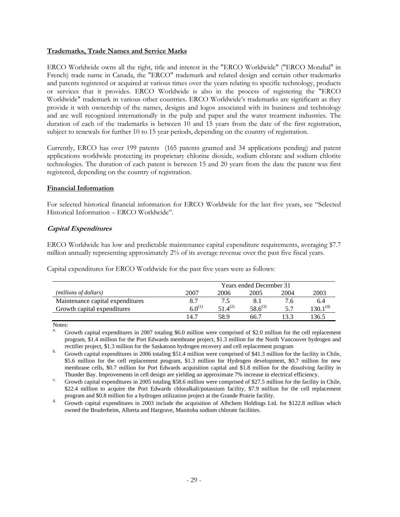## **Trademarks, Trade Names and Service Marks**

ERCO Worldwide owns all the right, title and interest in the "ERCO Worldwide" ("ERCO Mondial" in French) trade name in Canada, the "ERCO" trademark and related design and certain other trademarks and patents registered or acquired at various times over the years relating to specific technology, products or services that it provides. ERCO Worldwide is also in the process of registering the "ERCO Worldwide" trademark in various other countries. ERCO Worldwide's trademarks are significant as they provide it with ownership of the names, designs and logos associated with its business and technology and are well recognized internationally in the pulp and paper and the water treatment industries. The duration of each of the trademarks is between 10 and 15 years from the date of the first registration, subject to renewals for further 10 to 15 year periods, depending on the country of registration.

Currently, ERCO has over 199 patents (165 patents granted and 34 applications pending) and patent applications worldwide protecting its proprietary chlorine dioxide, sodium chlorate and sodium chlorite technologies. The duration of each patent is between 15 and 20 years from the date the patent was first registered, depending on the country of registration.

## **Financial Information**

For selected historical financial information for ERCO Worldwide for the last five years, see "Selected Historical Information – ERCO Worldwide".

## **Capital Expenditures**

ERCO Worldwide has low and predictable maintenance capital expenditure requirements, averaging \$7.7 million annually representing approximately 2% of its average revenue over the past five fiscal years.

Capital expenditures for ERCO Worldwide for the past five years were as follows:

|                                  | <b>Years ended December 31</b>       |              |              |      |               |  |  |
|----------------------------------|--------------------------------------|--------------|--------------|------|---------------|--|--|
| (millions of dollars)            | 2004<br>2003<br>2006<br>2007<br>2005 |              |              |      |               |  |  |
| Maintenance capital expenditures |                                      |              |              | 7.6  | 6.4           |  |  |
| Growth capital expenditures      | $6.0^{(1)}$                          | $51.4^{(2)}$ | $58.6^{(3)}$ | 57   | $130.1^{(4)}$ |  |  |
|                                  | 14.7                                 | 58.9         | 66 7         | 13.3 | 136.5         |  |  |

Notes:

a. Growth capital expenditures in 2007 totaling \$6.0 million were comprised of \$2.0 million for the cell replacement program, \$1.4 million for the Port Edwards membrane project, \$1.3 million for the North Vancouver hydrogen and

rectifier project, \$1.3 million for the Saskatoon hydrogen recovery and cell replacement program Growth capital expenditures in 2006 totaling \$51.4 million were comprised of \$41.3 million for the facility in Chile, \$5.6 million for the cell replacement program, \$1.3 million for Hydrogen development, \$0.7 million for new membrane cells, \$0.7 million for Port Edwards acquisition capital and \$1.8 million for the dissolving facility in

Thunder Bay. Improvements in cell design are yielding an approximate 7% increase in electrical efficiency.<br>
Growth capital expenditures in 2005 totaling \$58.6 million were comprised of \$27.5 million for the facility in Chi \$22.4 million to acquire the Port Edwards chloralkali/potassium facility, \$7.9 million for the cell replacement

program and \$0.8 million for a hydrogen utilization project at the Grande Prairie facility.<br>d. Growth capital expenditures in 2003 include the acquisition of Albchem Holdings Ltd. for \$122.8 million which owned the Bruderheim, Alberta and Hargrave, Manitoba sodium chlorate facilities.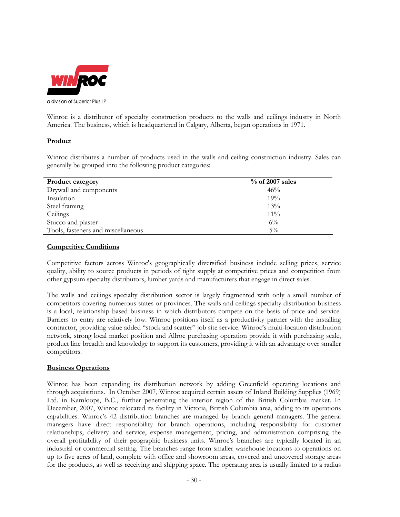

Winroc is a distributor of specialty construction products to the walls and ceilings industry in North America. The business, which is headquartered in Calgary, Alberta, began operations in 1971.

## **Product**

Winroc distributes a number of products used in the walls and ceiling construction industry. Sales can generally be grouped into the following product categories:

| <b>Product category</b>            | $\%$ of 2007 sales |
|------------------------------------|--------------------|
| Drywall and components             | 46%                |
| Insulation                         | 19%                |
| Steel framing                      | 13%                |
| Ceilings                           | $11\%$             |
| Stucco and plaster                 | $6\%$              |
| Tools, fasteners and miscellaneous | $5\%$              |

## **Competitive Conditions**

Competitive factors across Winroc's geographically diversified business include selling prices, service quality, ability to source products in periods of tight supply at competitive prices and competition from other gypsum specialty distributors, lumber yards and manufacturers that engage in direct sales.

The walls and ceilings specialty distribution sector is largely fragmented with only a small number of competitors covering numerous states or provinces. The walls and ceilings specialty distribution business is a local, relationship based business in which distributors compete on the basis of price and service. Barriers to entry are relatively low. Winroc positions itself as a productivity partner with the installing contractor, providing value added "stock and scatter" job site service. Winroc's multi-location distribution network, strong local market position and Allroc purchasing operation provide it with purchasing scale, product line breadth and knowledge to support its customers, providing it with an advantage over smaller competitors.

## **Business Operations**

Winroc has been expanding its distribution network by adding Greenfield operating locations and through acquisitions. In October 2007, Winroc acquired certain assets of Inland Building Supplies (1969) Ltd. in Kamloops, B.C., further penetrating the interior region of the British Columbia market. In December, 2007, Winroc relocated its facility in Victoria, British Columbia area, adding to its operations capabilities. Winroc's 42 distribution branches are managed by branch general managers. The general managers have direct responsibility for branch operations, including responsibility for customer relationships, delivery and service, expense management, pricing, and administration comprising the overall profitability of their geographic business units. Winroc's branches are typically located in an industrial or commercial setting. The branches range from smaller warehouse locations to operations on up to five acres of land, complete with office and showroom areas, covered and uncovered storage areas for the products, as well as receiving and shipping space. The operating area is usually limited to a radius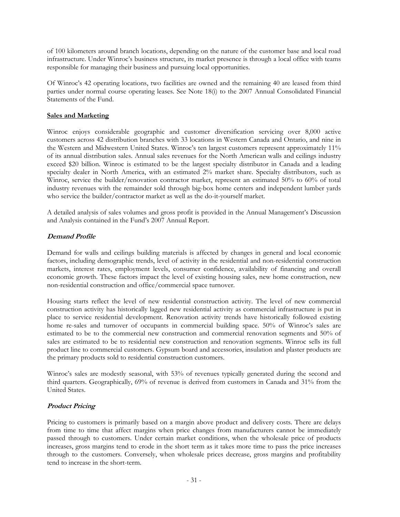of 100 kilometers around branch locations, depending on the nature of the customer base and local road infrastructure. Under Winroc's business structure, its market presence is through a local office with teams responsible for managing their business and pursuing local opportunities.

Of Winroc's 42 operating locations, two facilities are owned and the remaining 40 are leased from third parties under normal course operating leases. See Note 18(i) to the 2007 Annual Consolidated Financial Statements of the Fund.

## **Sales and Marketing**

Winroc enjoys considerable geographic and customer diversification servicing over 8,000 active customers across 42 distribution branches with 33 locations in Western Canada and Ontario, and nine in the Western and Midwestern United States. Winroc's ten largest customers represent approximately 11% of its annual distribution sales. Annual sales revenues for the North American walls and ceilings industry exceed \$20 billion. Winroc is estimated to be the largest specialty distributor in Canada and a leading specialty dealer in North America, with an estimated 2% market share. Specialty distributors, such as Winroc, service the builder/renovation contractor market, represent an estimated 50% to 60% of total industry revenues with the remainder sold through big-box home centers and independent lumber yards who service the builder/contractor market as well as the do-it-yourself market.

A detailed analysis of sales volumes and gross profit is provided in the Annual Management's Discussion and Analysis contained in the Fund's 2007 Annual Report.

## **Demand Profile**

Demand for walls and ceilings building materials is affected by changes in general and local economic factors, including demographic trends, level of activity in the residential and non-residential construction markets, interest rates, employment levels, consumer confidence, availability of financing and overall economic growth. These factors impact the level of existing housing sales, new home construction, new non-residential construction and office/commercial space turnover.

Housing starts reflect the level of new residential construction activity. The level of new commercial construction activity has historically lagged new residential activity as commercial infrastructure is put in place to service residential development. Renovation activity trends have historically followed existing home re-sales and turnover of occupants in commercial building space. 50% of Winroc's sales are estimated to be to the commercial new construction and commercial renovation segments and 50% of sales are estimated to be to residential new construction and renovation segments. Winroc sells its full product line to commercial customers. Gypsum board and accessories, insulation and plaster products are the primary products sold to residential construction customers.

Winroc's sales are modestly seasonal, with 53% of revenues typically generated during the second and third quarters. Geographically, 69% of revenue is derived from customers in Canada and 31% from the United States.

## **Product Pricing**

Pricing to customers is primarily based on a margin above product and delivery costs. There are delays from time to time that affect margins when price changes from manufacturers cannot be immediately passed through to customers. Under certain market conditions, when the wholesale price of products increases, gross margins tend to erode in the short term as it takes more time to pass the price increases through to the customers. Conversely, when wholesale prices decrease, gross margins and profitability tend to increase in the short-term.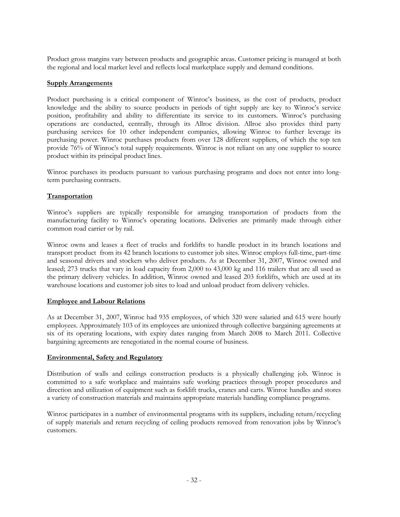Product gross margins vary between products and geographic areas. Customer pricing is managed at both the regional and local market level and reflects local marketplace supply and demand conditions.

## **Supply Arrangements**

Product purchasing is a critical component of Winroc's business, as the cost of products, product knowledge and the ability to source products in periods of tight supply are key to Winroc's service position, profitability and ability to differentiate its service to its customers. Winroc's purchasing operations are conducted, centrally, through its Allroc division. Allroc also provides third party purchasing services for 10 other independent companies, allowing Winroc to further leverage its purchasing power. Winroc purchases products from over 128 different suppliers, of which the top ten provide 76% of Winroc's total supply requirements. Winroc is not reliant on any one supplier to source product within its principal product lines.

Winroc purchases its products pursuant to various purchasing programs and does not enter into longterm purchasing contracts.

## **Transportation**

Winroc's suppliers are typically responsible for arranging transportation of products from the manufacturing facility to Winroc's operating locations. Deliveries are primarily made through either common road carrier or by rail.

Winroc owns and leases a fleet of trucks and forklifts to handle product in its branch locations and transport product from its 42 branch locations to customer job sites. Winroc employs full-time, part-time and seasonal drivers and stockers who deliver products. As at December 31, 2007, Winroc owned and leased; 273 trucks that vary in load capacity from 2,000 to 43,000 kg and 116 trailers that are all used as the primary delivery vehicles. In addition, Winroc owned and leased 203 forklifts, which are used at its warehouse locations and customer job sites to load and unload product from delivery vehicles.

## **Employee and Labour Relations**

As at December 31, 2007, Winroc had 935 employees, of which 320 were salaried and 615 were hourly employees. Approximately 103 of its employees are unionized through collective bargaining agreements at six of its operating locations, with expiry dates ranging from March 2008 to March 2011. Collective bargaining agreements are renegotiated in the normal course of business.

## **Environmental, Safety and Regulatory**

Distribution of walls and ceilings construction products is a physically challenging job. Winroc is committed to a safe workplace and maintains safe working practices through proper procedures and direction and utilization of equipment such as forklift trucks, cranes and carts. Winroc handles and stores a variety of construction materials and maintains appropriate materials handling compliance programs.

Winroc participates in a number of environmental programs with its suppliers, including return/recycling of supply materials and return recycling of ceiling products removed from renovation jobs by Winroc's customers.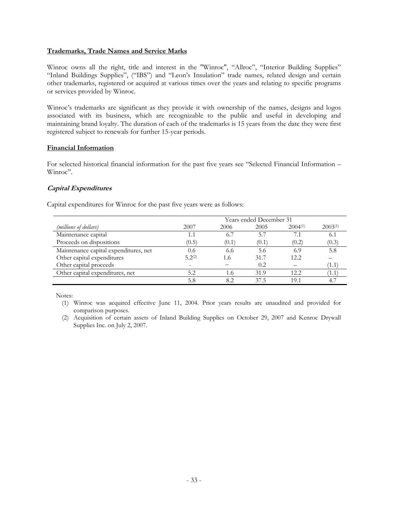## **Trademarks, Trade Names and Service Marks**

Winroc owns all the right, title and interest in the "Winroc", "Allroc", "Interior Building Supplies" "Inland Buildings Supplies", ("IBS") and "Leon's Insulation" trade names, related design and certain other trademarks, registered or acquired at various times over the years and relating to specific programs or services provided by Winroc.

Winroc's trademarks are significant as they provide it with ownership of the names, designs and logos associated with its business, which are recognizable to the public and useful in developing and maintaining brand loyalty. The duration of each of the trademarks is 15 years from the date they were first registered subject to renewals for further 15-year periods.

## **Financial Information**

For selected historical financial information for the past five years see "Selected Financial Information – Winroc".

## **Capital Expenditures**

Capital expenditures for Winroc for the past five years were as follows:

|                                       | Years ended December 31 |       |       |              |              |  |  |
|---------------------------------------|-------------------------|-------|-------|--------------|--------------|--|--|
| (millions of dollars)                 | 2007                    | 2006  | 2005  | $2004^{(1)}$ | $2003^{(1)}$ |  |  |
| Maintenance capital                   | 1.1                     | 6.7   | 5.7   | 7.1          | 6.1          |  |  |
| Proceeds on dispositions              | (0.5)                   | (0.1` | (0.1) | (0.2)        | (0.3)        |  |  |
| Maintenance capital expenditures, net | 0.6                     | 6.6   | 5.6   | 6.9          | 5.8          |  |  |
| Other capital expenditures            | 5.2(2)                  | 1.6   | 31.7  | 12.2         |              |  |  |
| Other capital proceeds                |                         |       | 0.2   |              | 1.1          |  |  |
| Other capital expenditures, net       | 5.2                     | l.6   | 31.9  | 12.2         | 1.1          |  |  |
|                                       | 5.8                     |       | 37.5  | 19.1         |              |  |  |

Notes:

(1) Winroc was acquired effective June 11, 2004. Prior years results are unaudited and provided for comparison purposes.

(2) Acquisition of certain assets of Inland Building Supplies on October 29, 2007 and Kenroc Drywall Supplies Inc. on July 2, 2007.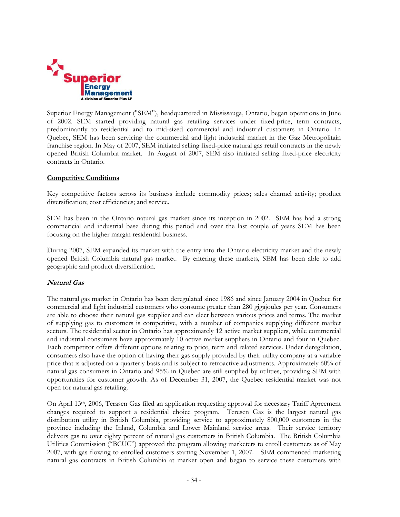

Superior Energy Management ("SEM"), headquartered in Mississauga, Ontario, began operations in June of 2002. SEM started providing natural gas retailing services under fixed-price, term contracts, predominantly to residential and to mid-sized commercial and industrial customers in Ontario. In Quebec, SEM has been servicing the commercial and light industrial market in the Gaz Metropolitain franchise region. In May of 2007, SEM initiated selling fixed-price natural gas retail contracts in the newly opened British Columbia market. In August of 2007, SEM also initiated selling fixed-price electricity contracts in Ontario.

## **Competitive Conditions**

Key competitive factors across its business include commodity prices; sales channel activity; product diversification; cost efficiencies; and service.

SEM has been in the Ontario natural gas market since its inception in 2002. SEM has had a strong commericial and industrial base during this period and over the last couple of years SEM has been focusing on the higher margin residential business.

During 2007, SEM expanded its market with the entry into the Ontario electricity market and the newly opened British Columbia natural gas market. By entering these markets, SEM has been able to add geographic and product diversification.

#### **Natural Gas**

The natural gas market in Ontario has been deregulated since 1986 and since January 2004 in Quebec for commercial and light industrial customers who consume greater than 280 gigajoules per year. Consumers are able to choose their natural gas supplier and can elect between various prices and terms. The market of supplying gas to customers is competitive, with a number of companies supplying different market sectors. The residential sector in Ontario has approximately 12 active market suppliers, while commercial and industrial consumers have approximately 10 active market suppliers in Ontario and four in Quebec. Each competitor offers different options relating to price, term and related services. Under deregulation, consumers also have the option of having their gas supply provided by their utility company at a variable price that is adjusted on a quarterly basis and is subject to retroactive adjustments. Approximately 60% of natural gas consumers in Ontario and 95% in Quebec are still supplied by utilities, providing SEM with opportunities for customer growth. As of December 31, 2007, the Quebec residential market was not open for natural gas retailing.

On April 13th, 2006, Terasen Gas filed an application requesting approval for necessary Tariff Agreement changes required to support a residential choice program. Teresen Gas is the largest natural gas distribution utility in British Columbia, providing service to approximately 800,000 customers in the province including the Inland, Columbia and Lower Mainland service areas. Their service territory delivers gas to over eighty percent of natural gas customers in British Columbia. The British Columbia Utilities Commission ("BCUC") approved the program allowing marketers to enroll customers as of May 2007, with gas flowing to enrolled customers starting November 1, 2007. SEM commenced marketing natural gas contracts in British Columbia at market open and began to service these customers with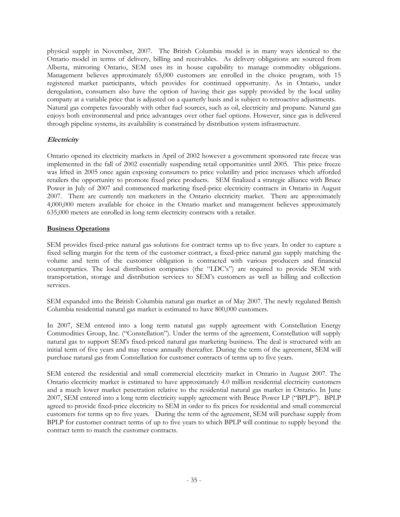physical supply in November, 2007. The British Columbia model is in many ways identical to the Ontario model in terms of delivery, billing and receivables. As delivery obligations are sourced from Alberta, mirroring Ontario, SEM uses its in house capability to manage commodity obligations. Management believes approximately 65,000 customers are enrolled in the choice program, with 15 registered market participants, which provides for continued opportunity. As in Ontario, under deregulation, consumers also have the option of having their gas supply provided by the local utility company at a variable price that is adjusted on a quarterly basis and is subject to retroactive adjustments. Natural gas competes favourably with other fuel sources, such as oil, electricity and propane. Natural gas enjoys both environmental and price advantages over other fuel options. However, since gas is delivered through pipeline systems, its availability is constrained by distribution system infrastructure.

## **Electricity**

Ontario opened its electricity markets in April of 2002 however a government sponsored rate freeze was implemented in the fall of 2002 essentially suspending retail opportunities until 2005. This price freeze was lifted in 2005 once again exposing consumers to price volatility and price increases which afforded retailers the opportunity to promote fixed price products. SEM finalized a strategic alliance with Bruce Power in July of 2007 and commenced marketing fixed-price electricity contracts in Ontario in August 2007. There are currently ten marketers in the Ontario electricity market. There are approximately 4,000,000 meters available for choice in the Ontario market and management believes approximately 635,000 meters are enrolled in long term electricity contracts with a retailer.

## **Business Operations**

SEM provides fixed-price natural gas solutions for contract terms up to five years. In order to capture a fixed selling margin for the term of the customer contract, a fixed-price natural gas supply matching the volume and term of the customer obligation is contracted with various producers and financial counterparties. The local distribution companies (the "LDC's") are required to provide SEM with transportation, storage and distribution services to SEM's customers as well as billing and collection services.

SEM expanded into the British Columbia natural gas market as of May 2007. The newly regulated British Columbia residential natural gas market is estimated to have 800,000 customers.

In 2007, SEM entered into a long term natural gas supply agreement with Constellation Energy Commodities Group, Inc. ("Constellation"). Under the terms of the agreement, Constellation will supply natural gas to support SEM's fixed-priced natural gas marketing business. The deal is structured with an initial term of five years and may renew annually thereafter. During the term of the agreement, SEM will purchase natural gas from Constellation for customer contracts of terms up to five years.

SEM entered the residential and small commercial electricity market in Ontario in August 2007. The Ontario electricity market is estimated to have approximately 4.0 million residential electricity customers and a much lower market penetration relative to the residential natural gas market in Ontario. In June 2007, SEM entered into a long term electricity supply agreement with Bruce Power LP ("BPLP"). BPLP agreed to provide fixed-price electricity to SEM in order to fix prices for residential and small commercial customers for terms up to five years. During the term of the agreement, SEM will purchase supply from BPLP for customer contract terms of up to five years to which BPLP will continue to supply beyond the contract term to match the customer contracts.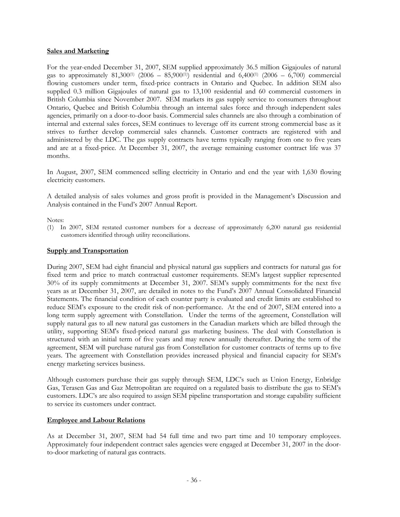#### **Sales and Marketing**

For the year-ended December 31, 2007, SEM supplied approximately 36.5 million Gigajoules of natural gas to approximately 81,300<sup>(1)</sup> (2006 – 85,900<sup>(1)</sup>) residential and 6,400<sup>(1)</sup> (2006 – 6,700) commercial flowing customers under term, fixed-price contracts in Ontario and Quebec. In addition SEM also supplied 0.3 million Gigajoules of natural gas to 13,100 residential and 60 commercial customers in British Columbia since November 2007. SEM markets its gas supply service to consumers throughout Ontario, Quebec and British Columbia through an internal sales force and through independent sales agencies, primarily on a door-to-door basis. Commercial sales channels are also through a combination of internal and external sales forces, SEM continues to leverage off its current strong commercial base as it strives to further develop commercial sales channels. Customer contracts are registered with and administered by the LDC. The gas supply contracts have terms typically ranging from one to five years and are at a fixed-price. At December 31, 2007, the average remaining customer contract life was 37 months.

In August, 2007, SEM commenced selling electricity in Ontario and end the year with 1,630 flowing electricity customers.

A detailed analysis of sales volumes and gross profit is provided in the Management's Discussion and Analysis contained in the Fund's 2007 Annual Report.

## Notes:

(1) In 2007, SEM restated customer numbers for a decrease of approximately 6,200 natural gas residential customers identified through utility reconciliations.

## **Supply and Transportation**

During 2007, SEM had eight financial and physical natural gas suppliers and contracts for natural gas for fixed term and price to match contractual customer requirements. SEM's largest supplier represented 30% of its supply commitments at December 31, 2007. SEM's supply commitments for the next five years as at December 31, 2007, are detailed in notes to the Fund's 2007 Annual Consolidated Financial Statements. The financial condition of each counter party is evaluated and credit limits are established to reduce SEM's exposure to the credit risk of non-performance. At the end of 2007, SEM entered into a long term supply agreement with Constellation. Under the terms of the agreement, Constellation will supply natural gas to all new natural gas customers in the Canadian markets which are billed through the utility, supporting SEM's fixed-priced natural gas marketing business. The deal with Constellation is structured with an initial term of five years and may renew annually thereafter. During the term of the agreement, SEM will purchase natural gas from Constellation for customer contracts of terms up to five years. The agreement with Constellation provides increased physical and financial capacity for SEM's energy marketing services business.

Although customers purchase their gas supply through SEM, LDC's such as Union Energy, Enbridge Gas, Terasen Gas and Gaz Metropolitan are required on a regulated basis to distribute the gas to SEM's customers. LDC's are also required to assign SEM pipeline transportation and storage capability sufficient to service its customers under contract.

## **Employee and Labour Relations**

As at December 31, 2007, SEM had 54 full time and two part time and 10 temporary employees. Approximately four independent contract sales agencies were engaged at December 31, 2007 in the doorto-door marketing of natural gas contracts.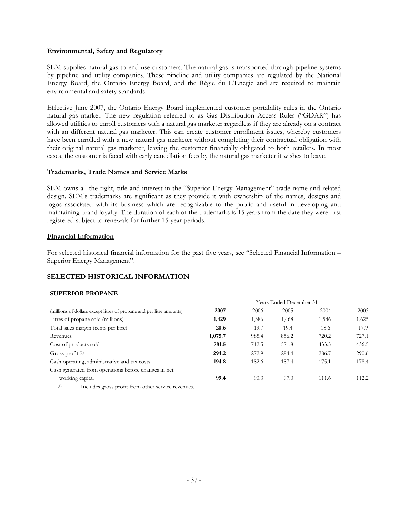## **Environmental, Safety and Regulatory**

SEM supplies natural gas to end-use customers. The natural gas is transported through pipeline systems by pipeline and utility companies. These pipeline and utility companies are regulated by the National Energy Board, the Ontario Energy Board, and the Régie du L'Enegie and are required to maintain environmental and safety standards.

Effective June 2007, the Ontario Energy Board implemented customer portability rules in the Ontario natural gas market. The new regulation referred to as Gas Distribution Access Rules ("GDAR") has allowed utilities to enroll customers with a natural gas marketer regardless if they are already on a contract with an different natural gas marketer. This can create customer enrollment issues, whereby customers have been enrolled with a new natural gas marketer without completing their contractual obligation with their original natural gas marketer, leaving the customer financially obligated to both retailers. In most cases, the customer is faced with early cancellation fees by the natural gas marketer it wishes to leave.

## **Trademarks, Trade Names and Service Marks**

SEM owns all the right, title and interest in the "Superior Energy Management" trade name and related design. SEM's trademarks are significant as they provide it with ownership of the names, designs and logos associated with its business which are recognizable to the public and useful in developing and maintaining brand loyalty. The duration of each of the trademarks is 15 years from the date they were first registered subject to renewals for further 15-year periods.

## **Financial Information**

For selected historical financial information for the past five years, see "Selected Financial Information – Superior Energy Management".

## **SELECTED HISTORICAL INFORMATION**

#### **SUPERIOR PROPANE**

|                                                                      | Years Ended December 31 |       |       |       |       |  |  |
|----------------------------------------------------------------------|-------------------------|-------|-------|-------|-------|--|--|
| (millions of dollars except litres of propane and per litre amounts) | 2007                    | 2006  | 2005  | 2004  | 2003  |  |  |
| Litres of propane sold (millions)                                    | 1,429                   | 1,386 | 1,468 | 1,546 | 1,625 |  |  |
| Total sales margin (cents per litre)                                 | 20.6                    | 19.7  | 19.4  | 18.6  | 17.9  |  |  |
| Revenues                                                             | 1,075.7                 | 985.4 | 856.2 | 720.2 | 727.1 |  |  |
| Cost of products sold                                                | 781.5                   | 712.5 | 571.8 | 433.5 | 436.5 |  |  |
| Gross profit $(1)$                                                   | 294.2                   | 272.9 | 284.4 | 286.7 | 290.6 |  |  |
| Cash operating, administrative and tax costs                         | 194.8                   | 182.6 | 187.4 | 175.1 | 178.4 |  |  |
| Cash generated from operations before changes in net                 |                         |       |       |       |       |  |  |
| working capital                                                      | 99.4                    | 90.3  | 97.0  | 111.6 | 112.2 |  |  |

(1) Includes gross profit from other service revenues.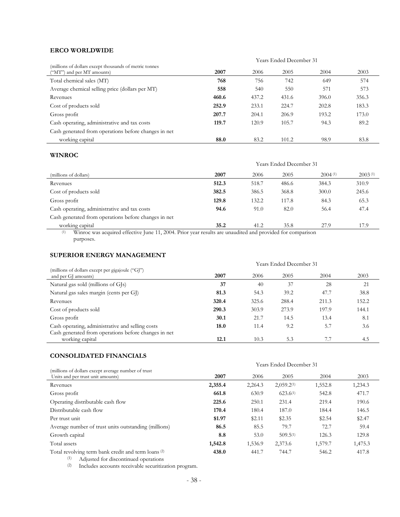## **ERCO WORLDWIDE**

|                                                                                       | Years Ended December 31 |       |       |       |       |  |
|---------------------------------------------------------------------------------------|-------------------------|-------|-------|-------|-------|--|
| (millions of dollars except thousands of metric tonnes)<br>("MT") and per MT amounts) | 2007                    | 2006  | 2005  | 2004  | 2003  |  |
| Total chemical sales (MT)                                                             | 768                     | 756   | 742   | 649   | 574   |  |
| Average chemical selling price (dollars per MT)                                       | 558                     | 540   | 550   | 571   | 573   |  |
| Revenues                                                                              | 460.6                   | 437.2 | 431.6 | 396.0 | 356.3 |  |
| Cost of products sold                                                                 | 252.9                   | 233.1 | 224.7 | 202.8 | 183.3 |  |
| Gross profit                                                                          | 207.7                   | 204.1 | 206.9 | 193.2 | 173.0 |  |
| Cash operating, administrative and tax costs                                          | 119.7                   | 120.9 | 105.7 | 94.3  | 89.2  |  |
| Cash generated from operations before changes in net                                  |                         |       |       |       |       |  |
| working capital                                                                       | 88.0                    | 83.2  | 101.2 | 98.9  | 83.8  |  |

## **WINROC**

|                                                      | Years Ended December 31 |       |       |         |         |
|------------------------------------------------------|-------------------------|-------|-------|---------|---------|
| (millions of dollars)                                | 2007                    | 2006  | 2005  | 2004(1) | 2003(1) |
| Revenues                                             | 512.3                   | 518.7 | 486.6 | 384.3   | 310.9   |
| Cost of products sold                                | 382.5                   | 386.5 | 368.8 | 300.0   | 245.6   |
| Gross profit                                         | 129.8                   | 132.2 | 117.8 | 84.3    | 65.3    |
| Cash operating, administrative and tax costs         | 94.6                    | 91.0  | 82.0  | 56.4    | 47.4    |
| Cash generated from operations before changes in net |                         |       |       |         |         |
| working capital                                      | 35.2                    | 41.2  | 35.8  | 27.9    | 17.9    |

 (1) Winroc was acquired effective June 11, 2004. Prior year results are unaudited and provided for comparison purposes.

## **SUPERIOR ENERGY MANAGEMENT**

|                                                                         | Years Ended December 31 |       |       |       |       |
|-------------------------------------------------------------------------|-------------------------|-------|-------|-------|-------|
| (millions of dollars except per gigajoule ("GJ")<br>and per GI amounts) | 2007                    | 2006  | 2005  | 2004  | 2003  |
| Natural gas sold (millions of GJs)                                      | 37                      | 40    | 37    | 28    | 21    |
| Natural gas sales margin (cents per GI)                                 | 81.3                    | 54.3  | 39.2  | 47.7  | 38.8  |
| Revenues                                                                | 320.4                   | 325.6 | 288.4 | 211.3 | 152.2 |
| Cost of products sold                                                   | 290.3                   | 303.9 | 273.9 | 197.9 | 144.1 |
| Gross profit                                                            | 30.1                    | 21.7  | 14.5  | 13.4  | 8.1   |
| Cash operating, administrative and selling costs                        | 18.0                    | 11.4  | 9.2   | 5.7   | 3.6   |
| Cash generated from operations before changes in net<br>working capital | 12.1                    | 10.3  | 5.3   |       | 4.5   |

## **CONSOLIDATED FINANCIALS**

|                                                                                                               | <b>Years Ended December 31</b> |         |                 |         |         |
|---------------------------------------------------------------------------------------------------------------|--------------------------------|---------|-----------------|---------|---------|
| (millions of dollars except average number of trust<br>Units and per trust unit amounts)                      | 2007                           | 2006    | 2005            | 2004    | 2003    |
| Revenues                                                                                                      | 2,355.4                        | 2,264.3 | $2,059.2^{(1)}$ | 1,552.8 | 1,234.3 |
| Gross profit                                                                                                  | 661.8                          | 630.9   | $623.6^{(1)}$   | 542.8   | 471.7   |
| Operating distributable cash flow                                                                             | 225.6                          | 250.1   | 231.4           | 219.4   | 190.6   |
| Distributable cash flow                                                                                       | 170.4                          | 180.4   | 187.0           | 184.4   | 146.5   |
| Per trust unit                                                                                                | \$1.97                         | \$2.11  | \$2.35          | \$2.54  | \$2.47  |
| Average number of trust units outstanding (millions)                                                          | 86.5                           | 85.5    | 79.7            | 72.7    | 59.4    |
| Growth capital                                                                                                | 8.8                            | 53.0    | $509.5^{(1)}$   | 126.3   | 129.8   |
| Total assets                                                                                                  | 1,542.8                        | 1,536.9 | 2,373.6         | 1,579.7 | 1,475.3 |
| Total revolving term bank credit and term loans <sup>(2)</sup><br>Adjusted for discontinued operations<br>(1) | 438.0                          | 441.7   | 744.7           | 546.2   | 417.8   |

(2) Includes accounts receivable securitization program.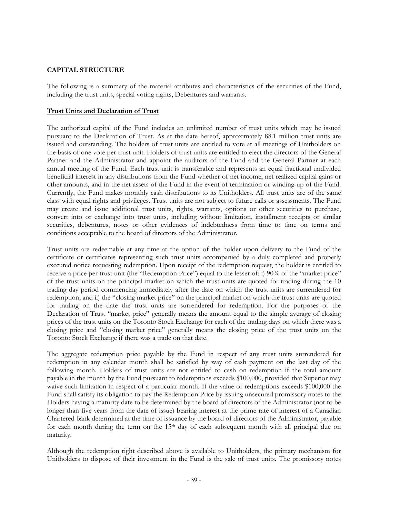## **CAPITAL STRUCTURE**

The following is a summary of the material attributes and characteristics of the securities of the Fund, including the trust units, special voting rights, Debentures and warrants.

## **Trust Units and Declaration of Trust**

The authorized capital of the Fund includes an unlimited number of trust units which may be issued pursuant to the Declaration of Trust. As at the date hereof, approximately 88.1 million trust units are issued and outstanding. The holders of trust units are entitled to vote at all meetings of Unitholders on the basis of one vote per trust unit. Holders of trust units are entitled to elect the directors of the General Partner and the Administrator and appoint the auditors of the Fund and the General Partner at each annual meeting of the Fund. Each trust unit is transferable and represents an equal fractional undivided beneficial interest in any distributions from the Fund whether of net income, net realized capital gains or other amounts, and in the net assets of the Fund in the event of termination or winding-up of the Fund. Currently, the Fund makes monthly cash distributions to its Unitholders. All trust units are of the same class with equal rights and privileges. Trust units are not subject to future calls or assessments. The Fund may create and issue additional trust units, rights, warrants, options or other securities to purchase, convert into or exchange into trust units, including without limitation, installment receipts or similar securities, debentures, notes or other evidences of indebtedness from time to time on terms and conditions acceptable to the board of directors of the Administrator.

Trust units are redeemable at any time at the option of the holder upon delivery to the Fund of the certificate or certificates representing such trust units accompanied by a duly completed and properly executed notice requesting redemption. Upon receipt of the redemption request, the holder is entitled to receive a price per trust unit (the "Redemption Price") equal to the lesser of: i) 90% of the "market price" of the trust units on the principal market on which the trust units are quoted for trading during the 10 trading day period commencing immediately after the date on which the trust units are surrendered for redemption; and ii) the "closing market price" on the principal market on which the trust units are quoted for trading on the date the trust units are surrendered for redemption. For the purposes of the Declaration of Trust "market price" generally means the amount equal to the simple average of closing prices of the trust units on the Toronto Stock Exchange for each of the trading days on which there was a closing price and "closing market price" generally means the closing price of the trust units on the Toronto Stock Exchange if there was a trade on that date.

The aggregate redemption price payable by the Fund in respect of any trust units surrendered for redemption in any calendar month shall be satisfied by way of cash payment on the last day of the following month. Holders of trust units are not entitled to cash on redemption if the total amount payable in the month by the Fund pursuant to redemptions exceeds \$100,000, provided that Superior may waive such limitation in respect of a particular month. If the value of redemptions exceeds \$100,000 the Fund shall satisfy its obligation to pay the Redemption Price by issuing unsecured promissory notes to the Holders having a maturity date to be determined by the board of directors of the Administrator (not to be longer than five years from the date of issue) bearing interest at the prime rate of interest of a Canadian Chartered bank determined at the time of issuance by the board of directors of the Administrator, payable for each month during the term on the 15th day of each subsequent month with all principal due on maturity.

Although the redemption right described above is available to Unitholders, the primary mechanism for Unitholders to dispose of their investment in the Fund is the sale of trust units. The promissory notes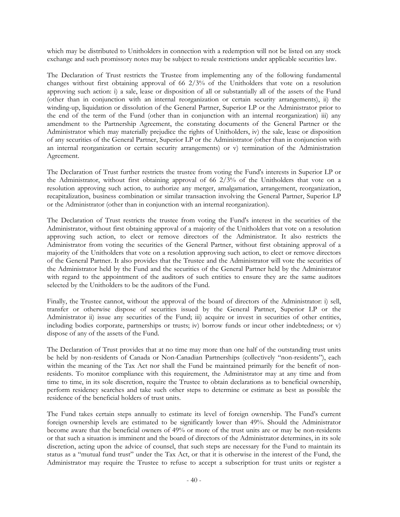which may be distributed to Unitholders in connection with a redemption will not be listed on any stock exchange and such promissory notes may be subject to resale restrictions under applicable securities law.

The Declaration of Trust restricts the Trustee from implementing any of the following fundamental changes without first obtaining approval of 66 2/3% of the Unitholders that vote on a resolution approving such action: i) a sale, lease or disposition of all or substantially all of the assets of the Fund (other than in conjunction with an internal reorganization or certain security arrangements), ii) the winding-up, liquidation or dissolution of the General Partner, Superior LP or the Administrator prior to the end of the term of the Fund (other than in conjunction with an internal reorganization) iii) any amendment to the Partnership Agreement, the constating documents of the General Partner or the Administrator which may materially prejudice the rights of Unitholders, iv) the sale, lease or disposition of any securities of the General Partner, Superior LP or the Administrator (other than in conjunction with an internal reorganization or certain security arrangements) or v) termination of the Administration Agreement.

The Declaration of Trust further restricts the trustee from voting the Fund's interests in Superior LP or the Administrator, without first obtaining approval of 66  $2/3\%$  of the Unitholders that vote on a resolution approving such action, to authorize any merger, amalgamation, arrangement, reorganization, recapitalization, business combination or similar transaction involving the General Partner, Superior LP or the Administrator (other than in conjunction with an internal reorganization).

The Declaration of Trust restricts the trustee from voting the Fund's interest in the securities of the Administrator, without first obtaining approval of a majority of the Unitholders that vote on a resolution approving such action, to elect or remove directors of the Administrator. It also restricts the Administrator from voting the securities of the General Partner, without first obtaining approval of a majority of the Unitholders that vote on a resolution approving such action, to elect or remove directors of the General Partner. It also provides that the Trustee and the Administrator will vote the securities of the Administrator held by the Fund and the securities of the General Partner held by the Administrator with regard to the appointment of the auditors of such entities to ensure they are the same auditors selected by the Unitholders to be the auditors of the Fund.

Finally, the Trustee cannot, without the approval of the board of directors of the Administrator: i) sell, transfer or otherwise dispose of securities issued by the General Partner, Superior LP or the Administrator ii) issue any securities of the Fund; iii) acquire or invest in securities of other entities, including bodies corporate, partnerships or trusts; iv) borrow funds or incur other indebtedness; or v) dispose of any of the assets of the Fund.

The Declaration of Trust provides that at no time may more than one half of the outstanding trust units be held by non-residents of Canada or Non-Canadian Partnerships (collectively "non-residents"), each within the meaning of the Tax Act nor shall the Fund be maintained primarily for the benefit of nonresidents. To monitor compliance with this requirement, the Administrator may at any time and from time to time, in its sole discretion, require the Trustee to obtain declarations as to beneficial ownership, perform residency searches and take such other steps to determine or estimate as best as possible the residence of the beneficial holders of trust units.

The Fund takes certain steps annually to estimate its level of foreign ownership. The Fund's current foreign ownership levels are estimated to be significantly lower than 49%. Should the Administrator become aware that the beneficial owners of 49% or more of the trust units are or may be non-residents or that such a situation is imminent and the board of directors of the Administrator determines, in its sole discretion, acting upon the advice of counsel, that such steps are necessary for the Fund to maintain its status as a "mutual fund trust" under the Tax Act, or that it is otherwise in the interest of the Fund, the Administrator may require the Trustee to refuse to accept a subscription for trust units or register a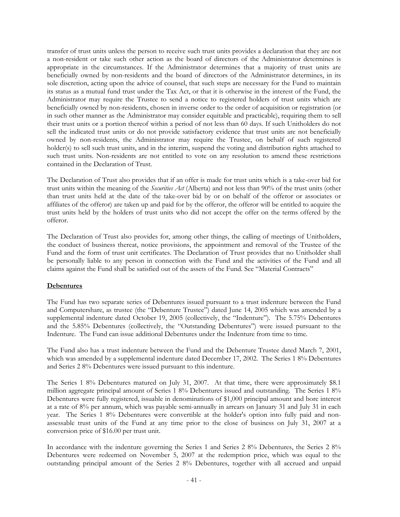transfer of trust units unless the person to receive such trust units provides a declaration that they are not a non-resident or take such other action as the board of directors of the Administrator determines is appropriate in the circumstances. If the Administrator determines that a majority of trust units are beneficially owned by non-residents and the board of directors of the Administrator determines, in its sole discretion, acting upon the advice of counsel, that such steps are necessary for the Fund to maintain its status as a mutual fund trust under the Tax Act, or that it is otherwise in the interest of the Fund, the Administrator may require the Trustee to send a notice to registered holders of trust units which are beneficially owned by non-residents, chosen in inverse order to the order of acquisition or registration (or in such other manner as the Administrator may consider equitable and practicable), requiring them to sell their trust units or a portion thereof within a period of not less than 60 days. If such Unitholders do not sell the indicated trust units or do not provide satisfactory evidence that trust units are not beneficially owned by non-residents, the Administrator may require the Trustee, on behalf of such registered holder(s) to sell such trust units, and in the interim, suspend the voting and distribution rights attached to such trust units. Non-residents are not entitled to vote on any resolution to amend these restrictions contained in the Declaration of Trust.

The Declaration of Trust also provides that if an offer is made for trust units which is a take-over bid for trust units within the meaning of the *Securities Act* (Alberta) and not less than 90% of the trust units (other than trust units held at the date of the take-over bid by or on behalf of the offeror or associates or affiliates of the offeror) are taken up and paid for by the offeror, the offeror will be entitled to acquire the trust units held by the holders of trust units who did not accept the offer on the terms offered by the offeror.

The Declaration of Trust also provides for, among other things, the calling of meetings of Unitholders, the conduct of business thereat, notice provisions, the appointment and removal of the Trustee of the Fund and the form of trust unit certificates. The Declaration of Trust provides that no Unitholder shall be personally liable to any person in connection with the Fund and the activities of the Fund and all claims against the Fund shall be satisfied out of the assets of the Fund. See "Material Contracts"

## **Debentures**

The Fund has two separate series of Debentures issued pursuant to a trust indenture between the Fund and Computershare, as trustee (the "Debenture Trustee") dated June 14, 2005 which was amended by a supplemental indenture dated October 19, 2005 (collectively, the "Indenture"). The 5.75% Debentures and the 5.85% Debentures (collectively, the "Outstanding Debentures") were issued pursuant to the Indenture. The Fund can issue additional Debentures under the Indenture from time to time.

The Fund also has a trust indenture between the Fund and the Debenture Trustee dated March 7, 2001, which was amended by a supplemental indenture dated December 17, 2002. The Series 1 8% Debentures and Series 2 8% Debentures were issued pursuant to this indenture.

The Series 1 8% Debentures matured on July 31, 2007. At that time, there were approximately \$8.1 million aggregate principal amount of Series 1 8% Debentures issued and outstanding. The Series 1 8% Debentures were fully registered, issuable in denominations of \$1,000 principal amount and bore interest at a rate of 8% per annum, which was payable semi-annually in arrears on January 31 and July 31 in each year. The Series 1 8% Debentures were convertible at the holder's option into fully paid and nonassessable trust units of the Fund at any time prior to the close of business on July 31, 2007 at a conversion price of \$16.00 per trust unit.

In accordance with the indenture governing the Series 1 and Series 2 8% Debentures, the Series 2 8% Debentures were redeemed on November 5, 2007 at the redemption price, which was equal to the outstanding principal amount of the Series 2 8% Debentures, together with all accrued and unpaid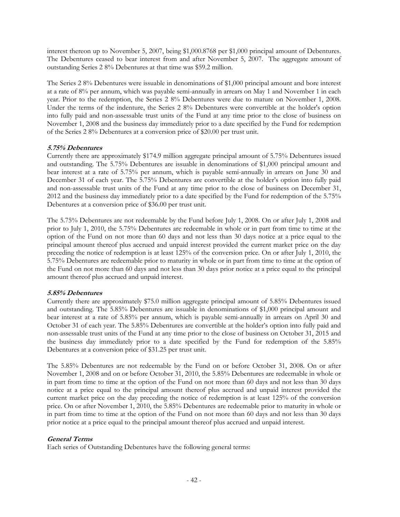interest thereon up to November 5, 2007, being \$1,000.8768 per \$1,000 principal amount of Debentures. The Debentures ceased to bear interest from and after November 5, 2007. The aggregate amount of outstanding Series 2 8% Debentures at that time was \$59.2 million.

The Series 2 8% Debentures were issuable in denominations of \$1,000 principal amount and bore interest at a rate of 8% per annum, which was payable semi-annually in arrears on May 1 and November 1 in each year. Prior to the redemption, the Series 2 8% Debentures were due to mature on November 1, 2008. Under the terms of the indenture, the Series 2 8% Debentures were convertible at the holder's option into fully paid and non-assessable trust units of the Fund at any time prior to the close of business on November 1, 2008 and the business day immediately prior to a date specified by the Fund for redemption of the Series 2 8% Debentures at a conversion price of \$20.00 per trust unit.

## **5.75% Debentures**

Currently there are approximately \$174.9 million aggregate principal amount of 5.75% Debentures issued and outstanding. The 5.75% Debentures are issuable in denominations of \$1,000 principal amount and bear interest at a rate of 5.75% per annum, which is payable semi-annually in arrears on June 30 and December 31 of each year. The 5.75% Debentures are convertible at the holder's option into fully paid and non-assessable trust units of the Fund at any time prior to the close of business on December 31, 2012 and the business day immediately prior to a date specified by the Fund for redemption of the 5.75% Debentures at a conversion price of \$36.00 per trust unit.

The 5.75% Debentures are not redeemable by the Fund before July 1, 2008. On or after July 1, 2008 and prior to July 1, 2010, the 5.75% Debentures are redeemable in whole or in part from time to time at the option of the Fund on not more than 60 days and not less than 30 days notice at a price equal to the principal amount thereof plus accrued and unpaid interest provided the current market price on the day preceding the notice of redemption is at least 125% of the conversion price. On or after July 1, 2010, the 5.75% Debentures are redeemable prior to maturity in whole or in part from time to time at the option of the Fund on not more than 60 days and not less than 30 days prior notice at a price equal to the principal amount thereof plus accrued and unpaid interest.

#### **5.85% Debentures**

Currently there are approximately \$75.0 million aggregate principal amount of 5.85% Debentures issued and outstanding. The 5.85% Debentures are issuable in denominations of \$1,000 principal amount and bear interest at a rate of 5.85% per annum, which is payable semi-annually in arrears on April 30 and October 31 of each year. The 5.85% Debentures are convertible at the holder's option into fully paid and non-assessable trust units of the Fund at any time prior to the close of business on October 31, 2015 and the business day immediately prior to a date specified by the Fund for redemption of the 5.85% Debentures at a conversion price of \$31.25 per trust unit.

The 5.85% Debentures are not redeemable by the Fund on or before October 31, 2008. On or after November 1, 2008 and on or before October 31, 2010, the 5.85% Debentures are redeemable in whole or in part from time to time at the option of the Fund on not more than 60 days and not less than 30 days notice at a price equal to the principal amount thereof plus accrued and unpaid interest provided the current market price on the day preceding the notice of redemption is at least 125% of the conversion price. On or after November 1, 2010, the 5.85% Debentures are redeemable prior to maturity in whole or in part from time to time at the option of the Fund on not more than 60 days and not less than 30 days prior notice at a price equal to the principal amount thereof plus accrued and unpaid interest.

## **General Terms**

Each series of Outstanding Debentures have the following general terms: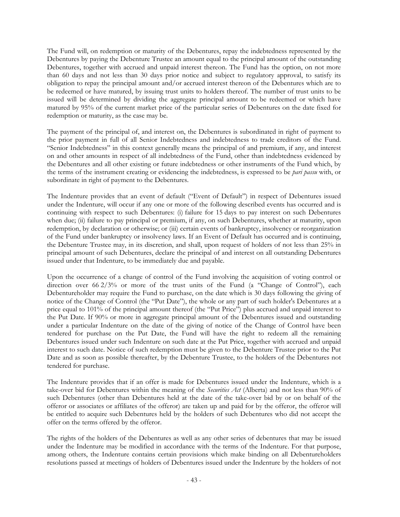The Fund will, on redemption or maturity of the Debentures, repay the indebtedness represented by the Debentures by paying the Debenture Trustee an amount equal to the principal amount of the outstanding Debentures, together with accrued and unpaid interest thereon. The Fund has the option, on not more than 60 days and not less than 30 days prior notice and subject to regulatory approval, to satisfy its obligation to repay the principal amount and/or accrued interest thereon of the Debentures which are to be redeemed or have matured, by issuing trust units to holders thereof. The number of trust units to be issued will be determined by dividing the aggregate principal amount to be redeemed or which have matured by 95% of the current market price of the particular series of Debentures on the date fixed for redemption or maturity, as the case may be.

The payment of the principal of, and interest on, the Debentures is subordinated in right of payment to the prior payment in full of all Senior Indebtedness and indebtedness to trade creditors of the Fund. "Senior Indebtedness" in this context generally means the principal of and premium, if any, and interest on and other amounts in respect of all indebtedness of the Fund, other than indebtedness evidenced by the Debentures and all other existing or future indebtedness or other instruments of the Fund which, by the terms of the instrument creating or evidencing the indebtedness, is expressed to be *pari passu* with, or subordinate in right of payment to the Debentures.

The Indenture provides that an event of default ("Event of Default") in respect of Debentures issued under the Indenture, will occur if any one or more of the following described events has occurred and is continuing with respect to such Debentures: (i) failure for 15 days to pay interest on such Debentures when due; (ii) failure to pay principal or premium, if any, on such Debentures, whether at maturity, upon redemption, by declaration or otherwise; or (iii) certain events of bankruptcy, insolvency or reorganization of the Fund under bankruptcy or insolvency laws. If an Event of Default has occurred and is continuing, the Debenture Trustee may, in its discretion, and shall, upon request of holders of not less than 25% in principal amount of such Debentures, declare the principal of and interest on all outstanding Debentures issued under that Indenture, to be immediately due and payable.

Upon the occurrence of a change of control of the Fund involving the acquisition of voting control or direction over 66 2/3% or more of the trust units of the Fund (a "Change of Control"), each Debentureholder may require the Fund to purchase, on the date which is 30 days following the giving of notice of the Change of Control (the "Put Date"), the whole or any part of such holder's Debentures at a price equal to 101% of the principal amount thereof (the "Put Price") plus accrued and unpaid interest to the Put Date. If 90% or more in aggregate principal amount of the Debentures issued and outstanding under a particular Indenture on the date of the giving of notice of the Change of Control have been tendered for purchase on the Put Date, the Fund will have the right to redeem all the remaining Debentures issued under such Indenture on such date at the Put Price, together with accrued and unpaid interest to such date. Notice of such redemption must be given to the Debenture Trustee prior to the Put Date and as soon as possible thereafter, by the Debenture Trustee, to the holders of the Debentures not tendered for purchase.

The Indenture provides that if an offer is made for Debentures issued under the Indenture, which is a take-over bid for Debentures within the meaning of the *Securities Act* (Alberta) and not less than 90% of such Debentures (other than Debentures held at the date of the take-over bid by or on behalf of the offeror or associates or affiliates of the offeror) are taken up and paid for by the offeror, the offeror will be entitled to acquire such Debentures held by the holders of such Debentures who did not accept the offer on the terms offered by the offeror.

The rights of the holders of the Debentures as well as any other series of debentures that may be issued under the Indenture may be modified in accordance with the terms of the Indenture. For that purpose, among others, the Indenture contains certain provisions which make binding on all Debentureholders resolutions passed at meetings of holders of Debentures issued under the Indenture by the holders of not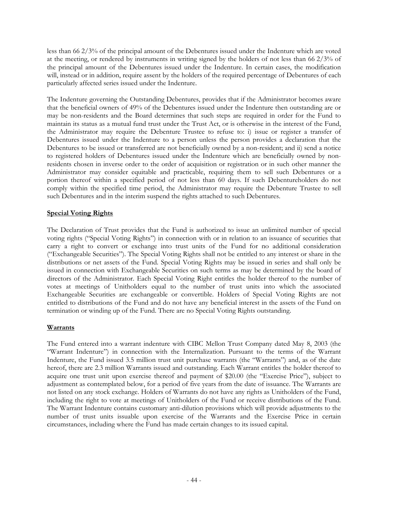less than 66 2/3% of the principal amount of the Debentures issued under the Indenture which are voted at the meeting, or rendered by instruments in writing signed by the holders of not less than 66 2/3% of the principal amount of the Debentures issued under the Indenture. In certain cases, the modification will, instead or in addition, require assent by the holders of the required percentage of Debentures of each particularly affected series issued under the Indenture.

The Indenture governing the Outstanding Debentures, provides that if the Administrator becomes aware that the beneficial owners of 49% of the Debentures issued under the Indenture then outstanding are or may be non-residents and the Board determines that such steps are required in order for the Fund to maintain its status as a mutual fund trust under the Trust Act, or is otherwise in the interest of the Fund, the Administrator may require the Debenture Trustee to refuse to: i) issue or register a transfer of Debentures issued under the Indenture to a person unless the person provides a declaration that the Debentures to be issued or transferred are not beneficially owned by a non-resident; and ii) send a notice to registered holders of Debentures issued under the Indenture which are beneficially owned by nonresidents chosen in inverse order to the order of acquisition or registration or in such other manner the Administrator may consider equitable and practicable, requiring them to sell such Debentures or a portion thereof within a specified period of not less than 60 days. If such Debentureholders do not comply within the specified time period, the Administrator may require the Debenture Trustee to sell such Debentures and in the interim suspend the rights attached to such Debentures.

## **Special Voting Rights**

The Declaration of Trust provides that the Fund is authorized to issue an unlimited number of special voting rights ("Special Voting Rights") in connection with or in relation to an issuance of securities that carry a right to convert or exchange into trust units of the Fund for no additional consideration ("Exchangeable Securities"). The Special Voting Rights shall not be entitled to any interest or share in the distributions or net assets of the Fund. Special Voting Rights may be issued in series and shall only be issued in connection with Exchangeable Securities on such terms as may be determined by the board of directors of the Administrator. Each Special Voting Right entitles the holder thereof to the number of votes at meetings of Unitholders equal to the number of trust units into which the associated Exchangeable Securities are exchangeable or convertible. Holders of Special Voting Rights are not entitled to distributions of the Fund and do not have any beneficial interest in the assets of the Fund on termination or winding up of the Fund. There are no Special Voting Rights outstanding.

#### **Warrants**

The Fund entered into a warrant indenture with CIBC Mellon Trust Company dated May 8, 2003 (the "Warrant Indenture") in connection with the Internalization. Pursuant to the terms of the Warrant Indenture, the Fund issued 3.5 million trust unit purchase warrants (the "Warrants") and, as of the date hereof, there are 2.3 million Warrants issued and outstanding. Each Warrant entitles the holder thereof to acquire one trust unit upon exercise thereof and payment of \$20.00 (the "Exercise Price"), subject to adjustment as contemplated below, for a period of five years from the date of issuance. The Warrants are not listed on any stock exchange. Holders of Warrants do not have any rights as Unitholders of the Fund, including the right to vote at meetings of Unitholders of the Fund or receive distributions of the Fund. The Warrant Indenture contains customary anti-dilution provisions which will provide adjustments to the number of trust units issuable upon exercise of the Warrants and the Exercise Price in certain circumstances, including where the Fund has made certain changes to its issued capital.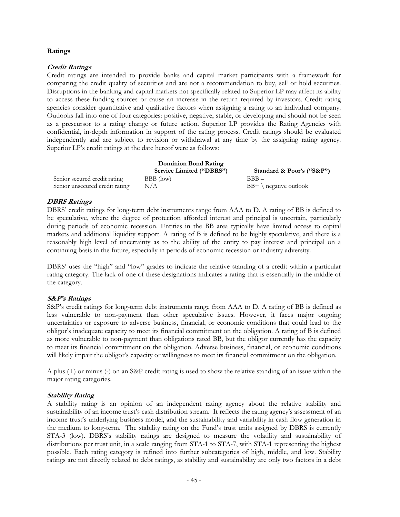## **Ratings**

## **Credit Ratings**

Credit ratings are intended to provide banks and capital market participants with a framework for comparing the credit quality of securities and are not a recommendation to buy, sell or hold securities. Disruptions in the banking and capital markets not specifically related to Superior LP may affect its ability to access these funding sources or cause an increase in the return required by investors. Credit rating agencies consider quantitative and qualitative factors when assigning a rating to an individual company. Outlooks fall into one of four categories: positive, negative, stable, or developing and should not be seen as a prescursor to a rating change or future action. Superior LP provides the Rating Agencies with confidential, in-depth information in support of the rating process. Credit ratings should be evaluated independently and are subject to revision or withdrawal at any time by the assigning rating agency. Superior LP's credit ratings at the date hereof were as follows:

|                                | Dominion Bond Rating     |                                  |
|--------------------------------|--------------------------|----------------------------------|
|                                | Service Limited ("DBRS") | Standard & Poor's ("S&P")        |
| Senior secured credit rating   | BBB (low)                | $BBB -$                          |
| Senior unsecured credit rating | N/A                      | $BB+ \setminus$ negative outlook |

## **DBRS Ratings**

DBRS' credit ratings for long-term debt instruments range from AAA to D. A rating of BB is defined to be speculative, where the degree of protection afforded interest and principal is uncertain, particularly during periods of economic recession. Entities in the BB area typically have limited access to capital markets and additional liquidity support. A rating of B is defined to be highly speculative, and there is a reasonably high level of uncertainty as to the ability of the entity to pay interest and principal on a continuing basis in the future, especially in periods of economic recession or industry adversity.

DBRS' uses the "high" and "low" grades to indicate the relative standing of a credit within a particular rating category. The lack of one of these designations indicates a rating that is essentially in the middle of the category.

## **S&P's Ratings**

S&P's credit ratings for long-term debt instruments range from AAA to D. A rating of BB is defined as less vulnerable to non-payment than other speculative issues. However, it faces major ongoing uncertainties or exposure to adverse business, financial, or economic conditions that could lead to the obligor's inadequate capacity to meet its financial commitment on the obligation. A rating of B is defined as more vulnerable to non-payment than obligations rated BB, but the obligor currently has the capacity to meet its financial commitment on the obligation. Adverse business, financial, or economic conditions will likely impair the obligor's capacity or willingness to meet its financial commitment on the obligation.

A plus (+) or minus (-) on an S&P credit rating is used to show the relative standing of an issue within the major rating categories.

## **Stability Rating**

A stability rating is an opinion of an independent rating agency about the relative stability and sustainability of an income trust's cash distribution stream. It reflects the rating agency's assessment of an income trust's underlying business model, and the sustainability and variability in cash flow generation in the medium to long-term. The stability rating on the Fund's trust units assigned by DBRS is currently STA-3 (low). DBRS's stability ratings are designed to measure the volatility and sustainability of distributions per trust unit, in a scale ranging from STA-1 to STA-7, with STA-1 representing the highest possible. Each rating category is refined into further subcategories of high, middle, and low. Stability ratings are not directly related to debt ratings, as stability and sustainability are only two factors in a debt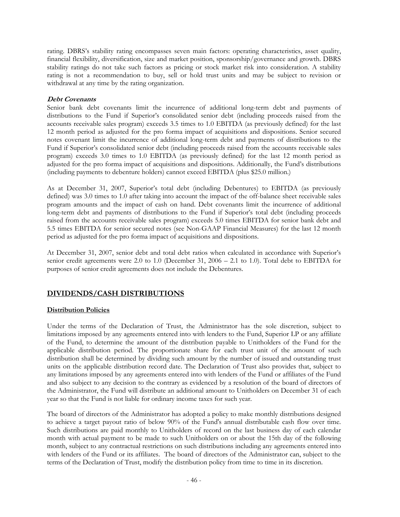rating. DBRS's stability rating encompasses seven main factors: operating characteristics, asset quality, financial flexibility, diversification, size and market position, sponsorship/governance and growth. DBRS stability ratings do not take such factors as pricing or stock market risk into consideration. A stability rating is not a recommendation to buy, sell or hold trust units and may be subject to revision or withdrawal at any time by the rating organization.

## **Debt Covenants**

Senior bank debt covenants limit the incurrence of additional long-term debt and payments of distributions to the Fund if Superior's consolidated senior debt (including proceeds raised from the accounts receivable sales program) exceeds 3.5 times to 1.0 EBITDA (as previously defined) for the last 12 month period as adjusted for the pro forma impact of acquisitions and dispositions. Senior secured notes covenant limit the incurrence of additional long-term debt and payments of distributions to the Fund if Superior's consolidated senior debt (including proceeds raised from the accounts receivable sales program) exceeds 3.0 times to 1.0 EBITDA (as previously defined) for the last 12 month period as adjusted for the pro forma impact of acquisitions and dispositions. Additionally, the Fund's distributions (including payments to debenture holders) cannot exceed EBITDA (plus \$25.0 million.)

As at December 31, 2007, Superior's total debt (including Debentures) to EBITDA (as previously defined) was 3.0 times to 1.0 after taking into account the impact of the off-balance sheet receivable sales program amounts and the impact of cash on hand. Debt covenants limit the incurrence of additional long-term debt and payments of distributions to the Fund if Superior's total debt (including proceeds raised from the accounts receivable sales program) exceeds 5.0 times EBITDA for senior bank debt and 5.5 times EBITDA for senior secured notes (see Non-GAAP Financial Measures) for the last 12 month period as adjusted for the pro forma impact of acquisitions and dispositions.

At December 31, 2007, senior debt and total debt ratios when calculated in accordance with Superior's senior credit agreements were 2.0 to 1.0 (December 31, 2006 – 2.1 to 1.0). Total debt to EBITDA for purposes of senior credit agreements does not include the Debentures.

## **DIVIDENDS/CASH DISTRIBUTIONS**

## **Distribution Policies**

Under the terms of the Declaration of Trust, the Administrator has the sole discretion, subject to limitations imposed by any agreements entered into with lenders to the Fund, Superior LP or any affiliate of the Fund, to determine the amount of the distribution payable to Unitholders of the Fund for the applicable distribution period. The proportionate share for each trust unit of the amount of such distribution shall be determined by dividing such amount by the number of issued and outstanding trust units on the applicable distribution record date. The Declaration of Trust also provides that, subject to any limitations imposed by any agreements entered into with lenders of the Fund or affiliates of the Fund and also subject to any decision to the contrary as evidenced by a resolution of the board of directors of the Administrator, the Fund will distribute an additional amount to Unitholders on December 31 of each year so that the Fund is not liable for ordinary income taxes for such year.

The board of directors of the Administrator has adopted a policy to make monthly distributions designed to achieve a target payout ratio of below 90% of the Fund's annual distributable cash flow over time. Such distributions are paid monthly to Unitholders of record on the last business day of each calendar month with actual payment to be made to such Unitholders on or about the 15th day of the following month, subject to any contractual restrictions on such distributions including any agreements entered into with lenders of the Fund or its affiliates. The board of directors of the Administrator can, subject to the terms of the Declaration of Trust, modify the distribution policy from time to time in its discretion.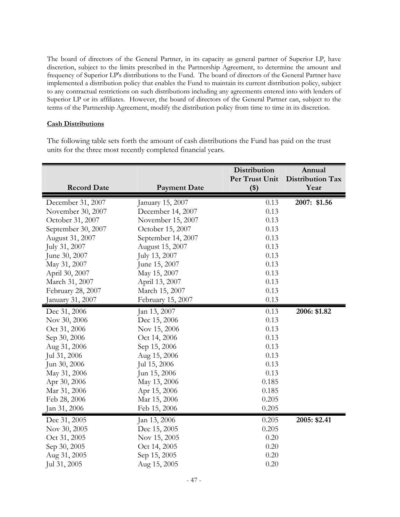The board of directors of the General Partner, in its capacity as general partner of Superior LP, have discretion, subject to the limits prescribed in the Partnership Agreement, to determine the amount and frequency of Superior LP's distributions to the Fund. The board of directors of the General Partner have implemented a distribution policy that enables the Fund to maintain its current distribution policy, subject to any contractual restrictions on such distributions including any agreements entered into with lenders of Superior LP or its affiliates. However, the board of directors of the General Partner can, subject to the terms of the Partnership Agreement, modify the distribution policy from time to time in its discretion.

#### **Cash Distributions**

The following table sets forth the amount of cash distributions the Fund has paid on the trust units for the three most recently completed financial years.

|                    |                     | Distribution            | Annual                   |
|--------------------|---------------------|-------------------------|--------------------------|
| <b>Record Date</b> | <b>Payment Date</b> | Per Trust Unit<br>$($)$ | Distribution Tax<br>Year |
| December 31, 2007  | January 15, 2007    | 0.13                    | 2007: \$1.56             |
| November 30, 2007  | December 14, 2007   | 0.13                    |                          |
| October 31, 2007   | November 15, 2007   | 0.13                    |                          |
| September 30, 2007 | October 15, 2007    | 0.13                    |                          |
| August 31, 2007    | September 14, 2007  | 0.13                    |                          |
| July 31, 2007      | August 15, 2007     | 0.13                    |                          |
| June 30, 2007      | July 13, 2007       | 0.13                    |                          |
| May 31, 2007       | June 15, 2007       | 0.13                    |                          |
| April 30, 2007     | May 15, 2007        | 0.13                    |                          |
| March 31, 2007     | April 13, 2007      | 0.13                    |                          |
| February 28, 2007  | March 15, 2007      | 0.13                    |                          |
| January 31, 2007   | February 15, 2007   | 0.13                    |                          |
| Dec 31, 2006       | Jan 13, 2007        | 0.13                    | 2006: \$1.82             |
| Nov 30, 2006       | Dec 15, 2006        | 0.13                    |                          |
| Oct 31, 2006       | Nov 15, 2006        | 0.13                    |                          |
| Sep 30, 2006       | Oct 14, 2006        | 0.13                    |                          |
| Aug 31, 2006       | Sep 15, 2006        | 0.13                    |                          |
| Jul 31, 2006       | Aug 15, 2006        | 0.13                    |                          |
| Jun 30, 2006       | Jul 15, 2006        | 0.13                    |                          |
| May 31, 2006       | Jun 15, 2006        | 0.13                    |                          |
| Apr 30, 2006       | May 13, 2006        | 0.185                   |                          |
| Mar 31, 2006       | Apr 15, 2006        | 0.185                   |                          |
| Feb 28, 2006       | Mar 15, 2006        | 0.205                   |                          |
| Jan 31, 2006       | Feb 15, 2006        | 0.205                   |                          |
| Dec 31, 2005       | Jan 13, 2006        | 0.205                   | 2005: \$2.41             |
| Nov 30, 2005       | Dec 15, 2005        | 0.205                   |                          |
| Oct 31, 2005       | Nov 15, 2005        | 0.20                    |                          |
| Sep 30, 2005       | Oct 14, 2005        | 0.20                    |                          |
| Aug 31, 2005       | Sep 15, 2005        | 0.20                    |                          |
| Jul 31, 2005       | Aug 15, 2005        | 0.20                    |                          |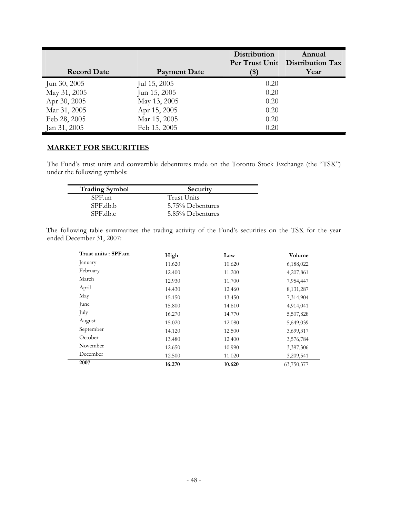|                    |                     | <b>Distribution</b>        | Annual<br>Per Trust Unit Distribution Tax |
|--------------------|---------------------|----------------------------|-------------------------------------------|
| <b>Record Date</b> | <b>Payment Date</b> | $\left( \mathbb{S}\right)$ | Year                                      |
| Jun 30, 2005       | Jul 15, 2005        | 0.20                       |                                           |
| May 31, 2005       | Jun 15, 2005        | 0.20                       |                                           |
| Apr 30, 2005       | May 13, 2005        | 0.20                       |                                           |
| Mar 31, 2005       | Apr 15, 2005        | 0.20                       |                                           |
| Feb 28, 2005       | Mar 15, 2005        | 0.20                       |                                           |
| Jan 31, 2005       | Feb 15, 2005        | 0.20                       |                                           |

## **MARKET FOR SECURITIES**

The Fund's trust units and convertible debentures trade on the Toronto Stock Exchange (the "TSX") under the following symbols:

| <b>Trading Symbol</b> | Security         |
|-----------------------|------------------|
| SPF.un                | Trust Units      |
| SPE.db.b              | 5.75% Debentures |
| SPE.db.c              | 5.85% Debentures |

The following table summarizes the trading activity of the Fund's securities on the TSX for the year ended December 31, 2007:

| Trust units: SPF.un | High   | Low    | Volume      |
|---------------------|--------|--------|-------------|
| January             | 11.620 | 10.620 | 6,188,022   |
| February            | 12.400 | 11.200 | 4,207,861   |
| March               | 12.930 | 11.700 | 7,954,447   |
| April               | 14.430 | 12.460 | 8, 131, 287 |
| May                 | 15.150 | 13.450 | 7,314,904   |
| June                | 15.800 | 14.610 | 4,914,041   |
| July                | 16.270 | 14.770 | 5,507,828   |
| August              | 15.020 | 12.080 | 5,649,039   |
| September           | 14.120 | 12.500 | 3,699,317   |
| October             | 13.480 | 12.400 | 3,576,784   |
| November            | 12.650 | 10.990 | 3,397,306   |
| December            | 12.500 | 11.020 | 3,209,541   |
| 2007                | 16.270 | 10.620 | 63,750,377  |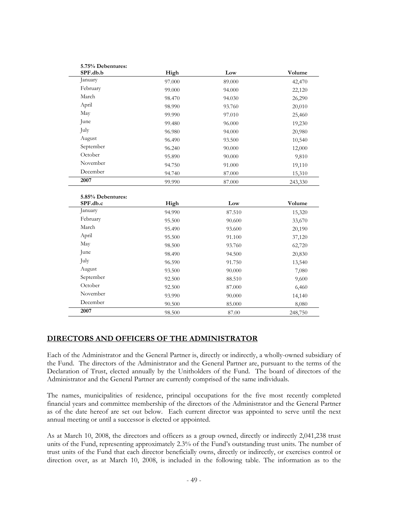| 5.75% Debentures: |        |        |         |
|-------------------|--------|--------|---------|
| SPF.db.b          | High   | Low    | Volume  |
| January           | 97.000 | 89.000 | 42,470  |
| February          | 99.000 | 94.000 | 22,120  |
| March             | 98.470 | 94.030 | 26,290  |
| April             | 98.990 | 93.760 | 20,010  |
| May               | 99.990 | 97.010 | 25,460  |
| June              | 99.480 | 96.000 | 19,230  |
| July              | 96.980 | 94.000 | 20,980  |
| August            | 96.490 | 93.500 | 10,540  |
| September         | 96.240 | 90.000 | 12,000  |
| October           | 95.890 | 90.000 | 9,810   |
| November          | 94.750 | 91.000 | 19,110  |
| December          | 94.740 | 87.000 | 15,310  |
| 2007              | 99.990 | 87.000 | 243,330 |

| 5.85% Debentures: |        |        |         |
|-------------------|--------|--------|---------|
| SPF.db.c          | High   | Low    | Volume  |
| January           | 94.990 | 87.510 | 15,320  |
| February          | 95.500 | 90.600 | 33,670  |
| March             | 95.490 | 93.600 | 20,190  |
| April             | 95.500 | 91.100 | 37,120  |
| May               | 98.500 | 93.760 | 62,720  |
| June              | 98.490 | 94.500 | 20,830  |
| July              | 96.590 | 91.750 | 13,540  |
| August            | 93.500 | 90.000 | 7,080   |
| September         | 92.500 | 88.510 | 9,600   |
| October           | 92.500 | 87.000 | 6,460   |
| November          | 93.990 | 90.000 | 14,140  |
| December          | 90.500 | 85.000 | 8,080   |
| 2007              | 98.500 | 87.00  | 248,750 |

## **DIRECTORS AND OFFICERS OF THE ADMINISTRATOR**

Each of the Administrator and the General Partner is, directly or indirectly, a wholly-owned subsidiary of the Fund. The directors of the Administrator and the General Partner are, pursuant to the terms of the Declaration of Trust, elected annually by the Unitholders of the Fund. The board of directors of the Administrator and the General Partner are currently comprised of the same individuals.

The names, municipalities of residence, principal occupations for the five most recently completed financial years and committee membership of the directors of the Administrator and the General Partner as of the date hereof are set out below. Each current director was appointed to serve until the next annual meeting or until a successor is elected or appointed.

As at March 10, 2008, the directors and officers as a group owned, directly or indirectly 2,041,238 trust units of the Fund, representing approximately 2.3% of the Fund's outstanding trust units. The number of trust units of the Fund that each director beneficially owns, directly or indirectly, or exercises control or direction over, as at March 10, 2008, is included in the following table. The information as to the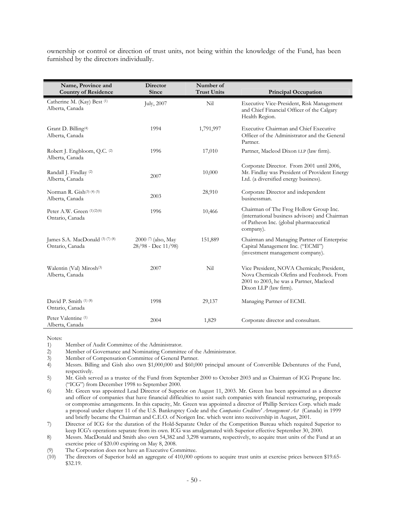ownership or control or direction of trust units, not being within the knowledge of the Fund, has been furnished by the directors individually.

| Name, Province and<br><b>Country of Residence</b>       | Director<br>Since                                | Number of<br><b>Trust Units</b> | <b>Principal Occupation</b>                                                                                                                                  |
|---------------------------------------------------------|--------------------------------------------------|---------------------------------|--------------------------------------------------------------------------------------------------------------------------------------------------------------|
| Catherine M. (Kay) Best (1)<br>Alberta, Canada          | July, 2007                                       | Nil                             | Executive Vice-President, Risk Management<br>and Chief Financial Officer of the Calgary<br>Health Region.                                                    |
| Grant D. Billing <sup>(4)</sup><br>Alberta, Canada      | 1994                                             | 1,791,997                       | Executive Chairman and Chief Executive<br>Officer of the Administrator and the General<br>Partner.                                                           |
| Robert J. Engbloom, Q.C. (2)<br>Alberta, Canada         | 1996                                             | 17,010                          | Partner, Macleod Dixon LLP (law firm).                                                                                                                       |
| Randall J. Findlay (2)<br>Alberta, Canada               | 2007                                             | 10,000                          | Corporate Director. From 2001 until 2006,<br>Mr. Findlay was President of Provident Energy<br>Ltd. (a diversified energy business).                          |
| Norman R. Gish(3) (4) (5)<br>Alberta, Canada            | 2003                                             | 28,910                          | Corporate Director and independent<br>businessman.                                                                                                           |
| Peter A.W. Green (1)(2)(6)<br>Ontario, Canada           | 1996                                             | 10,466                          | Chairman of The Frog Hollow Group Inc.<br>(international business advisors) and Chairman<br>of Patheon Inc. (global pharmaceutical<br>company).              |
| James S.A. MacDonald (3) (7) (8)<br>Ontario, Canada     | $2000$ (7) (also, May<br>$28/98$ - Dec $11/98$ ) | 151,889                         | Chairman and Managing Partner of Enterprise<br>Capital Management Inc. ("ECMI")<br>(investment management company).                                          |
| Walentin (Val) Mirosh <sup>(3)</sup><br>Alberta, Canada | 2007                                             | Nil                             | Vice President, NOVA Chemicals; President,<br>Nova Chemicals Olefins and Feedstock. From<br>2001 to 2003, he was a Partner, Macleod<br>Dixon LLP (law firm). |
| David P. Smith (1) (8)<br>Ontario, Canada               | 1998                                             | 29,137                          | Managing Partner of ECMI.                                                                                                                                    |
| Peter Valentine <sup>(1)</sup><br>Alberta, Canada       | 2004                                             | 1,829                           | Corporate director and consultant.                                                                                                                           |

Notes:

1) Member of Audit Committee of the Administrator.

2) Member of Governance and Nominating Committee of the Administrator.

3) Member of Compensation Committee of General Partner.<br>4) Messrs. Billing and Gish also own \$1,000,000 and \$60,00

Messrs. Billing and Gish also own \$1,000,000 and \$60,000 principal amount of Convertible Debentures of the Fund, respectively.

5) Mr. Gish served as a trustee of the Fund from September 2000 to October 2003 and as Chairman of ICG Propane Inc. ("ICG") from December 1998 to September 2000.

6) Mr. Green was appointed Lead Director of Superior on August 11, 2003. Mr. Green has been appointed as a director and officer of companies that have financial difficulties to assist such companies with financial restructuring, proposals or compromise arrangements. In this capacity, Mr. Green was appointed a director of Phillip Services Corp. which made a proposal under chapter 11 of the U.S. Bankruptcy Code and the *Companies Creditors' Arrangement Act* (Canada) in 1999 and briefly became the Chairman and C.E.O. of Norigen Inc. which went into receivership in August, 2001.

7) Director of ICG for the duration of the Hold-Separate Order of the Competition Bureau which required Superior to keep ICG's operations separate from its own. ICG was amalgamated with Superior effective September 30, 2000.

8) Messrs. MacDonald and Smith also own 54,382 and 3,298 warrants, respectively, to acquire trust units of the Fund at an exercise price of \$20.00 expiring on May 8, 2008.

(9) The Corporation does not have an Executive Committee.

(10) The directors of Superior hold an aggregate of 410,000 options to acquire trust units at exercise prices between \$19.65- \$32.19.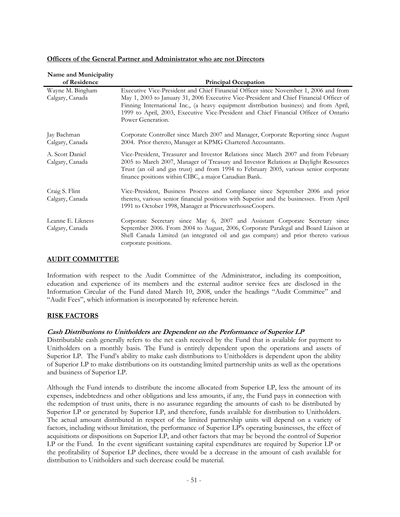| Name and Municipality                |                                                                                                                                                                                                                                                                                                                                                                                       |
|--------------------------------------|---------------------------------------------------------------------------------------------------------------------------------------------------------------------------------------------------------------------------------------------------------------------------------------------------------------------------------------------------------------------------------------|
| of Residence                         | <b>Principal Occupation</b>                                                                                                                                                                                                                                                                                                                                                           |
| Wayne M. Bingham<br>Calgary, Canada  | Executive Vice-President and Chief Financial Officer since November 1, 2006 and from<br>May 1, 2003 to January 31, 2006 Executive Vice-President and Chief Financial Officer of<br>Finning International Inc., (a heavy equipment distribution business) and from April,<br>1999 to April, 2003, Executive Vice-President and Chief Financial Officer of Ontario<br>Power Generation. |
| Jay Bachman<br>Calgary, Canada       | Corporate Controller since March 2007 and Manager, Corporate Reporting since August<br>2004. Prior thereto, Manager at KPMG Chartered Accountants.                                                                                                                                                                                                                                    |
| A. Scott Daniel<br>Calgary, Canada   | Vice-President, Treasurer and Investor Relations since March 2007 and from February<br>2005 to March 2007, Manager of Treasury and Investor Relations at Daylight Resources<br>Trust (an oil and gas trust) and from 1994 to February 2005, various senior corporate<br>finance positions within CIBC, a major Canadian Bank.                                                         |
| Craig S. Flint<br>Calgary, Canada    | Vice-President, Business Process and Compliance since September 2006 and prior<br>thereto, various senior financial positions with Superior and the businesses. From April<br>1991 to October 1998, Manager at PricewaterhouseCoopers.                                                                                                                                                |
| Leanne E. Likness<br>Calgary, Canada | Corporate Secretary since May 6, 2007 and Assistant Corporate Secretary since<br>September 2006. From 2004 to August, 2006, Corporate Paralegal and Board Liaison at<br>Shell Canada Limited (an integrated oil and gas company) and prior thereto various<br>corporate positions.                                                                                                    |

## **Officers of the General Partner and Administrator who are not Directors**

#### **AUDIT COMMITTEE**

Information with respect to the Audit Committee of the Administrator, including its composition, education and experience of its members and the external auditor service fees are disclosed in the Information Circular of the Fund dated March 10, 2008, under the headings "Audit Committee" and "Audit Fees", which information is incorporated by reference herein.

## **RISK FACTORS**

## **Cash Distributions to Unitholders are Dependent on the Performance of Superior LP**

Distributable cash generally refers to the net cash received by the Fund that is available for payment to Unitholders on a monthly basis. The Fund is entirely dependent upon the operations and assets of Superior LP. The Fund's ability to make cash distributions to Unitholders is dependent upon the ability of Superior LP to make distributions on its outstanding limited partnership units as well as the operations and business of Superior LP.

Although the Fund intends to distribute the income allocated from Superior LP, less the amount of its expenses, indebtedness and other obligations and less amounts, if any, the Fund pays in connection with the redemption of trust units, there is no assurance regarding the amounts of cash to be distributed by Superior LP or generated by Superior LP, and therefore, funds available for distribution to Unitholders. The actual amount distributed in respect of the limited partnership units will depend on a variety of factors, including without limitation, the performance of Superior LP's operating businesses, the effect of acquisitions or dispositions on Superior LP, and other factors that may be beyond the control of Superior LP or the Fund. In the event significant sustaining capital expenditures are required by Superior LP or the profitability of Superior LP declines, there would be a decrease in the amount of cash available for distribution to Unitholders and such decrease could be material.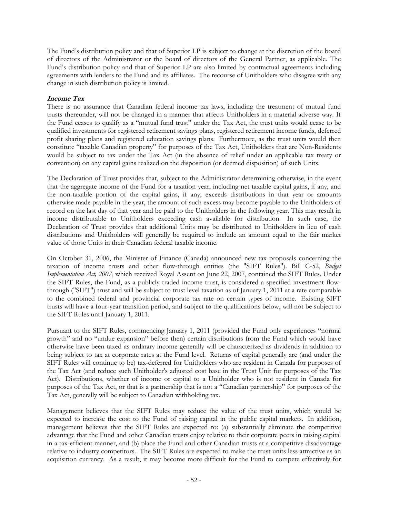The Fund's distribution policy and that of Superior LP is subject to change at the discretion of the board of directors of the Administrator or the board of directors of the General Partner, as applicable. The Fund's distribution policy and that of Superior LP are also limited by contractual agreements including agreements with lenders to the Fund and its affiliates. The recourse of Unitholders who disagree with any change in such distribution policy is limited.

## **Income Tax**

There is no assurance that Canadian federal income tax laws, including the treatment of mutual fund trusts thereunder, will not be changed in a manner that affects Unitholders in a material adverse way. If the Fund ceases to qualify as a "mutual fund trust" under the Tax Act, the trust units would cease to be qualified investments for registered retirement savings plans, registered retirement income funds, deferred profit sharing plans and registered education savings plans. Furthermore, as the trust units would then constitute "taxable Canadian property" for purposes of the Tax Act, Unitholders that are Non-Residents would be subject to tax under the Tax Act (in the absence of relief under an applicable tax treaty or convention) on any capital gains realized on the disposition (or deemed disposition) of such Units.

The Declaration of Trust provides that, subject to the Administrator determining otherwise, in the event that the aggregate income of the Fund for a taxation year, including net taxable capital gains, if any, and the non-taxable portion of the capital gains, if any, exceeds distributions in that year or amounts otherwise made payable in the year, the amount of such excess may become payable to the Unitholders of record on the last day of that year and be paid to the Unitholders in the following year. This may result in income distributable to Unitholders exceeding cash available for distribution. In such case, the Declaration of Trust provides that additional Units may be distributed to Unitholders in lieu of cash distributions and Unitholders will generally be required to include an amount equal to the fair market value of those Units in their Canadian federal taxable income.

On October 31, 2006, the Minister of Finance (Canada) announced new tax proposals concerning the taxation of income trusts and other flow-through entities (the "SIFT Rules"). Bill C-52, *Budget Implementation Act, 2007*, which received Royal Assent on June 22, 2007, contained the SIFT Rules. Under the SIFT Rules, the Fund, as a publicly traded income trust, is considered a specified investment flowthrough ("SIFT") trust and will be subject to trust level taxation as of January 1, 2011 at a rate comparable to the combined federal and provincial corporate tax rate on certain types of income. Existing SIFT trusts will have a four-year transition period, and subject to the qualifications below, will not be subject to the SIFT Rules until January 1, 2011.

Pursuant to the SIFT Rules, commencing January 1, 2011 (provided the Fund only experiences "normal growth" and no "undue expansion" before then) certain distributions from the Fund which would have otherwise have been taxed as ordinary income generally will be characterized as dividends in addition to being subject to tax at corporate rates at the Fund level. Returns of capital generally are (and under the SIFT Rules will continue to be) tax-deferred for Unitholders who are resident in Canada for purposes of the Tax Act (and reduce such Unitholder's adjusted cost base in the Trust Unit for purposes of the Tax Act). Distributions, whether of income or capital to a Unitholder who is not resident in Canada for purposes of the Tax Act, or that is a partnership that is not a "Canadian partnership" for purposes of the Tax Act, generally will be subject to Canadian withholding tax.

Management believes that the SIFT Rules may reduce the value of the trust units, which would be expected to increase the cost to the Fund of raising capital in the public capital markets. In addition, management believes that the SIFT Rules are expected to: (a) substantially eliminate the competitive advantage that the Fund and other Canadian trusts enjoy relative to their corporate peers in raising capital in a tax-efficient manner, and (b) place the Fund and other Canadian trusts at a competitive disadvantage relative to industry competitors. The SIFT Rules are expected to make the trust units less attractive as an acquisition currency. As a result, it may become more difficult for the Fund to compete effectively for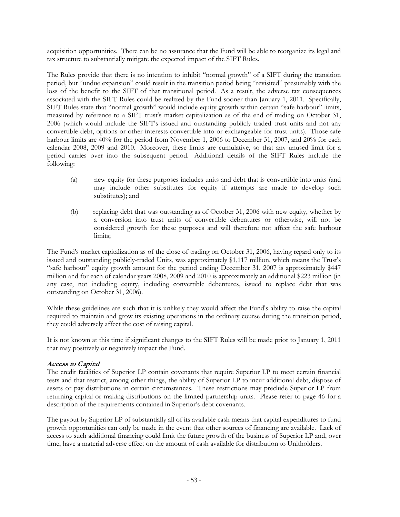acquisition opportunities. There can be no assurance that the Fund will be able to reorganize its legal and tax structure to substantially mitigate the expected impact of the SIFT Rules.

The Rules provide that there is no intention to inhibit "normal growth" of a SIFT during the transition period, but "undue expansion" could result in the transition period being "revisited" presumably with the loss of the benefit to the SIFT of that transitional period. As a result, the adverse tax consequences associated with the SIFT Rules could be realized by the Fund sooner than January 1, 2011. Specifically, SIFT Rules state that "normal growth" would include equity growth within certain "safe harbour" limits, measured by reference to a SIFT trust's market capitalization as of the end of trading on October 31, 2006 (which would include the SIFT's issued and outstanding publicly traded trust units and not any convertible debt, options or other interests convertible into or exchangeable for trust units). Those safe harbour limits are 40% for the period from November 1, 2006 to December 31, 2007, and 20% for each calendar 2008, 2009 and 2010. Moreover, these limits are cumulative, so that any unused limit for a period carries over into the subsequent period. Additional details of the SIFT Rules include the following:

- (a) new equity for these purposes includes units and debt that is convertible into units (and may include other substitutes for equity if attempts are made to develop such substitutes); and
- (b) replacing debt that was outstanding as of October 31, 2006 with new equity, whether by a conversion into trust units of convertible debentures or otherwise, will not be considered growth for these purposes and will therefore not affect the safe harbour limits;

The Fund's market capitalization as of the close of trading on October 31, 2006, having regard only to its issued and outstanding publicly-traded Units, was approximately \$1,117 million, which means the Trust's "safe harbour" equity growth amount for the period ending December 31, 2007 is approximately \$447 million and for each of calendar years 2008, 2009 and 2010 is approximately an additional \$223 million (in any case, not including equity, including convertible debentures, issued to replace debt that was outstanding on October 31, 2006).

While these guidelines are such that it is unlikely they would affect the Fund's ability to raise the capital required to maintain and grow its existing operations in the ordinary course during the transition period, they could adversely affect the cost of raising capital.

It is not known at this time if significant changes to the SIFT Rules will be made prior to January 1, 2011 that may positively or negatively impact the Fund.

## **Access to Capital**

The credit facilities of Superior LP contain covenants that require Superior LP to meet certain financial tests and that restrict, among other things, the ability of Superior LP to incur additional debt, dispose of assets or pay distributions in certain circumstances. These restrictions may preclude Superior LP from returning capital or making distributions on the limited partnership units. Please refer to page 46 for a description of the requirements contained in Superior's debt covenants.

The payout by Superior LP of substantially all of its available cash means that capital expenditures to fund growth opportunities can only be made in the event that other sources of financing are available. Lack of access to such additional financing could limit the future growth of the business of Superior LP and, over time, have a material adverse effect on the amount of cash available for distribution to Unitholders.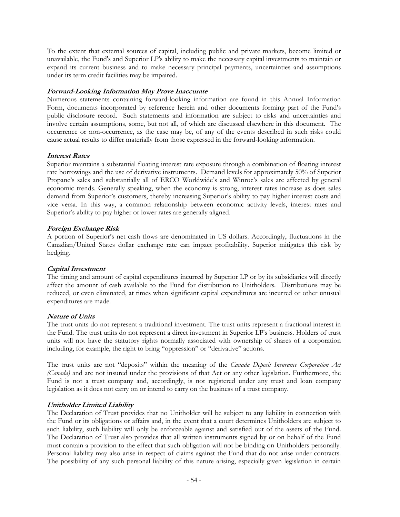To the extent that external sources of capital, including public and private markets, become limited or unavailable, the Fund's and Superior LP's ability to make the necessary capital investments to maintain or expand its current business and to make necessary principal payments, uncertainties and assumptions under its term credit facilities may be impaired.

## **Forward-Looking Information May Prove Inaccurate**

Numerous statements containing forward-looking information are found in this Annual Information Form, documents incorporated by reference herein and other documents forming part of the Fund's public disclosure record. Such statements and information are subject to risks and uncertainties and involve certain assumptions, some, but not all, of which are discussed elsewhere in this document. The occurrence or non-occurrence, as the case may be, of any of the events described in such risks could cause actual results to differ materially from those expressed in the forward-looking information.

## **Interest Rates**

Superior maintains a substantial floating interest rate exposure through a combination of floating interest rate borrowings and the use of derivative instruments. Demand levels for approximately 50% of Superior Propane's sales and substantially all of ERCO Worldwide's and Winroc's sales are affected by general economic trends. Generally speaking, when the economy is strong, interest rates increase as does sales demand from Superior's customers, thereby increasing Superior's ability to pay higher interest costs and vice versa. In this way, a common relationship between economic activity levels, interest rates and Superior's ability to pay higher or lower rates are generally aligned.

## **Foreign Exchange Risk**

A portion of Superior's net cash flows are denominated in US dollars. Accordingly, fluctuations in the Canadian/United States dollar exchange rate can impact profitability. Superior mitigates this risk by hedging.

## **Capital Investment**

The timing and amount of capital expenditures incurred by Superior LP or by its subsidiaries will directly affect the amount of cash available to the Fund for distribution to Unitholders. Distributions may be reduced, or even eliminated, at times when significant capital expenditures are incurred or other unusual expenditures are made.

## **Nature of Units**

The trust units do not represent a traditional investment. The trust units represent a fractional interest in the Fund. The trust units do not represent a direct investment in Superior LP's business. Holders of trust units will not have the statutory rights normally associated with ownership of shares of a corporation including, for example, the right to bring "oppression" or "derivative" actions.

The trust units are not "deposits" within the meaning of the *Canada Deposit Insurance Corporation Act (Canada)* and are not insured under the provisions of that Act or any other legislation. Furthermore, the Fund is not a trust company and, accordingly, is not registered under any trust and loan company legislation as it does not carry on or intend to carry on the business of a trust company.

## **Unitholder Limited Liability**

The Declaration of Trust provides that no Unitholder will be subject to any liability in connection with the Fund or its obligations or affairs and, in the event that a court determines Unitholders are subject to such liability, such liability will only be enforceable against and satisfied out of the assets of the Fund. The Declaration of Trust also provides that all written instruments signed by or on behalf of the Fund must contain a provision to the effect that such obligation will not be binding on Unitholders personally. Personal liability may also arise in respect of claims against the Fund that do not arise under contracts. The possibility of any such personal liability of this nature arising, especially given legislation in certain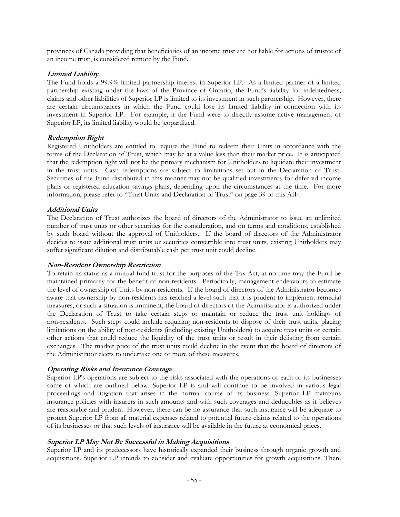provinces of Canada providing that beneficiaries of an income trust are not liable for actions of trustee of an income trust, is considered remote by the Fund.

## **Limited Liability**

The Fund holds a 99.9% limited partnership interest in Superior LP. As a limited partner of a limited partnership existing under the laws of the Province of Ontario, the Fund's liability for indebtedness, claims and other liabilities of Superior LP is limited to its investment in such partnership. However, there are certain circumstances in which the Fund could lose its limited liability in connection with its investment in Superior LP. For example, if the Fund were to directly assume active management of Superior LP, its limited liability would be jeopardized.

## **Redemption Right**

Registered Unitholders are entitled to require the Fund to redeem their Units in accordance with the terms of the Declaration of Trust, which may be at a value less than their market price. It is anticipated that the redemption right will not be the primary mechanism for Unitholders to liquidate their investment in the trust units. Cash redemptions are subject to limitations set out in the Declaration of Trust. Securities of the Fund distributed in this manner may not be qualified investments for deferred income plans or registered education savings plans, depending upon the circumstances at the time. For more information, please refer to "Trust Units and Declaration of Trust" on page 39 of this AIF.

## **Additional Units**

The Declaration of Trust authorizes the board of directors of the Administrator to issue an unlimited number of trust units or other securities for the consideration, and on terms and conditions, established by such board without the approval of Unitholders. If the board of directors of the Administrator decides to issue additional trust units or securities convertible into trust units, existing Unitholders may suffer significant dilution and distributable cash per trust unit could decline.

#### **Non-Resident Ownership Restriction**

To retain its status as a mutual fund trust for the purposes of the Tax Act, at no time may the Fund be maintained primarily for the benefit of non-residents. Periodically, management endeavours to estimate the level of ownership of Units by non-residents. If the board of directors of the Administrator becomes aware that ownership by non-residents has reached a level such that it is prudent to implement remedial measures, or such a situation is imminent, the board of directors of the Administrator is authorized under the Declaration of Trust to take certain steps to maintain or reduce the trust unit holdings of non-residents. Such steps could include requiring non-residents to dispose of their trust units, placing limitations on the ability of non-residents (including existing Unitholders) to acquire trust units or certain other actions that could reduce the liquidity of the trust units or result in their delisting from certain exchanges. The market price of the trust units could decline in the event that the board of directors of the Administrator elects to undertake one or more of these measures.

#### **Operating Risks and Insurance Coverage**

Superior LP's operations are subject to the risks associated with the operations of each of its businesses some of which are outlined below. Superior LP is and will continue to be involved in various legal proceedings and litigation that arises in the normal course of its business. Superior LP maintains insurance policies with insurers in such amounts and with such coverages and deductibles as it believes are reasonable and prudent. However, there can be no assurance that such insurance will be adequate to protect Superior LP from all material expenses related to potential future claims related to the operations of its businesses or that such levels of insurance will be available in the future at economical prices.

## **Superior LP May Not Be Successful in Making Acquisitions**

Superior LP and its predecessors have historically expanded their business through organic growth and acquisitions. Superior LP intends to consider and evaluate opportunities for growth acquisitions. There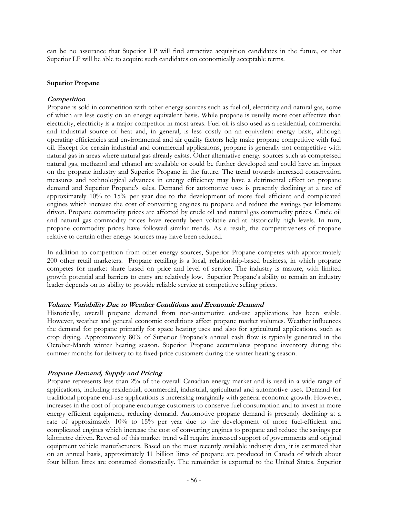can be no assurance that Superior LP will find attractive acquisition candidates in the future, or that Superior LP will be able to acquire such candidates on economically acceptable terms.

#### **Superior Propane**

## **Competition**

Propane is sold in competition with other energy sources such as fuel oil, electricity and natural gas, some of which are less costly on an energy equivalent basis. While propane is usually more cost effective than electricity, electricity is a major competitor in most areas. Fuel oil is also used as a residential, commercial and industrial source of heat and, in general, is less costly on an equivalent energy basis, although operating efficiencies and environmental and air quality factors help make propane competitive with fuel oil. Except for certain industrial and commercial applications, propane is generally not competitive with natural gas in areas where natural gas already exists. Other alternative energy sources such as compressed natural gas, methanol and ethanol are available or could be further developed and could have an impact on the propane industry and Superior Propane in the future. The trend towards increased conservation measures and technological advances in energy efficiency may have a detrimental effect on propane demand and Superior Propane's sales. Demand for automotive uses is presently declining at a rate of approximately 10% to 15% per year due to the development of more fuel efficient and complicated engines which increase the cost of converting engines to propane and reduce the savings per kilometre driven. Propane commodity prices are affected by crude oil and natural gas commodity prices. Crude oil and natural gas commodity prices have recently been volatile and at historically high levels. In turn, propane commodity prices have followed similar trends. As a result, the competitiveness of propane relative to certain other energy sources may have been reduced.

In addition to competition from other energy sources, Superior Propane competes with approximately 200 other retail marketers. Propane retailing is a local, relationship-based business, in which propane competes for market share based on price and level of service. The industry is mature, with limited growth potential and barriers to entry are relatively low. Superior Propane's ability to remain an industry leader depends on its ability to provide reliable service at competitive selling prices.

#### **Volume Variability Due to Weather Conditions and Economic Demand**

Historically, overall propane demand from non-automotive end-use applications has been stable. However, weather and general economic conditions affect propane market volumes. Weather influences the demand for propane primarily for space heating uses and also for agricultural applications, such as crop drying. Approximately 80% of Superior Propane's annual cash flow is typically generated in the October-March winter heating season. Superior Propane accumulates propane inventory during the summer months for delivery to its fixed-price customers during the winter heating season.

## **Propane Demand, Supply and Pricing**

Propane represents less than 2% of the overall Canadian energy market and is used in a wide range of applications, including residential, commercial, industrial, agricultural and automotive uses. Demand for traditional propane end-use applications is increasing marginally with general economic growth. However, increases in the cost of propane encourage customers to conserve fuel consumption and to invest in more energy efficient equipment, reducing demand. Automotive propane demand is presently declining at a rate of approximately 10% to 15% per year due to the development of more fuel-efficient and complicated engines which increase the cost of converting engines to propane and reduce the savings per kilometre driven. Reversal of this market trend will require increased support of governments and original equipment vehicle manufacturers. Based on the most recently available industry data, it is estimated that on an annual basis, approximately 11 billion litres of propane are produced in Canada of which about four billion litres are consumed domestically. The remainder is exported to the United States. Superior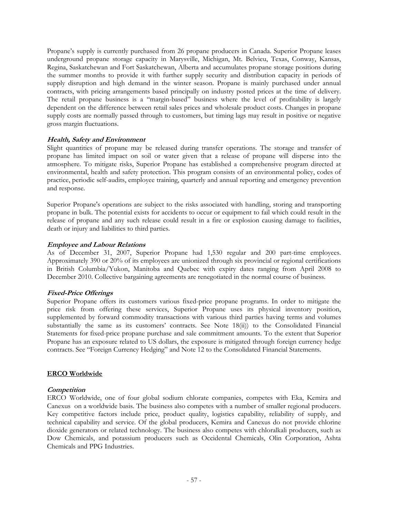Propane's supply is currently purchased from 26 propane producers in Canada. Superior Propane leases underground propane storage capacity in Marysville, Michigan, Mt. Belvieu, Texas, Conway, Kansas, Regina, Saskatchewan and Fort Saskatchewan, Alberta and accumulates propane storage positions during the summer months to provide it with further supply security and distribution capacity in periods of supply disruption and high demand in the winter season. Propane is mainly purchased under annual contracts, with pricing arrangements based principally on industry posted prices at the time of delivery. The retail propane business is a "margin-based" business where the level of profitability is largely dependent on the difference between retail sales prices and wholesale product costs. Changes in propane supply costs are normally passed through to customers, but timing lags may result in positive or negative gross margin fluctuations.

## **Health, Safety and Environment**

Slight quantities of propane may be released during transfer operations. The storage and transfer of propane has limited impact on soil or water given that a release of propane will disperse into the atmosphere. To mitigate risks, Superior Propane has established a comprehensive program directed at environmental, health and safety protection. This program consists of an environmental policy, codes of practice, periodic self-audits, employee training, quarterly and annual reporting and emergency prevention and response.

Superior Propane's operations are subject to the risks associated with handling, storing and transporting propane in bulk. The potential exists for accidents to occur or equipment to fail which could result in the release of propane and any such release could result in a fire or explosion causing damage to facilities, death or injury and liabilities to third parties.

## **Employee and Labour Relations**

As of December 31, 2007, Superior Propane had 1,530 regular and 200 part-time employees. Approximately 390 or 20% of its employees are unionized through six provincial or regional certifications in British Columbia/Yukon, Manitoba and Quebec with expiry dates ranging from April 2008 to December 2010. Collective bargaining agreements are renegotiated in the normal course of business.

## **Fixed-Price Offerings**

Superior Propane offers its customers various fixed-price propane programs. In order to mitigate the price risk from offering these services, Superior Propane uses its physical inventory position, supplemented by forward commodity transactions with various third parties having terms and volumes substantially the same as its customers' contracts. See Note 18(ii)) to the Consolidated Financial Statements for fixed-price propane purchase and sale commitment amounts. To the extent that Superior Propane has an exposure related to US dollars, the exposure is mitigated through foreign currency hedge contracts. See "Foreign Currency Hedging" and Note 12 to the Consolidated Financial Statements.

#### **ERCO Worldwide**

## **Competition**

ERCO Worldwide, one of four global sodium chlorate companies, competes with Eka, Kemira and Canexus on a worldwide basis. The business also competes with a number of smaller regional producers. Key competitive factors include price, product quality, logistics capability, reliability of supply, and technical capability and service. Of the global producers, Kemira and Canexus do not provide chlorine dioxide generators or related technology. The business also competes with chloralkali producers, such as Dow Chemicals, and potassium producers such as Occidental Chemicals, Olin Corporation, Ashta Chemicals and PPG Industries.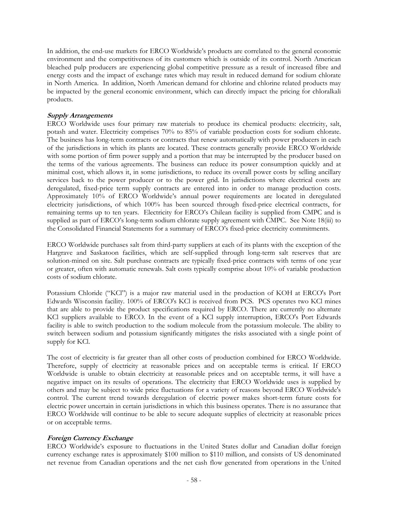In addition, the end-use markets for ERCO Worldwide's products are correlated to the general economic environment and the competitiveness of its customers which is outside of its control. North American bleached pulp producers are experiencing global competitive pressure as a result of increased fibre and energy costs and the impact of exchange rates which may result in reduced demand for sodium chlorate in North America. In addition, North American demand for chlorine and chlorine related products may be impacted by the general economic environment, which can directly impact the pricing for chloralkali products.

## **Supply Arrangements**

ERCO Worldwide uses four primary raw materials to produce its chemical products: electricity, salt, potash and water. Electricity comprises 70% to 85% of variable production costs for sodium chlorate. The business has long-term contracts or contracts that renew automatically with power producers in each of the jurisdictions in which its plants are located. These contracts generally provide ERCO Worldwide with some portion of firm power supply and a portion that may be interrupted by the producer based on the terms of the various agreements. The business can reduce its power consumption quickly and at minimal cost, which allows it, in some jurisdictions, to reduce its overall power costs by selling ancillary services back to the power producer or to the power grid. In jurisdictions where electrical costs are deregulated, fixed-price term supply contracts are entered into in order to manage production costs. Approximately 10% of ERCO Worldwide's annual power requirements are located in deregulated electricity jurisdictions, of which 100% has been sourced through fixed-price electrical contracts, for remaining terms up to ten years. Electricity for ERCO's Chilean facility is supplied from CMPC and is supplied as part of ERCO's long-term sodium chlorate supply agreement with CMPC. See Note 18(iii) to the Consolidated Financial Statements for a summary of ERCO's fixed-price electricity commitments.

ERCO Worldwide purchases salt from third-party suppliers at each of its plants with the exception of the Hargrave and Saskatoon facilities, which are self-supplied through long-term salt reserves that are solution-mined on site. Salt purchase contracts are typically fixed-price contracts with terms of one year or greater, often with automatic renewals. Salt costs typically comprise about 10% of variable production costs of sodium chlorate.

Potassium Chloride ("KCl") is a major raw material used in the production of KOH at ERCO's Port Edwards Wisconsin facility. 100% of ERCO's KCl is received from PCS. PCS operates two KCl mines that are able to provide the product specifications required by ERCO. There are currently no alternate KCl suppliers available to ERCO. In the event of a KCl supply interruption, ERCO's Port Edwards facility is able to switch production to the sodium molecule from the potassium molecule. The ability to switch between sodium and potassium significantly mitigates the risks associated with a single point of supply for KCl.

The cost of electricity is far greater than all other costs of production combined for ERCO Worldwide. Therefore, supply of electricity at reasonable prices and on acceptable terms is critical. If ERCO Worldwide is unable to obtain electricity at reasonable prices and on acceptable terms, it will have a negative impact on its results of operations. The electricity that ERCO Worldwide uses is supplied by others and may be subject to wide price fluctuations for a variety of reasons beyond ERCO Worldwide's control. The current trend towards deregulation of electric power makes short-term future costs for electric power uncertain in certain jurisdictions in which this business operates. There is no assurance that ERCO Worldwide will continue to be able to secure adequate supplies of electricity at reasonable prices or on acceptable terms.

## **Foreign Currency Exchange**

ERCO Worldwide's exposure to fluctuations in the United States dollar and Canadian dollar foreign currency exchange rates is approximately \$100 million to \$110 million, and consists of US denominated net revenue from Canadian operations and the net cash flow generated from operations in the United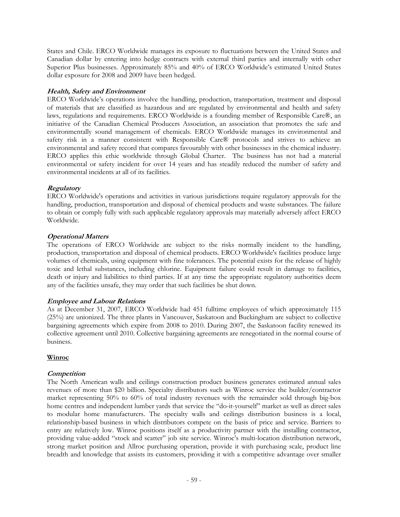States and Chile. ERCO Worldwide manages its exposure to fluctuations between the United States and Canadian dollar by entering into hedge contracts with external third parties and internally with other Superior Plus businesses. Approximately 85% and 40% of ERCO Worldwide's estimated United States dollar exposure for 2008 and 2009 have been hedged.

## **Health, Safety and Environment**

ERCO Worldwide's operations involve the handling, production, transportation, treatment and disposal of materials that are classified as hazardous and are regulated by environmental and health and safety laws, regulations and requirements. ERCO Worldwide is a founding member of Responsible Care®, an initiative of the Canadian Chemical Producers Association, an association that promotes the safe and environmentally sound management of chemicals. ERCO Worldwide manages its environmental and safety risk in a manner consistent with Responsible Care® protocols and strives to achieve an environmental and safety record that compares favourably with other businesses in the chemical industry. ERCO applies this ethic worldwide through Global Charter. The business has not had a material environmental or safety incident for over 14 years and has steadily reduced the number of safety and environmental incidents at all of its facilities.

## **Regulatory**

ERCO Worldwide's operations and activities in various jurisdictions require regulatory approvals for the handling, production, transportation and disposal of chemical products and waste substances. The failure to obtain or comply fully with such applicable regulatory approvals may materially adversely affect ERCO Worldwide.

## **Operational Matters**

The operations of ERCO Worldwide are subject to the risks normally incident to the handling, production, transportation and disposal of chemical products. ERCO Worldwide's facilities produce large volumes of chemicals, using equipment with fine tolerances. The potential exists for the release of highly toxic and lethal substances, including chlorine. Equipment failure could result in damage to facilities, death or injury and liabilities to third parties. If at any time the appropriate regulatory authorities deem any of the facilities unsafe, they may order that such facilities be shut down.

## **Employee and Labour Relations**

As at December 31, 2007, ERCO Worldwide had 451 fulltime employees of which approximately 115 (25%) are unionized. The three plants in Vancouver, Saskatoon and Buckingham are subject to collective bargaining agreements which expire from 2008 to 2010. During 2007, the Saskatoon facility renewed its collective agreement until 2010. Collective bargaining agreements are renegotiated in the normal course of business.

## **Winroc**

## **Competition**

The North American walls and ceilings construction product business generates estimated annual sales revenues of more than \$20 billion. Specialty distributors such as Winroc service the builder/contractor market representing 50% to 60% of total industry revenues with the remainder sold through big-box home centres and independent lumber yards that service the "do-it-yourself" market as well as direct sales to modular home manufacturers. The specialty walls and ceilings distribution business is a local, relationship-based business in which distributors compete on the basis of price and service. Barriers to entry are relatively low. Winroc positions itself as a productivity partner with the installing contractor, providing value-added "stock and scatter" job site service. Winroc's multi-location distribution network, strong market position and Allroc purchasing operation, provide it with purchasing scale, product line breadth and knowledge that assists its customers, providing it with a competitive advantage over smaller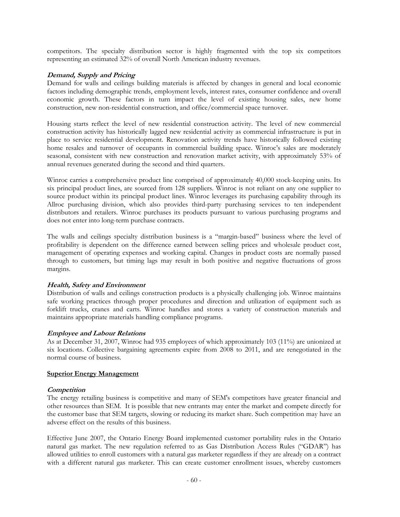competitors. The specialty distribution sector is highly fragmented with the top six competitors representing an estimated 32% of overall North American industry revenues.

## **Demand, Supply and Pricing**

Demand for walls and ceilings building materials is affected by changes in general and local economic factors including demographic trends, employment levels, interest rates, consumer confidence and overall economic growth. These factors in turn impact the level of existing housing sales, new home construction, new non-residential construction, and office/commercial space turnover.

Housing starts reflect the level of new residential construction activity. The level of new commercial construction activity has historically lagged new residential activity as commercial infrastructure is put in place to service residential development. Renovation activity trends have historically followed existing home resales and turnover of occupants in commercial building space. Winroc's sales are moderately seasonal, consistent with new construction and renovation market activity, with approximately 53% of annual revenues generated during the second and third quarters.

Winroc carries a comprehensive product line comprised of approximately 40,000 stock-keeping units. Its six principal product lines, are sourced from 128 suppliers. Winroc is not reliant on any one supplier to source product within its principal product lines. Winroc leverages its purchasing capability through its Allroc purchasing division, which also provides third-party purchasing services to ten independent distributors and retailers. Winroc purchases its products pursuant to various purchasing programs and does not enter into long-term purchase contracts.

The walls and ceilings specialty distribution business is a "margin-based" business where the level of profitability is dependent on the difference earned between selling prices and wholesale product cost, management of operating expenses and working capital. Changes in product costs are normally passed through to customers, but timing lags may result in both positive and negative fluctuations of gross margins.

## **Health, Safety and Environment**

Distribution of walls and ceilings construction products is a physically challenging job. Winroc maintains safe working practices through proper procedures and direction and utilization of equipment such as forklift trucks, cranes and carts. Winroc handles and stores a variety of construction materials and maintains appropriate materials handling compliance programs.

## **Employee and Labour Relations**

As at December 31, 2007, Winroc had 935 employees of which approximately 103 (11%) are unionized at six locations. Collective bargaining agreements expire from 2008 to 2011, and are renegotiated in the normal course of business.

#### **Superior Energy Management**

#### **Competition**

The energy retailing business is competitive and many of SEM's competitors have greater financial and other resources than SEM. It is possible that new entrants may enter the market and compete directly for the customer base that SEM targets, slowing or reducing its market share. Such competition may have an adverse effect on the results of this business.

Effective June 2007, the Ontario Energy Board implemented customer portability rules in the Ontario natural gas market. The new regulation referred to as Gas Distribution Access Rules ("GDAR") has allowed utilities to enroll customers with a natural gas marketer regardless if they are already on a contract with a different natural gas marketer. This can create customer enrollment issues, whereby customers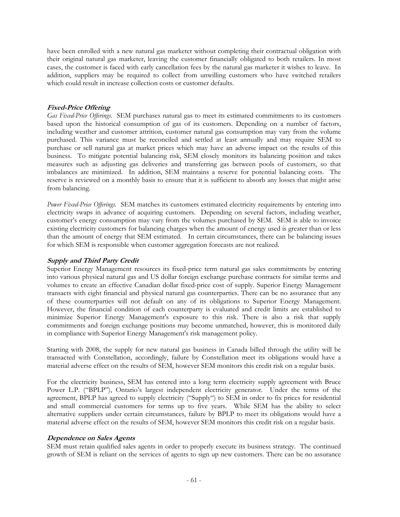have been enrolled with a new natural gas marketer without completing their contractual obligation with their original natural gas marketer, leaving the customer financially obligated to both retailers. In most cases, the customer is faced with early cancellation fees by the natural gas marketer it wishes to leave. In addition, suppliers may be required to collect from unwilling customers who have switched retailers which could result in increase collection costs or customer defaults.

## **Fixed-Price Offering**

*Gas Fixed-Price Offerings.* SEM purchases natural gas to meet its estimated commitments to its customers based upon the historical consumption of gas of its customers. Depending on a number of factors, including weather and customer attrition, customer natural gas consumption may vary from the volume purchased. This variance must be reconciled and settled at least annually and may require SEM to purchase or sell natural gas at market prices which may have an adverse impact on the results of this business. To mitigate potential balancing risk, SEM closely monitors its balancing position and takes measures such as adjusting gas deliveries and transferring gas between pools of customers, so that imbalances are minimized. In addition, SEM maintains a reserve for potential balancing costs. The reserve is reviewed on a monthly basis to ensure that it is sufficient to absorb any losses that might arise from balancing.

*Power Fixed-Price Offerings.* SEM matches its customers estimated electricity requirements by entering into electricity swaps in advance of acquiring customers. Depending on several factors, including weather, customer's energy consumption may vary from the volumes purchased by SEM. SEM is able to invoice existing electricity customers for balancing charges when the amount of energy used is greater than or less than the amount of energy that SEM estimated. In certain circumstances, there can be balancing issues for which SEM is responsible when customer aggregation forecasts are not realized.

## **Supply and Third Party Credit**

Superior Energy Management resources its fixed-price term natural gas sales commitments by entering into various physical natural gas and US dollar foreign exchange purchase contracts for similar terms and volumes to create an effective Canadian dollar fixed-price cost of supply. Superior Energy Management transacts with eight financial and physical natural gas counterparties. There can be no assurance that any of these counterparties will not default on any of its obligations to Superior Energy Management. However, the financial condition of each counterparty is evaluated and credit limits are established to minimize Superior Energy Management's exposure to this risk. There is also a risk that supply commitments and foreign exchange positions may become unmatched, however, this is monitored daily in compliance with Superior Energy Management's risk management policy.

Starting with 2008, the supply for new natural gas business in Canada billed through the utility will be transacted with Constellation, accordingly, failure by Constellation meet its obligations would have a material adverse effect on the results of SEM, however SEM monitors this credit risk on a regular basis.

For the electricity business, SEM has entered into a long term electricity supply agreement with Bruce Power L.P. ("BPLP"), Ontario's largest independent electricity generator. Under the terms of the agreement, BPLP has agreed to supply electricity ("Supply") to SEM in order to fix prices for residential and small commercial customers for terms up to five years. While SEM has the ability to select alternative suppliers under certain circumstances, failure by BPLP to meet its obligations would have a material adverse effect on the results of SEM, however SEM monitors this credit risk on a regular basis.

## **Dependence on Sales Agents**

SEM must retain qualified sales agents in order to properly execute its business strategy. The continued growth of SEM is reliant on the services of agents to sign up new customers. There can be no assurance